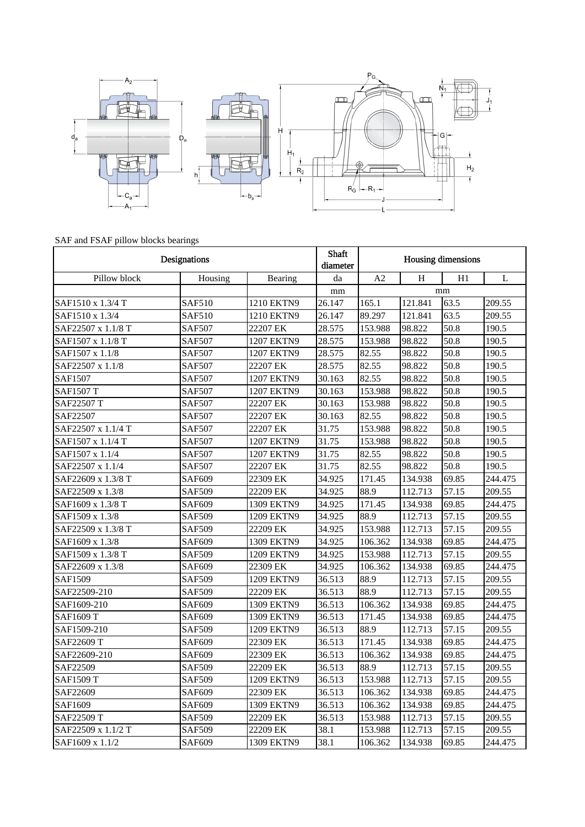

## SAF and FSAF pillow blocks bearings

| Designations       |               |                   | Shaft<br>diameter | <b>Housing dimensions</b> |         |       |              |
|--------------------|---------------|-------------------|-------------------|---------------------------|---------|-------|--------------|
| Pillow block       | Housing       | Bearing           | da                | A <sub>2</sub>            | H       | H1    | $\mathbf{L}$ |
|                    |               |                   | mm                |                           |         | mm    |              |
| SAF1510 x 1.3/4 T  | SAF510        | 1210 EKTN9        | 26.147            | 165.1                     | 121.841 | 63.5  | 209.55       |
| SAF1510 x 1.3/4    | <b>SAF510</b> | 1210 EKTN9        | 26.147            | 89.297                    | 121.841 | 63.5  | 209.55       |
| SAF22507 x 1.1/8 T | <b>SAF507</b> | 22207 EK          | 28.575            | 153.988                   | 98.822  | 50.8  | 190.5        |
| SAF1507 x 1.1/8 T  | <b>SAF507</b> | 1207 EKTN9        | 28.575            | 153.988                   | 98.822  | 50.8  | 190.5        |
| SAF1507 x 1.1/8    | <b>SAF507</b> | 1207 EKTN9        | 28.575            | 82.55                     | 98.822  | 50.8  | 190.5        |
| SAF22507 x 1.1/8   | <b>SAF507</b> | 22207 EK          | 28.575            | 82.55                     | 98.822  | 50.8  | 190.5        |
| <b>SAF1507</b>     | <b>SAF507</b> | 1207 EKTN9        | 30.163            | 82.55                     | 98.822  | 50.8  | 190.5        |
| <b>SAF1507 T</b>   | <b>SAF507</b> | 1207 EKTN9        | 30.163            | 153.988                   | 98.822  | 50.8  | 190.5        |
| SAF22507 T         | SAF507        | 22207 EK          | 30.163            | 153.988                   | 98.822  | 50.8  | 190.5        |
| SAF22507           | <b>SAF507</b> | 22207 EK          | 30.163            | 82.55                     | 98.822  | 50.8  | 190.5        |
| SAF22507 x 1.1/4 T | <b>SAF507</b> | 22207 EK          | 31.75             | 153.988                   | 98.822  | 50.8  | 190.5        |
| SAF1507 x 1.1/4 T  | <b>SAF507</b> | <b>1207 EKTN9</b> | 31.75             | 153.988                   | 98.822  | 50.8  | 190.5        |
| SAF1507 x 1.1/4    | <b>SAF507</b> | 1207 EKTN9        | 31.75             | 82.55                     | 98.822  | 50.8  | 190.5        |
| SAF22507 x 1.1/4   | <b>SAF507</b> | 22207 EK          | 31.75             | 82.55                     | 98.822  | 50.8  | 190.5        |
| SAF22609 x 1.3/8 T | <b>SAF609</b> | 22309 EK          | 34.925            | 171.45                    | 134.938 | 69.85 | 244.475      |
| SAF22509 x 1.3/8   | <b>SAF509</b> | 22209 EK          | 34.925            | 88.9                      | 112.713 | 57.15 | 209.55       |
| SAF1609 x 1.3/8 T  | SAF609        | 1309 EKTN9        | 34.925            | 171.45                    | 134.938 | 69.85 | 244.475      |
| SAF1509 x 1.3/8    | <b>SAF509</b> | 1209 EKTN9        | 34.925            | 88.9                      | 112.713 | 57.15 | 209.55       |
| SAF22509 x 1.3/8 T | <b>SAF509</b> | 22209 EK          | 34.925            | 153.988                   | 112.713 | 57.15 | 209.55       |
| SAF1609 x 1.3/8    | <b>SAF609</b> | 1309 EKTN9        | 34.925            | 106.362                   | 134.938 | 69.85 | 244.475      |
| SAF1509 x 1.3/8 T  | <b>SAF509</b> | 1209 EKTN9        | 34.925            | 153.988                   | 112.713 | 57.15 | 209.55       |
| SAF22609 x 1.3/8   | SAF609        | 22309 EK          | 34.925            | 106.362                   | 134.938 | 69.85 | 244.475      |
| SAF1509            | <b>SAF509</b> | 1209 EKTN9        | 36.513            | 88.9                      | 112.713 | 57.15 | 209.55       |
| SAF22509-210       | <b>SAF509</b> | 22209 EK          | 36.513            | 88.9                      | 112.713 | 57.15 | 209.55       |
| SAF1609-210        | SAF609        | 1309 EKTN9        | 36.513            | 106.362                   | 134.938 | 69.85 | 244.475      |
| SAF1609 T          | <b>SAF609</b> | 1309 EKTN9        | 36.513            | 171.45                    | 134.938 | 69.85 | 244.475      |
| SAF1509-210        | <b>SAF509</b> | 1209 EKTN9        | 36.513            | 88.9                      | 112.713 | 57.15 | 209.55       |
| SAF22609 T         | <b>SAF609</b> | 22309 EK          | 36.513            | 171.45                    | 134.938 | 69.85 | 244.475      |
| SAF22609-210       | SAF609        | 22309 EK          | 36.513            | 106.362                   | 134.938 | 69.85 | 244.475      |
| SAF22509           | <b>SAF509</b> | 22209 EK          | 36.513            | 88.9                      | 112.713 | 57.15 | 209.55       |
| SAF1509 T          | <b>SAF509</b> | 1209 EKTN9        | 36.513            | 153.988                   | 112.713 | 57.15 | 209.55       |
| SAF22609           | <b>SAF609</b> | 22309 EK          | 36.513            | 106.362                   | 134.938 | 69.85 | 244.475      |
| SAF1609            | <b>SAF609</b> | 1309 EKTN9        | 36.513            | 106.362                   | 134.938 | 69.85 | 244.475      |
| SAF22509 T         | <b>SAF509</b> | 22209 EK          | 36.513            | 153.988                   | 112.713 | 57.15 | 209.55       |
| SAF22509 x 1.1/2 T | SAF509        | 22209 EK          | 38.1              | 153.988                   | 112.713 | 57.15 | 209.55       |
| SAF1609 x 1.1/2    | SAF609        | 1309 EKTN9        | 38.1              | 106.362                   | 134.938 | 69.85 | 244.475      |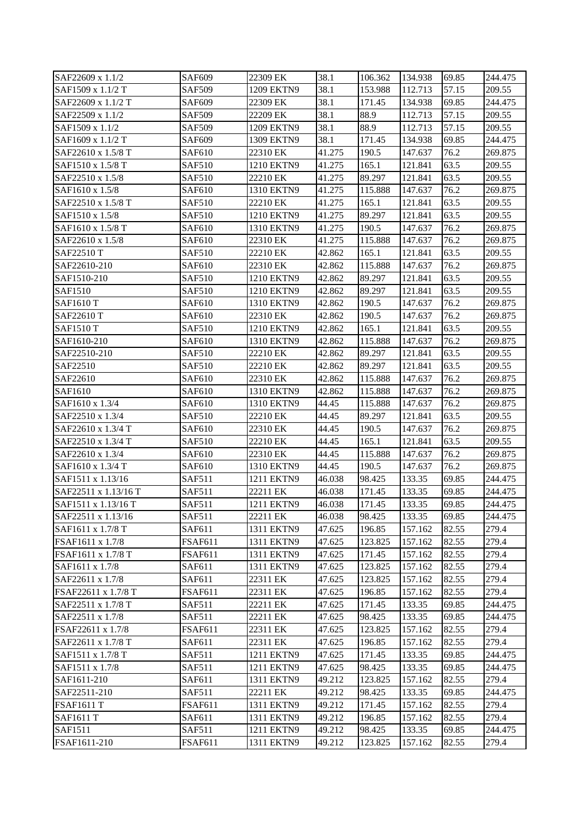| SAF22609 x 1.1/2     | SAF609         | 22309 EK   | 38.1   | 106.362 | 134.938 | 69.85 | 244.475 |
|----------------------|----------------|------------|--------|---------|---------|-------|---------|
| SAF1509 x 1.1/2 T    | <b>SAF509</b>  | 1209 EKTN9 | 38.1   | 153.988 | 112.713 | 57.15 | 209.55  |
| SAF22609 x 1.1/2 T   | <b>SAF609</b>  | 22309 EK   | 38.1   | 171.45  | 134.938 | 69.85 | 244.475 |
| SAF22509 x 1.1/2     | <b>SAF509</b>  | 22209 EK   | 38.1   | 88.9    | 112.713 | 57.15 | 209.55  |
| SAF1509 x 1.1/2      | <b>SAF509</b>  | 1209 EKTN9 | 38.1   | 88.9    | 112.713 | 57.15 | 209.55  |
| SAF1609 x 1.1/2 T    | <b>SAF609</b>  | 1309 EKTN9 | 38.1   | 171.45  | 134.938 | 69.85 | 244.475 |
| SAF22610 x 1.5/8 T   | <b>SAF610</b>  | 22310 EK   | 41.275 | 190.5   | 147.637 | 76.2  | 269.875 |
| SAF1510 x 1.5/8 T    | <b>SAF510</b>  | 1210 EKTN9 | 41.275 | 165.1   | 121.841 | 63.5  | 209.55  |
| SAF22510 x 1.5/8     | <b>SAF510</b>  | 22210 EK   | 41.275 | 89.297  | 121.841 | 63.5  | 209.55  |
| SAF1610 x 1.5/8      | <b>SAF610</b>  | 1310 EKTN9 | 41.275 | 115.888 | 147.637 | 76.2  | 269.875 |
| SAF22510 x 1.5/8 T   | <b>SAF510</b>  | 22210 EK   | 41.275 | 165.1   | 121.841 | 63.5  | 209.55  |
| SAF1510 x 1.5/8      | <b>SAF510</b>  | 1210 EKTN9 | 41.275 | 89.297  | 121.841 | 63.5  | 209.55  |
| SAF1610 x 1.5/8 T    | <b>SAF610</b>  | 1310 EKTN9 | 41.275 | 190.5   | 147.637 | 76.2  | 269.875 |
| SAF22610 x 1.5/8     | <b>SAF610</b>  | 22310 EK   | 41.275 | 115.888 | 147.637 | 76.2  | 269.875 |
| SAF22510 T           | <b>SAF510</b>  | 22210 EK   | 42.862 | 165.1   | 121.841 | 63.5  | 209.55  |
| SAF22610-210         | <b>SAF610</b>  | 22310 EK   | 42.862 | 115.888 | 147.637 | 76.2  | 269.875 |
| SAF1510-210          | <b>SAF510</b>  | 1210 EKTN9 | 42.862 | 89.297  | 121.841 | 63.5  | 209.55  |
| <b>SAF1510</b>       | <b>SAF510</b>  | 1210 EKTN9 | 42.862 | 89.297  | 121.841 | 63.5  | 209.55  |
| <b>SAF1610 T</b>     | <b>SAF610</b>  | 1310 EKTN9 | 42.862 | 190.5   | 147.637 | 76.2  | 269.875 |
| SAF22610 T           | <b>SAF610</b>  | 22310 EK   | 42.862 | 190.5   | 147.637 | 76.2  | 269.875 |
| <b>SAF1510 T</b>     | <b>SAF510</b>  | 1210 EKTN9 | 42.862 | 165.1   | 121.841 | 63.5  | 209.55  |
| SAF1610-210          | <b>SAF610</b>  | 1310 EKTN9 | 42.862 | 115.888 | 147.637 | 76.2  | 269.875 |
| SAF22510-210         | <b>SAF510</b>  | 22210 EK   | 42.862 | 89.297  | 121.841 | 63.5  | 209.55  |
| SAF22510             | <b>SAF510</b>  | 22210 EK   | 42.862 | 89.297  | 121.841 | 63.5  | 209.55  |
| SAF22610             | <b>SAF610</b>  | 22310 EK   | 42.862 | 115.888 | 147.637 | 76.2  | 269.875 |
| SAF1610              | <b>SAF610</b>  | 1310 EKTN9 | 42.862 | 115.888 | 147.637 | 76.2  | 269.875 |
| SAF1610 x 1.3/4      | <b>SAF610</b>  | 1310 EKTN9 | 44.45  | 115.888 | 147.637 | 76.2  | 269.875 |
| SAF22510 x 1.3/4     | <b>SAF510</b>  | 22210 EK   | 44.45  | 89.297  | 121.841 | 63.5  | 209.55  |
| SAF22610 x 1.3/4 T   | <b>SAF610</b>  | 22310 EK   | 44.45  | 190.5   | 147.637 | 76.2  | 269.875 |
| SAF22510 x 1.3/4 T   | <b>SAF510</b>  | 22210 EK   | 44.45  | 165.1   | 121.841 | 63.5  | 209.55  |
| SAF22610 x 1.3/4     | <b>SAF610</b>  | 22310 EK   | 44.45  | 115.888 | 147.637 | 76.2  | 269.875 |
| SAF1610 x 1.3/4 T    | <b>SAF610</b>  | 1310 EKTN9 | 44.45  | 190.5   | 147.637 | 76.2  | 269.875 |
| SAF1511 x 1.13/16    | <b>SAF511</b>  | 1211 EKTN9 | 46.038 | 98.425  | 133.35  | 69.85 | 244.475 |
| SAF22511 x 1.13/16 T | <b>SAF511</b>  | 22211 EK   | 46.038 | 171.45  | 133.35  | 69.85 | 244.475 |
| SAF1511 x 1.13/16 T  | <b>SAF511</b>  | 1211 EKTN9 | 46.038 | 171.45  | 133.35  | 69.85 | 244.475 |
| SAF22511 x 1.13/16   | <b>SAF511</b>  | 22211 EK   | 46.038 | 98.425  | 133.35  | 69.85 | 244.475 |
| SAF1611 x 1.7/8 T    | SAF611         | 1311 EKTN9 | 47.625 | 196.85  | 157.162 | 82.55 | 279.4   |
| FSAF1611 x 1.7/8     | <b>FSAF611</b> | 1311 EKTN9 | 47.625 | 123.825 | 157.162 | 82.55 | 279.4   |
| FSAF1611 x 1.7/8 T   | <b>FSAF611</b> | 1311 EKTN9 | 47.625 | 171.45  | 157.162 | 82.55 | 279.4   |
| SAF1611 x 1.7/8      | SAF611         | 1311 EKTN9 | 47.625 | 123.825 | 157.162 | 82.55 | 279.4   |
| SAF22611 x 1.7/8     | SAF611         | 22311 EK   | 47.625 | 123.825 | 157.162 | 82.55 | 279.4   |
| FSAF22611 x 1.7/8 T  | <b>FSAF611</b> | 22311 EK   | 47.625 | 196.85  | 157.162 | 82.55 | 279.4   |
| SAF22511 x 1.7/8 T   | <b>SAF511</b>  | 22211 EK   | 47.625 | 171.45  | 133.35  | 69.85 | 244.475 |
| SAF22511 x 1.7/8     | SAF511         | 22211 EK   | 47.625 | 98.425  | 133.35  | 69.85 | 244.475 |
| FSAF22611 x 1.7/8    | <b>FSAF611</b> | 22311 EK   | 47.625 | 123.825 | 157.162 | 82.55 | 279.4   |
| SAF22611 x 1.7/8 T   | SAF611         | 22311 EK   | 47.625 | 196.85  | 157.162 | 82.55 | 279.4   |
| SAF1511 x 1.7/8 T    | SAF511         | 1211 EKTN9 | 47.625 | 171.45  | 133.35  | 69.85 | 244.475 |
| SAF1511 x 1.7/8      | <b>SAF511</b>  | 1211 EKTN9 | 47.625 | 98.425  | 133.35  | 69.85 | 244.475 |
| SAF1611-210          | SAF611         | 1311 EKTN9 | 49.212 | 123.825 | 157.162 | 82.55 | 279.4   |
| SAF22511-210         | <b>SAF511</b>  | 22211 EK   | 49.212 | 98.425  | 133.35  | 69.85 | 244.475 |
| <b>FSAF1611 T</b>    | <b>FSAF611</b> | 1311 EKTN9 | 49.212 | 171.45  | 157.162 | 82.55 | 279.4   |
| <b>SAF1611 T</b>     | SAF611         | 1311 EKTN9 | 49.212 | 196.85  | 157.162 | 82.55 | 279.4   |
| SAF1511              | <b>SAF511</b>  | 1211 EKTN9 | 49.212 | 98.425  | 133.35  | 69.85 | 244.475 |
| FSAF1611-210         | <b>FSAF611</b> | 1311 EKTN9 | 49.212 | 123.825 | 157.162 | 82.55 | 279.4   |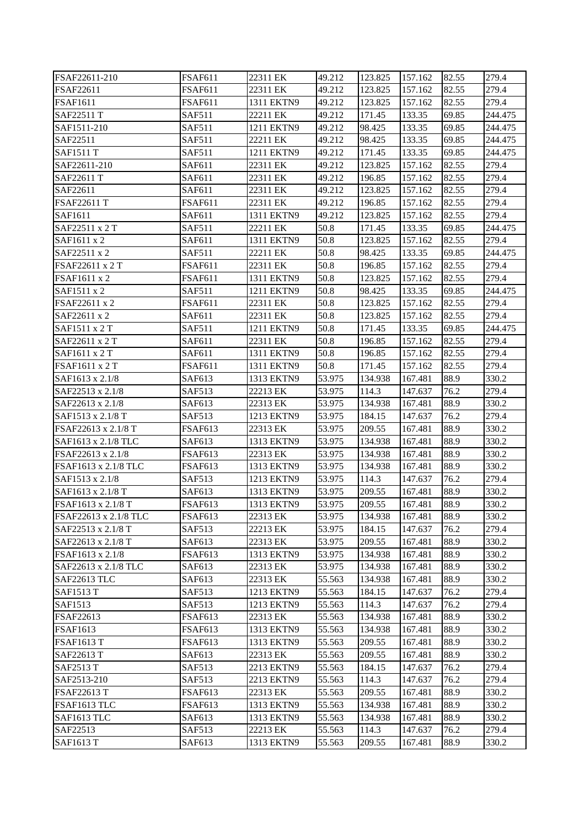| FSAF22611-210         | <b>FSAF611</b> | 22311 EK   | 49.212 | 123.825 | 157.162 | 82.55 | 279.4   |
|-----------------------|----------------|------------|--------|---------|---------|-------|---------|
| FSAF22611             | <b>FSAF611</b> | 22311 EK   | 49.212 | 123.825 | 157.162 | 82.55 | 279.4   |
| <b>FSAF1611</b>       | <b>FSAF611</b> | 1311 EKTN9 | 49.212 | 123.825 | 157.162 | 82.55 | 279.4   |
| SAF22511 T            | <b>SAF511</b>  | 22211 EK   | 49.212 | 171.45  | 133.35  | 69.85 | 244.475 |
| SAF1511-210           | SAF511         | 1211 EKTN9 | 49.212 | 98.425  | 133.35  | 69.85 | 244.475 |
| SAF22511              | <b>SAF511</b>  | 22211 EK   | 49.212 | 98.425  | 133.35  | 69.85 | 244.475 |
| <b>SAF1511 T</b>      | <b>SAF511</b>  | 1211 EKTN9 | 49.212 | 171.45  | 133.35  | 69.85 | 244.475 |
| SAF22611-210          | SAF611         | 22311 EK   | 49.212 | 123.825 | 157.162 | 82.55 | 279.4   |
| SAF22611 T            | SAF611         | 22311 EK   | 49.212 | 196.85  | 157.162 | 82.55 | 279.4   |
| SAF22611              | SAF611         | 22311 EK   | 49.212 | 123.825 | 157.162 | 82.55 | 279.4   |
| <b>FSAF22611 T</b>    | <b>FSAF611</b> | 22311 EK   | 49.212 | 196.85  | 157.162 | 82.55 | 279.4   |
| SAF1611               | SAF611         | 1311 EKTN9 | 49.212 | 123.825 | 157.162 | 82.55 | 279.4   |
| SAF22511 x 2 T        | <b>SAF511</b>  | 22211 EK   | 50.8   | 171.45  | 133.35  | 69.85 | 244.475 |
| SAF1611 x 2           | SAF611         | 1311 EKTN9 | 50.8   | 123.825 | 157.162 | 82.55 | 279.4   |
| SAF22511 x 2          | <b>SAF511</b>  | 22211 EK   | 50.8   | 98.425  | 133.35  | 69.85 | 244.475 |
| FSAF22611 x 2 T       | <b>FSAF611</b> | 22311 EK   | 50.8   | 196.85  | 157.162 | 82.55 | 279.4   |
| FSAF1611 x 2          | <b>FSAF611</b> | 1311 EKTN9 | 50.8   | 123.825 | 157.162 | 82.55 | 279.4   |
| SAF1511 x 2           | <b>SAF511</b>  | 1211 EKTN9 | 50.8   | 98.425  | 133.35  | 69.85 | 244.475 |
| FSAF22611 x 2         | <b>FSAF611</b> | 22311 EK   | 50.8   | 123.825 | 157.162 | 82.55 | 279.4   |
| SAF22611 x 2          | SAF611         | 22311 EK   | 50.8   | 123.825 | 157.162 | 82.55 | 279.4   |
| SAF1511 x 2 T         | SAF511         | 1211 EKTN9 | 50.8   | 171.45  | 133.35  | 69.85 | 244.475 |
| SAF22611 x 2 T        | SAF611         | 22311 EK   | 50.8   | 196.85  | 157.162 | 82.55 | 279.4   |
| SAF1611 x 2 T         | SAF611         | 1311 EKTN9 | 50.8   | 196.85  | 157.162 | 82.55 | 279.4   |
| FSAF1611 x 2 T        | <b>FSAF611</b> | 1311 EKTN9 | 50.8   | 171.45  | 157.162 | 82.55 | 279.4   |
| SAF1613 x 2.1/8       | SAF613         | 1313 EKTN9 | 53.975 | 134.938 | 167.481 | 88.9  | 330.2   |
| SAF22513 x 2.1/8      | <b>SAF513</b>  | 22213 EK   | 53.975 | 114.3   | 147.637 | 76.2  | 279.4   |
| SAF22613 x 2.1/8      | SAF613         | 22313 EK   | 53.975 | 134.938 | 167.481 | 88.9  | 330.2   |
| SAF1513 x 2.1/8 T     | <b>SAF513</b>  | 1213 EKTN9 | 53.975 | 184.15  | 147.637 | 76.2  | 279.4   |
| FSAF22613 x 2.1/8 T   | <b>FSAF613</b> | 22313 EK   | 53.975 | 209.55  | 167.481 | 88.9  | 330.2   |
| SAF1613 x 2.1/8 TLC   | SAF613         | 1313 EKTN9 | 53.975 | 134.938 | 167.481 | 88.9  | 330.2   |
| FSAF22613 x 2.1/8     | <b>FSAF613</b> | 22313 EK   | 53.975 | 134.938 | 167.481 | 88.9  | 330.2   |
| FSAF1613 x 2.1/8 TLC  | <b>FSAF613</b> | 1313 EKTN9 | 53.975 | 134.938 | 167.481 | 88.9  | 330.2   |
| SAF1513 x 2.1/8       | <b>SAF513</b>  | 1213 EKTN9 | 53.975 | 114.3   | 147.637 | 76.2  | 279.4   |
| SAF1613 x 2.1/8 T     | SAF613         | 1313 EKTN9 | 53.975 | 209.55  | 167.481 | 88.9  | 330.2   |
| FSAF1613 x 2.1/8 T    | <b>FSAF613</b> | 1313 EKTN9 | 53.975 | 209.55  | 167.481 | 88.9  | 330.2   |
| FSAF22613 x 2.1/8 TLC | <b>FSAF613</b> | 22313 EK   | 53.975 | 134.938 | 167.481 | 88.9  | 330.2   |
| SAF22513 x 2.1/8 T    | SAF513         | 22213 EK   | 53.975 | 184.15  | 147.637 | 76.2  | 279.4   |
| SAF22613 x 2.1/8 T    | SAF613         | 22313 EK   | 53.975 | 209.55  | 167.481 | 88.9  | 330.2   |
| FSAF1613 x 2.1/8      | <b>FSAF613</b> | 1313 EKTN9 | 53.975 | 134.938 | 167.481 | 88.9  | 330.2   |
| SAF22613 x 2.1/8 TLC  | SAF613         | 22313 EK   | 53.975 | 134.938 | 167.481 | 88.9  | 330.2   |
| SAF22613 TLC          | SAF613         | 22313 EK   | 55.563 | 134.938 | 167.481 | 88.9  | 330.2   |
| <b>SAF1513 T</b>      | SAF513         | 1213 EKTN9 | 55.563 | 184.15  | 147.637 | 76.2  | 279.4   |
| SAF1513               | SAF513         | 1213 EKTN9 | 55.563 | 114.3   | 147.637 | 76.2  | 279.4   |
| FSAF22613             | FSAF613        | 22313 EK   | 55.563 | 134.938 | 167.481 | 88.9  | 330.2   |
| <b>FSAF1613</b>       | <b>FSAF613</b> | 1313 EKTN9 | 55.563 | 134.938 | 167.481 | 88.9  | 330.2   |
| <b>FSAF1613 T</b>     | <b>FSAF613</b> | 1313 EKTN9 | 55.563 | 209.55  | 167.481 | 88.9  | 330.2   |
| SAF22613 T            | SAF613         | 22313 EK   | 55.563 | 209.55  | 167.481 | 88.9  | 330.2   |
| SAF2513 T             | <b>SAF513</b>  | 2213 EKTN9 | 55.563 | 184.15  | 147.637 | 76.2  | 279.4   |
| SAF2513-210           | SAF513         | 2213 EKTN9 | 55.563 | 114.3   | 147.637 | 76.2  | 279.4   |
| <b>FSAF22613 T</b>    | <b>FSAF613</b> | 22313 EK   | 55.563 | 209.55  | 167.481 | 88.9  | 330.2   |
| FSAF1613 TLC          | <b>FSAF613</b> | 1313 EKTN9 | 55.563 | 134.938 | 167.481 | 88.9  | 330.2   |
| SAF1613 TLC           | SAF613         | 1313 EKTN9 | 55.563 | 134.938 | 167.481 | 88.9  | 330.2   |
| SAF22513              | SAF513         | 22213 EK   | 55.563 | 114.3   | 147.637 | 76.2  | 279.4   |
| <b>SAF1613 T</b>      | SAF613         | 1313 EKTN9 | 55.563 | 209.55  | 167.481 | 88.9  | 330.2   |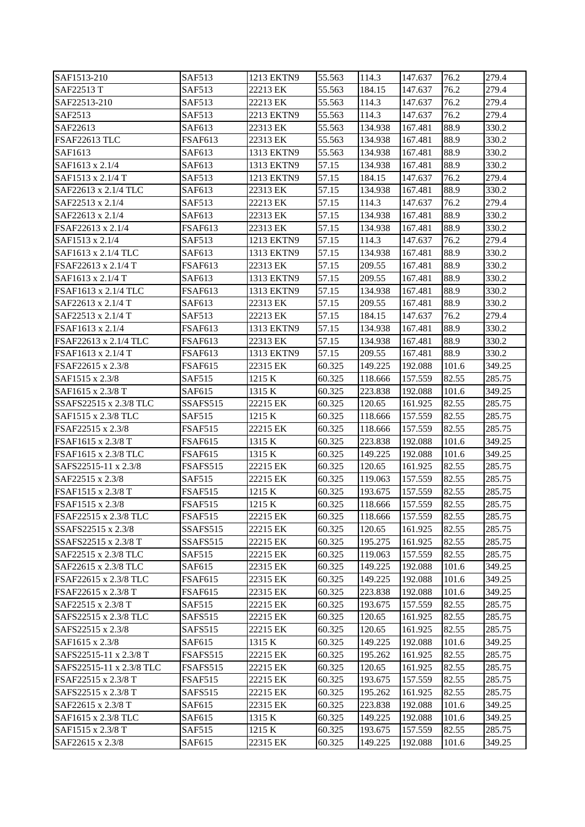| SAF1513-210              | <b>SAF513</b>  | 1213 EKTN9 | 55.563 | 114.3   | 147.637 | 76.2  | 279.4  |
|--------------------------|----------------|------------|--------|---------|---------|-------|--------|
| SAF22513 T               | <b>SAF513</b>  | 22213 EK   | 55.563 | 184.15  | 147.637 | 76.2  | 279.4  |
| SAF22513-210             | <b>SAF513</b>  | 22213 EK   | 55.563 | 114.3   | 147.637 | 76.2  | 279.4  |
| SAF2513                  | SAF513         | 2213 EKTN9 | 55.563 | 114.3   | 147.637 | 76.2  | 279.4  |
| SAF22613                 | SAF613         | 22313 EK   | 55.563 | 134.938 | 167.481 | 88.9  | 330.2  |
| FSAF22613 TLC            | FSAF613        | 22313 EK   | 55.563 | 134.938 | 167.481 | 88.9  | 330.2  |
| SAF1613                  | SAF613         | 1313 EKTN9 | 55.563 | 134.938 | 167.481 | 88.9  | 330.2  |
| SAF1613 x 2.1/4          | SAF613         | 1313 EKTN9 | 57.15  | 134.938 | 167.481 | 88.9  | 330.2  |
| SAF1513 x 2.1/4 T        | SAF513         | 1213 EKTN9 | 57.15  | 184.15  | 147.637 | 76.2  | 279.4  |
| SAF22613 x 2.1/4 TLC     | SAF613         | 22313 EK   | 57.15  | 134.938 | 167.481 | 88.9  | 330.2  |
| SAF22513 x 2.1/4         | <b>SAF513</b>  | 22213 EK   | 57.15  | 114.3   | 147.637 | 76.2  | 279.4  |
| SAF22613 x 2.1/4         | SAF613         | 22313 EK   | 57.15  | 134.938 | 167.481 | 88.9  | 330.2  |
| FSAF22613 x 2.1/4        | FSAF613        | 22313 EK   | 57.15  | 134.938 | 167.481 | 88.9  | 330.2  |
| SAF1513 x 2.1/4          | SAF513         | 1213 EKTN9 | 57.15  | 114.3   | 147.637 | 76.2  | 279.4  |
| SAF1613 x 2.1/4 TLC      | SAF613         | 1313 EKTN9 | 57.15  | 134.938 | 167.481 | 88.9  | 330.2  |
| FSAF22613 x 2.1/4 T      | FSAF613        | 22313 EK   | 57.15  | 209.55  | 167.481 | 88.9  | 330.2  |
| SAF1613 x 2.1/4 T        | SAF613         | 1313 EKTN9 | 57.15  | 209.55  | 167.481 | 88.9  | 330.2  |
| FSAF1613 x 2.1/4 TLC     | <b>FSAF613</b> | 1313 EKTN9 | 57.15  | 134.938 | 167.481 | 88.9  | 330.2  |
| SAF22613 x 2.1/4 T       | SAF613         | 22313 EK   | 57.15  | 209.55  | 167.481 | 88.9  | 330.2  |
| SAF22513 x 2.1/4 T       | <b>SAF513</b>  | 22213 EK   | 57.15  | 184.15  | 147.637 | 76.2  | 279.4  |
| FSAF1613 x 2.1/4         | <b>FSAF613</b> | 1313 EKTN9 | 57.15  | 134.938 | 167.481 | 88.9  | 330.2  |
| FSAF22613 x 2.1/4 TLC    | <b>FSAF613</b> | 22313 EK   | 57.15  | 134.938 | 167.481 | 88.9  | 330.2  |
| FSAF1613 x 2.1/4 T       | FSAF613        | 1313 EKTN9 | 57.15  | 209.55  | 167.481 | 88.9  | 330.2  |
| FSAF22615 x 2.3/8        | FSAF615        | 22315 EK   | 60.325 | 149.225 | 192.088 | 101.6 | 349.25 |
| SAF1515 x 2.3/8          | SAF515         | 1215 K     | 60.325 | 118.666 | 157.559 | 82.55 | 285.75 |
| SAF1615 x 2.3/8 T        | SAF615         | 1315 K     | 60.325 | 223.838 | 192.088 | 101.6 | 349.25 |
| SSAFS22515 x 2.3/8 TLC   | SSAFS515       | 22215 EK   | 60.325 | 120.65  | 161.925 | 82.55 | 285.75 |
| SAF1515 x 2.3/8 TLC      | SAF515         | 1215 K     | 60.325 | 118.666 | 157.559 | 82.55 | 285.75 |
| FSAF22515 x 2.3/8        | FSAF515        | 22215 EK   | 60.325 | 118.666 | 157.559 | 82.55 | 285.75 |
| FSAF1615 x 2.3/8 T       | <b>FSAF615</b> | 1315 K     | 60.325 | 223.838 | 192.088 | 101.6 | 349.25 |
| FSAF1615 x 2.3/8 TLC     | FSAF615        | 1315 K     | 60.325 | 149.225 | 192.088 | 101.6 | 349.25 |
| SAFS22515-11 x 2.3/8     | FSAFS515       | 22215 EK   | 60.325 | 120.65  | 161.925 | 82.55 | 285.75 |
| SAF22515 x 2.3/8         | <b>SAF515</b>  | 22215 EK   | 60.325 | 119.063 | 157.559 | 82.55 | 285.75 |
| FSAF1515 x 2.3/8 T       | <b>FSAF515</b> | 1215 K     | 60.325 | 193.675 | 157.559 | 82.55 | 285.75 |
| FSAF1515 x 2.3/8         | FSAF515        | 1215 K     | 60.325 | 118.666 | 157.559 | 82.55 | 285.75 |
| FSAF22515 x 2.3/8 TLC    | <b>FSAF515</b> | 22215 EK   | 60.325 | 118.666 | 157.559 | 82.55 | 285.75 |
| SSAFS22515 x 2.3/8       | SSAFS515       | 22215 EK   | 60.325 | 120.65  | 161.925 | 82.55 | 285.75 |
| SSAFS22515 x 2.3/8 T     | SSAFS515       | 22215 EK   | 60.325 | 195.275 | 161.925 | 82.55 | 285.75 |
| SAF22515 x 2.3/8 TLC     | <b>SAF515</b>  | 22215 EK   | 60.325 | 119.063 | 157.559 | 82.55 | 285.75 |
| SAF22615 x 2.3/8 TLC     | SAF615         | 22315 EK   | 60.325 | 149.225 | 192.088 | 101.6 | 349.25 |
| FSAF22615 x 2.3/8 TLC    | <b>FSAF615</b> | 22315 EK   | 60.325 | 149.225 | 192.088 | 101.6 | 349.25 |
| FSAF22615 x 2.3/8 T      | <b>FSAF615</b> | 22315 EK   | 60.325 | 223.838 | 192.088 | 101.6 | 349.25 |
| SAF22515 x 2.3/8 T       | SAF515         | 22215 EK   | 60.325 | 193.675 | 157.559 | 82.55 | 285.75 |
| SAFS22515 x 2.3/8 TLC    | SAFS515        | 22215 EK   | 60.325 | 120.65  | 161.925 | 82.55 | 285.75 |
| SAFS22515 x 2.3/8        | SAFS515        | 22215 EK   | 60.325 | 120.65  | 161.925 | 82.55 | 285.75 |
| SAF1615 x 2.3/8          | SAF615         | 1315 K     | 60.325 | 149.225 | 192.088 | 101.6 | 349.25 |
| SAFS22515-11 x 2.3/8 T   | FSAFS515       | 22215 EK   | 60.325 | 195.262 | 161.925 | 82.55 | 285.75 |
| SAFS22515-11 x 2.3/8 TLC | FSAFS515       | 22215 EK   | 60.325 | 120.65  | 161.925 | 82.55 | 285.75 |
| FSAF22515 x 2.3/8 T      | <b>FSAF515</b> | 22215 EK   | 60.325 | 193.675 | 157.559 | 82.55 | 285.75 |
| SAFS22515 x 2.3/8 T      | <b>SAFS515</b> | 22215 EK   | 60.325 | 195.262 | 161.925 | 82.55 | 285.75 |
| SAF22615 x 2.3/8 T       | SAF615         | 22315 EK   | 60.325 | 223.838 | 192.088 | 101.6 | 349.25 |
| SAF1615 x 2.3/8 TLC      | SAF615         | 1315 K     | 60.325 | 149.225 | 192.088 | 101.6 | 349.25 |
| SAF1515 x 2.3/8 T        | SAF515         | 1215 K     | 60.325 | 193.675 | 157.559 | 82.55 | 285.75 |
| SAF22615 x 2.3/8         | SAF615         | 22315 EK   | 60.325 | 149.225 | 192.088 | 101.6 | 349.25 |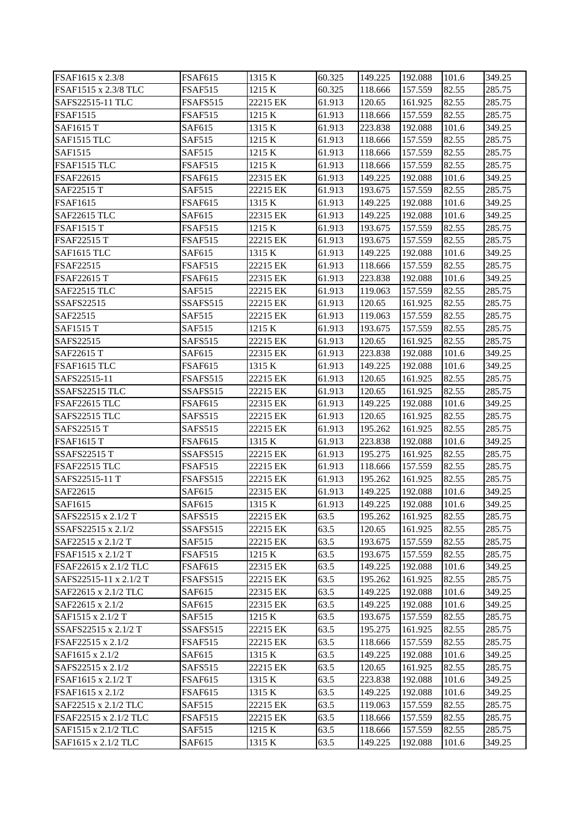| FSAF1615 x 2.3/8                         | <b>FSAF615</b>           | 1315 K             | 60.325       | 149.225            | 192.088            | 101.6          | 349.25           |
|------------------------------------------|--------------------------|--------------------|--------------|--------------------|--------------------|----------------|------------------|
| FSAF1515 x 2.3/8 TLC                     | FSAF515                  | 1215 K             | 60.325       | 118.666            | 157.559            | 82.55          | 285.75           |
| SAFS22515-11 TLC                         | <b>FSAFS515</b>          | 22215 EK           | 61.913       | 120.65             | 161.925            | 82.55          | 285.75           |
| <b>FSAF1515</b>                          | FSAF515                  | 1215 K             | 61.913       | 118.666            | 157.559            | 82.55          | 285.75           |
| <b>SAF1615 T</b>                         | SAF615                   | 1315 K             | 61.913       | 223.838            | 192.088            | 101.6          | 349.25           |
| SAF1515 TLC                              | SAF515                   | 1215 K             | 61.913       | 118.666            | 157.559            | 82.55          | 285.75           |
| SAF1515                                  | SAF515                   | 1215 K             | 61.913       | 118.666            | 157.559            | 82.55          | 285.75           |
| FSAF1515 TLC                             | FSAF515                  | 1215 K             | 61.913       | 118.666            | 157.559            | 82.55          | 285.75           |
| FSAF22615                                | FSAF615                  | 22315 EK           | 61.913       | 149.225            | 192.088            | 101.6          | 349.25           |
| SAF22515 T                               | SAF515                   | 22215 EK           | 61.913       | 193.675            | 157.559            | 82.55          | 285.75           |
| <b>FSAF1615</b>                          | <b>FSAF615</b>           | 1315 K             | 61.913       | 149.225            | 192.088            | 101.6          | 349.25           |
| <b>SAF22615 TLC</b>                      | SAF615                   | 22315 EK           | 61.913       | 149.225            | 192.088            | 101.6          | 349.25           |
| <b>FSAF1515 T</b>                        | <b>FSAF515</b>           | 1215 K             | 61.913       | 193.675            | 157.559            | 82.55          | 285.75           |
| <b>FSAF22515 T</b>                       | <b>FSAF515</b>           | 22215 EK           | 61.913       | 193.675            | 157.559            | 82.55          | 285.75           |
| SAF1615 TLC                              | SAF615                   | 1315 K             | 61.913       | 149.225            | 192.088            | 101.6          | 349.25           |
| FSAF22515                                | FSAF515                  | 22215 EK           | 61.913       | 118.666            | 157.559            | 82.55          | 285.75           |
| <b>FSAF22615 T</b>                       | <b>FSAF615</b>           | 22315 EK           | 61.913       | 223.838            | 192.088            | 101.6          | 349.25           |
| SAF22515 TLC                             | <b>SAF515</b>            | 22215 EK           | 61.913       | 119.063            | 157.559            | 82.55          | 285.75           |
| SSAFS22515                               | SSAFS515                 | 22215 EK           | 61.913       | 120.65             | 161.925            | 82.55          | 285.75           |
| SAF22515                                 | SAF515                   | 22215 EK           | 61.913       | 119.063            | 157.559            | 82.55          | 285.75           |
| <b>SAF1515 T</b>                         | <b>SAF515</b>            | 1215 K             | 61.913       | 193.675            | 157.559            | 82.55          | 285.75           |
| SAFS22515                                | SAFS515                  | 22215 EK           | 61.913       | 120.65             | 161.925            | 82.55          | 285.75           |
| SAF22615 T                               | SAF615                   | 22315 EK           | 61.913       | 223.838            | 192.088            | 101.6          | 349.25           |
| FSAF1615 TLC                             | FSAF615                  | 1315 K             | 61.913       | 149.225            | 192.088            | 101.6          | 349.25           |
| SAFS22515-11                             | FSAFS515                 | 22215 EK           | 61.913       | 120.65             | 161.925            | 82.55          | 285.75           |
| SSAFS22515 TLC                           | SSAFS515                 | 22215 EK           | 61.913       | 120.65             | 161.925            | 82.55          | 285.75           |
| FSAF22615 TLC                            | <b>FSAF615</b>           | 22315 EK           | 61.913       | 149.225            | 192.088            | 101.6          | 349.25           |
| SAFS22515 TLC                            | SAFS515                  | 22215 EK           | 61.913       | 120.65             | 161.925            | 82.55          | 285.75           |
| SAFS22515 T                              | SAFS515                  | 22215 EK           | 61.913       | 195.262            | 161.925            | 82.55          | 285.75           |
| <b>FSAF1615 T</b>                        | <b>FSAF615</b>           | 1315 K             | 61.913       | 223.838            | 192.088            | 101.6          | 349.25           |
| <b>SSAFS22515 T</b>                      | SSAFS515                 | 22215 EK           | 61.913       | 195.275            | 161.925            | 82.55          | 285.75           |
| <b>FSAF22515 TLC</b>                     | FSAF515                  | 22215 EK           | 61.913       | 118.666            | 157.559            | 82.55          | 285.75           |
| SAFS22515-11 T                           | FSAFS515                 | 22215 EK           | 61.913       | 195.262            | 161.925            | 82.55          | 285.75           |
| SAF22615                                 | SAF615                   | 22315 EK           | 61.913       | 149.225            | 192.088            | 101.6          | 349.25           |
| SAF1615                                  | SAF615                   | 1315 K             | 61.913       | 149.225            | 192.088            | 101.6          | 349.25           |
| SAFS22515 x 2.1/2 T                      | <b>SAFS515</b>           | 22215 EK           | 63.5         | 195.262            | 161.925            | 82.55          | 285.75           |
| SSAFS22515 x 2.1/2                       | SSAFS515                 | 22215 EK           | 63.5         | 120.65             | 161.925            | 82.55          | 285.75           |
| SAF22515 x 2.1/2 T                       | <b>SAF515</b>            | 22215 EK           | 63.5         | 193.675            | 157.559            | 82.55          | 285.75           |
| FSAF1515 x 2.1/2 T                       | <b>FSAF515</b>           | 1215 K             | 63.5         | 193.675            | 157.559            | 82.55          | 285.75           |
| FSAF22615 x 2.1/2 TLC                    | FSAF615                  | 22315 EK           | 63.5         | 149.225            | 192.088            | 101.6          | 349.25           |
| SAFS22515-11 x 2.1/2 T                   | <b>FSAFS515</b>          | 22215 EK           | 63.5         | 195.262            | 161.925            | 82.55          | 285.75           |
| SAF22615 x 2.1/2 TLC                     | SAF615                   | 22315 EK           | 63.5         | 149.225            | 192.088            | 101.6          | 349.25           |
| SAF22615 x 2.1/2                         | SAF615                   | 22315 EK           | 63.5         | 149.225            | 192.088            | 101.6          | 349.25           |
| SAF1515 x 2.1/2 T                        | SAF515                   | 1215 K             | 63.5         | 193.675            | 157.559            | 82.55          | 285.75           |
| SSAFS22515 x 2.1/2 T                     | SSAFS515                 | 22215 EK           | 63.5         | 195.275            | 161.925            | 82.55          | 285.75           |
| FSAF22515 x 2.1/2                        | <b>FSAF515</b>           | 22215 EK           | 63.5         | 118.666            | 157.559            | 82.55          | 285.75           |
| SAF1615 x 2.1/2                          | SAF615                   | 1315 K             | 63.5         | 149.225            | 192.088            | 101.6          | 349.25           |
| SAFS22515 x 2.1/2                        | <b>SAFS515</b>           | 22215 EK           | 63.5         | 120.65             | 161.925            | 82.55          | 285.75           |
| FSAF1615 x 2.1/2 T                       | <b>FSAF615</b>           | 1315 K             | 63.5         | 223.838            | 192.088            | 101.6          | 349.25           |
| FSAF1615 x 2.1/2<br>SAF22515 x 2.1/2 TLC | <b>FSAF615</b><br>SAF515 | 1315 K<br>22215 EK | 63.5<br>63.5 | 149.225<br>119.063 | 192.088<br>157.559 | 101.6<br>82.55 | 349.25<br>285.75 |
| FSAF22515 x 2.1/2 TLC                    | FSAF515                  | 22215 EK           | 63.5         | 118.666            | 157.559            | 82.55          | 285.75           |
| SAF1515 x 2.1/2 TLC                      | SAF515                   | 1215 K             | 63.5         | 118.666            | 157.559            | 82.55          | 285.75           |
| SAF1615 x 2.1/2 TLC                      | SAF615                   | 1315 K             | 63.5         | 149.225            | 192.088            | 101.6          | 349.25           |
|                                          |                          |                    |              |                    |                    |                |                  |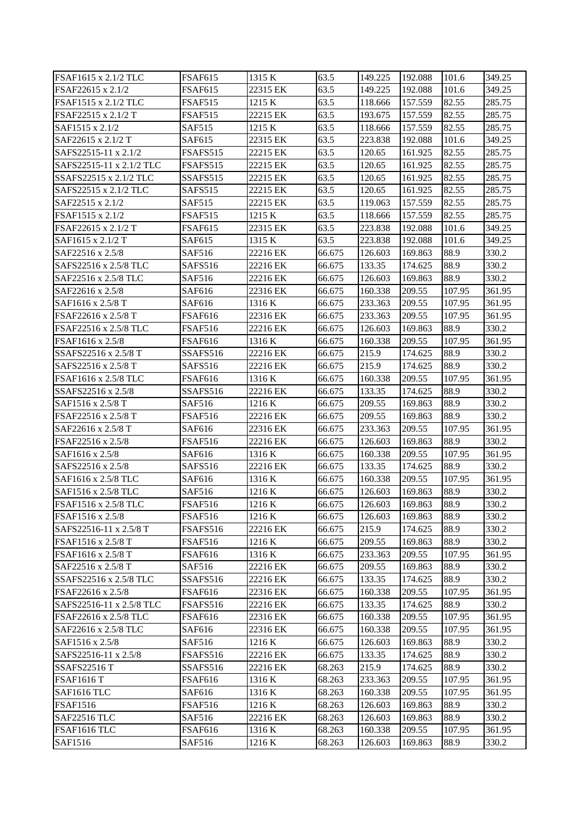| FSAF1615 x 2.1/2 TLC     | <b>FSAF615</b>    | 1315 K   | 63.5   | 149.225           | 192.088 | 101.6  | 349.25 |
|--------------------------|-------------------|----------|--------|-------------------|---------|--------|--------|
| FSAF22615 x 2.1/2        | <b>FSAF615</b>    | 22315 EK | 63.5   | 149.225           | 192.088 | 101.6  | 349.25 |
| FSAF1515 x 2.1/2 TLC     | <b>FSAF515</b>    | 1215 K   | 63.5   | 118.666           | 157.559 | 82.55  | 285.75 |
| FSAF22515 x 2.1/2 T      | FSAF515           | 22215 EK | 63.5   | 193.675           | 157.559 | 82.55  | 285.75 |
| SAF1515 x 2.1/2          | <b>SAF515</b>     | 1215 K   | 63.5   | 118.666           | 157.559 | 82.55  | 285.75 |
| SAF22615 x 2.1/2 T       | SAF615            | 22315 EK | 63.5   | 223.838           | 192.088 | 101.6  | 349.25 |
| SAFS22515-11 x 2.1/2     | FSAFS515          | 22215 EK | 63.5   | 120.65            | 161.925 | 82.55  | 285.75 |
| SAFS22515-11 x 2.1/2 TLC | FSAFS515          | 22215 EK | 63.5   | 120.65            | 161.925 | 82.55  | 285.75 |
| SSAFS22515 x 2.1/2 TLC   | SSAFS515          | 22215 EK | 63.5   | 120.65            | 161.925 | 82.55  | 285.75 |
| SAFS22515 x 2.1/2 TLC    | SAFS515           | 22215 EK | 63.5   | 120.65            | 161.925 | 82.55  | 285.75 |
| SAF22515 x 2.1/2         | SAF515            | 22215 EK | 63.5   | 119.063           | 157.559 | 82.55  | 285.75 |
| FSAF1515 x 2.1/2         | <b>FSAF515</b>    | 1215 K   | 63.5   | 118.666           | 157.559 | 82.55  | 285.75 |
| FSAF22615 x 2.1/2 T      | <b>FSAF615</b>    | 22315 EK | 63.5   | 223.838           | 192.088 | 101.6  | 349.25 |
| SAF1615 x 2.1/2 T        | SAF615            | 1315 K   | 63.5   | 223.838           | 192.088 | 101.6  | 349.25 |
|                          |                   | 22216 EK |        |                   |         | 88.9   | 330.2  |
| SAF22516 x 2.5/8         | SAF516<br>SAFS516 | 22216 EK | 66.675 | 126.603<br>133.35 | 169.863 | 88.9   | 330.2  |
| SAFS22516 x 2.5/8 TLC    | SAF516            | 22216 EK | 66.675 | 126.603           | 174.625 | 88.9   | 330.2  |
| SAF22516 x 2.5/8 TLC     |                   |          | 66.675 |                   | 169.863 |        |        |
| SAF22616 x 2.5/8         | SAF616            | 22316 EK | 66.675 | 160.338           | 209.55  | 107.95 | 361.95 |
| SAF1616 x 2.5/8 T        | SAF616            | 1316 K   | 66.675 | 233.363           | 209.55  | 107.95 | 361.95 |
| FSAF22616 x 2.5/8 T      | FSAF616           | 22316 EK | 66.675 | 233.363           | 209.55  | 107.95 | 361.95 |
| FSAF22516 x 2.5/8 TLC    | FSAF516           | 22216 EK | 66.675 | 126.603           | 169.863 | 88.9   | 330.2  |
| FSAF1616 x 2.5/8         | FSAF616           | 1316 K   | 66.675 | 160.338           | 209.55  | 107.95 | 361.95 |
| SSAFS22516 x 2.5/8 T     | SSAFS516          | 22216 EK | 66.675 | 215.9             | 174.625 | 88.9   | 330.2  |
| SAFS22516 x 2.5/8 T      | SAFS516           | 22216 EK | 66.675 | 215.9             | 174.625 | 88.9   | 330.2  |
| FSAF1616 x 2.5/8 TLC     | FSAF616           | 1316 K   | 66.675 | 160.338           | 209.55  | 107.95 | 361.95 |
| SSAFS22516 x 2.5/8       | SSAFS516          | 22216 EK | 66.675 | 133.35            | 174.625 | 88.9   | 330.2  |
| SAF1516 x 2.5/8 T        | SAF516            | 1216 K   | 66.675 | 209.55            | 169.863 | 88.9   | 330.2  |
| FSAF22516 x 2.5/8 T      | FSAF516           | 22216 EK | 66.675 | 209.55            | 169.863 | 88.9   | 330.2  |
| SAF22616 x 2.5/8 T       | SAF616            | 22316 EK | 66.675 | 233.363           | 209.55  | 107.95 | 361.95 |
| FSAF22516 x 2.5/8        | FSAF516           | 22216 EK | 66.675 | 126.603           | 169.863 | 88.9   | 330.2  |
| SAF1616 x 2.5/8          | SAF616            | 1316 K   | 66.675 | 160.338           | 209.55  | 107.95 | 361.95 |
| SAFS22516 x 2.5/8        | SAFS516           | 22216 EK | 66.675 | 133.35            | 174.625 | 88.9   | 330.2  |
| SAF1616 x 2.5/8 TLC      | SAF616            | 1316 K   | 66.675 | 160.338           | 209.55  | 107.95 | 361.95 |
| SAF1516 x 2.5/8 TLC      | SAF516            | 1216 K   | 66.675 | 126.603           | 169.863 | 88.9   | 330.2  |
| FSAF1516 x 2.5/8 TLC     | <b>FSAF516</b>    | 1216 K   | 66.675 | 126.603           | 169.863 | 88.9   | 330.2  |
| FSAF1516 x 2.5/8         | <b>FSAF516</b>    | 1216 K   | 66.675 | 126.603           | 169.863 | 88.9   | 330.2  |
| SAFS22516-11 x 2.5/8 T   | <b>FSAFS516</b>   | 22216 EK | 66.675 | 215.9             | 174.625 | 88.9   | 330.2  |
| FSAF1516 x 2.5/8 T       | <b>FSAF516</b>    | 1216 K   | 66.675 | 209.55            | 169.863 | 88.9   | 330.2  |
| FSAF1616 x 2.5/8 T       | FSAF616           | 1316 K   | 66.675 | 233.363           | 209.55  | 107.95 | 361.95 |
| SAF22516 x 2.5/8 T       | SAF516            | 22216 EK | 66.675 | 209.55            | 169.863 | 88.9   | 330.2  |
| SSAFS22516 x 2.5/8 TLC   | SSAFS516          | 22216 EK | 66.675 | 133.35            | 174.625 | 88.9   | 330.2  |
| FSAF22616 x 2.5/8        | FSAF616           | 22316 EK | 66.675 | 160.338           | 209.55  | 107.95 | 361.95 |
| SAFS22516-11 x 2.5/8 TLC | FSAFS516          | 22216 EK | 66.675 | 133.35            | 174.625 | 88.9   | 330.2  |
| FSAF22616 x 2.5/8 TLC    | FSAF616           | 22316 EK | 66.675 | 160.338           | 209.55  | 107.95 | 361.95 |
| SAF22616 x 2.5/8 TLC     | SAF616            | 22316 EK | 66.675 | 160.338           | 209.55  | 107.95 | 361.95 |
| SAF1516 x 2.5/8          | SAF516            | 1216K    | 66.675 | 126.603           | 169.863 | 88.9   | 330.2  |
| SAFS22516-11 x 2.5/8     | FSAFS516          | 22216 EK | 66.675 | 133.35            | 174.625 | 88.9   | 330.2  |
| <b>SSAFS22516 T</b>      | SSAFS516          | 22216 EK | 68.263 | 215.9             | 174.625 | 88.9   | 330.2  |
| <b>FSAF1616 T</b>        | <b>FSAF616</b>    | 1316 K   | 68.263 | 233.363           | 209.55  | 107.95 | 361.95 |
| SAF1616 TLC              | SAF616            | 1316 K   | 68.263 | 160.338           | 209.55  | 107.95 | 361.95 |
| <b>FSAF1516</b>          | FSAF516           | 1216 K   | 68.263 | 126.603           | 169.863 | 88.9   | 330.2  |
| SAF22516 TLC             | SAF516            | 22216 EK | 68.263 | 126.603           | 169.863 | 88.9   | 330.2  |
| FSAF1616 TLC             | <b>FSAF616</b>    | 1316K    | 68.263 | 160.338           | 209.55  | 107.95 | 361.95 |
| SAF1516                  | SAF516            | 1216 K   | 68.263 | 126.603           | 169.863 | 88.9   | 330.2  |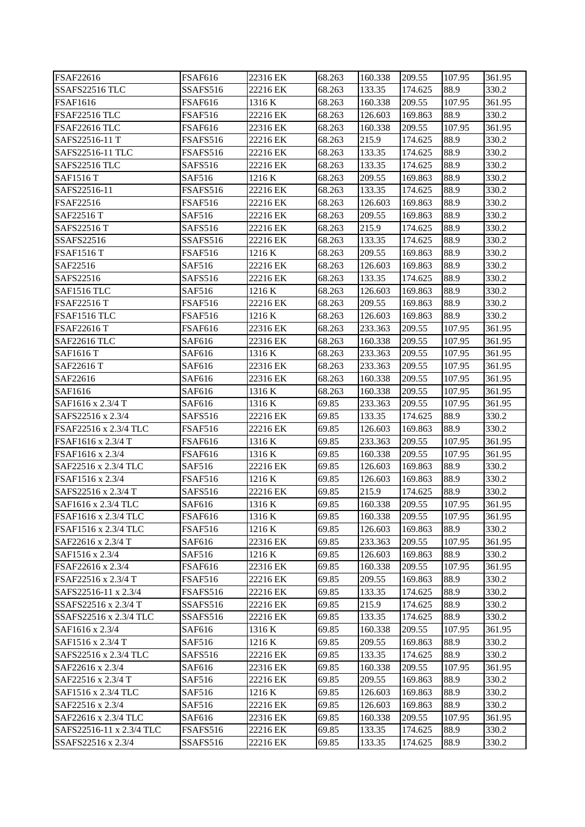| FSAF22616                              | <b>FSAF616</b>   | 22316 EK             | 68.263         | 160.338           | 209.55            | 107.95         | 361.95          |
|----------------------------------------|------------------|----------------------|----------------|-------------------|-------------------|----------------|-----------------|
| SSAFS22516 TLC                         | SSAFS516         | 22216 EK             | 68.263         | 133.35            | 174.625           | 88.9           | 330.2           |
| <b>FSAF1616</b>                        | <b>FSAF616</b>   | 1316 K               | 68.263         | 160.338           | 209.55            | 107.95         | 361.95          |
| FSAF22516 TLC                          | <b>FSAF516</b>   | 22216 EK             | 68.263         | 126.603           | 169.863           | 88.9           | 330.2           |
| FSAF22616 TLC                          | <b>FSAF616</b>   | 22316 EK             | 68.263         | 160.338           | 209.55            | 107.95         | 361.95          |
| SAFS22516-11 T                         | FSAFS516         | 22216 EK             | 68.263         | 215.9             | 174.625           | 88.9           | 330.2           |
| SAFS22516-11 TLC                       | FSAFS516         | 22216 EK             | 68.263         | 133.35            | 174.625           | 88.9           | 330.2           |
| SAFS22516 TLC                          | SAFS516          | 22216 EK             | 68.263         | 133.35            | 174.625           | 88.9           | 330.2           |
| <b>SAF1516 T</b>                       | SAF516           | 1216 K               | 68.263         | 209.55            | 169.863           | 88.9           | 330.2           |
| SAFS22516-11                           | FSAFS516         | 22216 EK             | 68.263         | 133.35            | 174.625           | 88.9           | 330.2           |
| FSAF22516                              | <b>FSAF516</b>   | 22216 EK             | 68.263         | 126.603           | 169.863           | 88.9           | 330.2           |
| SAF22516 T                             | SAF516           | 22216 EK             | 68.263         | 209.55            | 169.863           | 88.9           | 330.2           |
| SAFS22516 T                            | SAFS516          | 22216 EK             | 68.263         | 215.9             | 174.625           | 88.9           | 330.2           |
| SSAFS22516                             | SSAFS516         | 22216 EK             | 68.263         | 133.35            | 174.625           | 88.9           | 330.2           |
| <b>FSAF1516 T</b>                      | FSAF516          | 1216 K               | 68.263         | 209.55            | 169.863           | 88.9           | 330.2           |
| SAF22516                               | SAF516           | 22216 EK             | 68.263         | 126.603           | 169.863           | 88.9           | 330.2           |
| SAFS22516                              | SAFS516          | 22216 EK             | 68.263         | 133.35            | 174.625           | 88.9           | 330.2           |
| SAF1516 TLC                            | SAF516           | 1216 K               | 68.263         | 126.603           | 169.863           | 88.9           | 330.2           |
| <b>FSAF22516 T</b>                     | <b>FSAF516</b>   | 22216 EK             | 68.263         | 209.55            | 169.863           | 88.9           | 330.2           |
| FSAF1516 TLC                           | FSAF516          | 1216 K               | 68.263         | 126.603           | 169.863           | 88.9           | 330.2           |
| FSAF22616 T                            | <b>FSAF616</b>   | 22316 EK             | 68.263         | 233.363           | 209.55            | 107.95         | 361.95          |
| <b>SAF22616 TLC</b>                    | SAF616           | 22316 EK             | 68.263         | 160.338           | 209.55            | 107.95         | 361.95          |
| <b>SAF1616 T</b>                       | SAF616           | 1316 K               | 68.263         | 233.363           | 209.55            | 107.95         | 361.95          |
| SAF22616 T                             | SAF616           | 22316 EK             | 68.263         | 233.363           | 209.55            | 107.95         | 361.95          |
| SAF22616                               | SAF616           | 22316 EK             | 68.263         | 160.338           | 209.55            | 107.95         | 361.95          |
| SAF1616                                | SAF616           | 1316 K               | 68.263         | 160.338           | 209.55            | 107.95         | 361.95          |
| SAF1616 x 2.3/4 T                      | SAF616           | 1316 K               | 69.85          | 233.363           | 209.55            | 107.95         | 361.95          |
| SAFS22516 x 2.3/4                      | SAFS516          | 22216 EK             | 69.85          | 133.35            | 174.625           | 88.9           | 330.2           |
| FSAF22516 x 2.3/4 TLC                  | <b>FSAF516</b>   | 22216 EK             | 69.85          | 126.603           | 169.863           | 88.9           | 330.2           |
| FSAF1616 x 2.3/4 T                     | <b>FSAF616</b>   | 1316 K               | 69.85          | 233.363           | 209.55            | 107.95         | 361.95          |
| FSAF1616 x 2.3/4                       | FSAF616          | 1316 K               | 69.85          | 160.338           | 209.55            | 107.95         | 361.95          |
| SAF22516 x 2.3/4 TLC                   | SAF516           | 22216 EK             | 69.85          | 126.603           | 169.863           | 88.9           | 330.2           |
| FSAF1516 x 2.3/4                       | FSAF516          | 1216 K               | 69.85          | 126.603           | 169.863           | 88.9           | 330.2           |
| SAFS22516 x 2.3/4 T                    | SAFS516          | 22216 EK             | 69.85          | 215.9             | 174.625           | 88.9           | 330.2           |
| SAF1616 x 2.3/4 TLC                    | SAF616           | 1316 K               | 69.85          | 160.338           | 209.55            | 107.95         | 361.95          |
| FSAF1616 x 2.3/4 TLC                   | FSAF616          | 1316 K               | 69.85          | 160.338           | 209.55            | 107.95         | 361.95          |
| FSAF1516 x 2.3/4 TLC                   | <b>FSAF516</b>   | 1216 K               | 69.85          | 126.603           | 169.863           | 88.9           | 330.2           |
| SAF22616 x 2.3/4 T                     | SAF616           | 22316 EK             | 69.85          | 233.363           | 209.55            | 107.95         | 361.95          |
| SAF1516 x 2.3/4                        | SAF516           | 1216 K               | 69.85          | 126.603           | 169.863           | 88.9           | 330.2           |
| FSAF22616 x 2.3/4                      | FSAF616          | 22316 EK             | 69.85          | 160.338           | 209.55            | 107.95         | 361.95          |
| FSAF22516 x 2.3/4 T                    | <b>FSAF516</b>   | 22216 EK             | 69.85          | 209.55            | 169.863           | 88.9           | 330.2           |
| SAFS22516-11 x 2.3/4                   | FSAFS516         | 22216 EK             | 69.85          | 133.35            | 174.625           | 88.9           | 330.2           |
| SSAFS22516 x 2.3/4 T                   | SSAFS516         | 22216 EK             | 69.85          | 215.9             | 174.625           | 88.9           | 330.2           |
| SSAFS22516 x 2.3/4 TLC                 | SSAFS516         | 22216 EK             | 69.85          | 133.35            | 174.625           | 88.9           | 330.2           |
| SAF1616 x 2.3/4                        | SAF616           | 1316 K               | 69.85          | 160.338           | 209.55            | 107.95         | 361.95          |
| SAF1516 x 2.3/4 T                      | SAF516           | 1216 K               | 69.85          | 209.55            | 169.863           | 88.9           | 330.2           |
| SAFS22516 x 2.3/4 TLC                  | SAFS516          | 22216 EK<br>22316 EK | 69.85<br>69.85 | 133.35            | 174.625           | 88.9<br>107.95 | 330.2           |
| SAF22616 x 2.3/4<br>SAF22516 x 2.3/4 T | SAF616<br>SAF516 | 22216 EK             | 69.85          | 160.338<br>209.55 | 209.55<br>169.863 | 88.9           | 361.95<br>330.2 |
| SAF1516 x 2.3/4 TLC                    | SAF516           | 1216 K               | 69.85          | 126.603           | 169.863           | 88.9           | 330.2           |
| SAF22516 x 2.3/4                       | SAF516           | 22216 EK             | 69.85          | 126.603           | 169.863           | 88.9           | 330.2           |
| SAF22616 x 2.3/4 TLC                   | SAF616           | 22316 EK             | 69.85          | 160.338           | 209.55            | 107.95         | 361.95          |
| SAFS22516-11 x 2.3/4 TLC               | FSAFS516         | 22216 EK             | 69.85          | 133.35            | 174.625           | 88.9           | 330.2           |
| SSAFS22516 x 2.3/4                     | SSAFS516         | 22216 EK             | 69.85          | 133.35            | 174.625           | 88.9           | 330.2           |
|                                        |                  |                      |                |                   |                   |                |                 |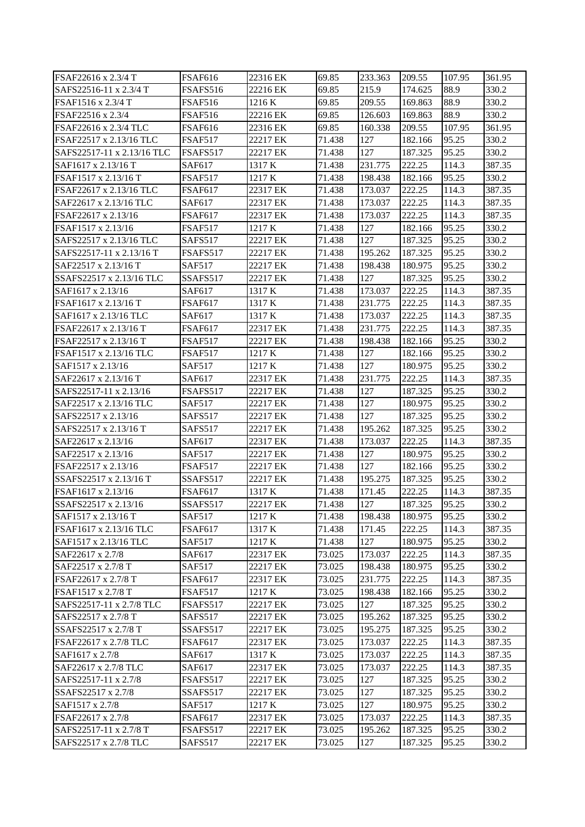| FSAF22616 x 2.3/4 T        | <b>FSAF616</b> | 22316 EK | 69.85  | 233.363 | 209.55  | 107.95 | 361.95 |
|----------------------------|----------------|----------|--------|---------|---------|--------|--------|
| SAFS22516-11 x 2.3/4 T     | FSAFS516       | 22216 EK | 69.85  | 215.9   | 174.625 | 88.9   | 330.2  |
| FSAF1516 x 2.3/4 T         | <b>FSAF516</b> | 1216 K   | 69.85  | 209.55  | 169.863 | 88.9   | 330.2  |
| FSAF22516 x 2.3/4          | <b>FSAF516</b> | 22216 EK | 69.85  | 126.603 | 169.863 | 88.9   | 330.2  |
| FSAF22616 x 2.3/4 TLC      | <b>FSAF616</b> | 22316 EK | 69.85  | 160.338 | 209.55  | 107.95 | 361.95 |
| FSAF22517 x 2.13/16 TLC    | FSAF517        | 22217 EK | 71.438 | 127     | 182.166 | 95.25  | 330.2  |
| SAFS22517-11 x 2.13/16 TLC | FSAFS517       | 22217 EK | 71.438 | 127     | 187.325 | 95.25  | 330.2  |
| SAF1617 x 2.13/16 T        | SAF617         | 1317 K   | 71.438 | 231.775 | 222.25  | 114.3  | 387.35 |
| FSAF1517 x 2.13/16 T       | FSAF517        | 1217 K   | 71.438 | 198.438 | 182.166 | 95.25  | 330.2  |
| FSAF22617 x 2.13/16 TLC    | <b>FSAF617</b> | 22317 EK | 71.438 | 173.037 | 222.25  | 114.3  | 387.35 |
| SAF22617 x 2.13/16 TLC     | SAF617         | 22317 EK | 71.438 | 173.037 | 222.25  | 114.3  | 387.35 |
| FSAF22617 x 2.13/16        | <b>FSAF617</b> | 22317 EK | 71.438 | 173.037 | 222.25  | 114.3  | 387.35 |
| FSAF1517 x 2.13/16         | <b>FSAF517</b> | 1217 K   | 71.438 | 127     | 182.166 | 95.25  | 330.2  |
| SAFS22517 x 2.13/16 TLC    | SAFS517        | 22217 EK | 71.438 | 127     | 187.325 | 95.25  | 330.2  |
| SAFS22517-11 x 2.13/16 T   | FSAFS517       | 22217 EK | 71.438 | 195.262 | 187.325 | 95.25  | 330.2  |
| SAF22517 x 2.13/16 T       | <b>SAF517</b>  | 22217 EK | 71.438 | 198.438 | 180.975 | 95.25  | 330.2  |
| SSAFS22517 x 2.13/16 TLC   | SSAFS517       | 22217 EK | 71.438 | 127     | 187.325 | 95.25  | 330.2  |
| SAF1617 x 2.13/16          | SAF617         | 1317 K   | 71.438 | 173.037 | 222.25  | 114.3  | 387.35 |
| FSAF1617 x 2.13/16 T       | <b>FSAF617</b> | 1317 K   | 71.438 | 231.775 | 222.25  | 114.3  | 387.35 |
| SAF1617 x 2.13/16 TLC      | SAF617         | 1317 K   | 71.438 | 173.037 | 222.25  | 114.3  | 387.35 |
| FSAF22617 x 2.13/16 T      | FSAF617        | 22317 EK | 71.438 | 231.775 | 222.25  | 114.3  | 387.35 |
| FSAF22517 x 2.13/16 T      | <b>FSAF517</b> | 22217 EK | 71.438 | 198.438 | 182.166 | 95.25  | 330.2  |
| FSAF1517 x 2.13/16 TLC     | FSAF517        | 1217 K   | 71.438 | 127     | 182.166 | 95.25  | 330.2  |
| SAF1517 x 2.13/16          | <b>SAF517</b>  | 1217 K   | 71.438 | 127     | 180.975 | 95.25  | 330.2  |
| SAF22617 x 2.13/16 T       | SAF617         | 22317 EK | 71.438 | 231.775 | 222.25  | 114.3  | 387.35 |
| SAFS22517-11 x 2.13/16     | FSAFS517       | 22217 EK | 71.438 | 127     | 187.325 | 95.25  | 330.2  |
| SAF22517 x 2.13/16 TLC     | <b>SAF517</b>  | 22217 EK | 71.438 | 127     | 180.975 | 95.25  | 330.2  |
| SAFS22517 x 2.13/16        | SAFS517        | 22217 EK | 71.438 | 127     | 187.325 | 95.25  | 330.2  |
| SAFS22517 x 2.13/16 T      | SAFS517        | 22217 EK | 71.438 | 195.262 | 187.325 | 95.25  | 330.2  |
| SAF22617 x 2.13/16         | SAF617         | 22317 EK | 71.438 | 173.037 | 222.25  | 114.3  | 387.35 |
| SAF22517 x 2.13/16         | <b>SAF517</b>  | 22217 EK | 71.438 | 127     | 180.975 | 95.25  | 330.2  |
| FSAF22517 x 2.13/16        | <b>FSAF517</b> | 22217 EK | 71.438 | 127     | 182.166 | 95.25  | 330.2  |
| SSAFS22517 x 2.13/16 T     | SSAFS517       | 22217 EK | 71.438 | 195.275 | 187.325 | 95.25  | 330.2  |
| FSAF1617 x 2.13/16         | <b>FSAF617</b> | 1317 K   | 71.438 | 171.45  | 222.25  | 114.3  | 387.35 |
| SSAFS22517 x 2.13/16       | SSAFS517       | 22217 EK | 71.438 | 127     | 187.325 | 95.25  | 330.2  |
| SAF1517 x 2.13/16 T        | <b>SAF517</b>  | 1217 K   | 71.438 | 198.438 | 180.975 | 95.25  | 330.2  |
| FSAF1617 x 2.13/16 TLC     | <b>FSAF617</b> | 1317 K   | 71.438 | 171.45  | 222.25  | 114.3  | 387.35 |
| SAF1517 x 2.13/16 TLC      | <b>SAF517</b>  | 1217 K   | 71.438 | 127     | 180.975 | 95.25  | 330.2  |
| SAF22617 x 2.7/8           | SAF617         | 22317 EK | 73.025 | 173.037 | 222.25  | 114.3  | 387.35 |
| SAF22517 x 2.7/8 T         | SAF517         | 22217 EK | 73.025 | 198.438 | 180.975 | 95.25  | 330.2  |
| FSAF22617 x 2.7/8 T        | <b>FSAF617</b> | 22317 EK | 73.025 | 231.775 | 222.25  | 114.3  | 387.35 |
| FSAF1517 x 2.7/8 T         | <b>FSAF517</b> | 1217 K   | 73.025 | 198.438 | 182.166 | 95.25  | 330.2  |
| SAFS22517-11 x 2.7/8 TLC   | FSAFS517       | 22217 EK | 73.025 | 127     | 187.325 | 95.25  | 330.2  |
| SAFS22517 x 2.7/8 T        | SAFS517        | 22217 EK | 73.025 | 195.262 | 187.325 | 95.25  | 330.2  |
| SSAFS22517 x 2.7/8 T       | SSAFS517       | 22217 EK | 73.025 | 195.275 | 187.325 | 95.25  | 330.2  |
| FSAF22617 x 2.7/8 TLC      | <b>FSAF617</b> | 22317 EK | 73.025 | 173.037 | 222.25  | 114.3  | 387.35 |
| SAF1617 x 2.7/8            | SAF617         | 1317 K   | 73.025 | 173.037 | 222.25  | 114.3  | 387.35 |
| SAF22617 x 2.7/8 TLC       | SAF617         | 22317 EK | 73.025 | 173.037 | 222.25  | 114.3  | 387.35 |
| SAFS22517-11 x 2.7/8       | FSAFS517       | 22217 EK | 73.025 | 127     | 187.325 | 95.25  | 330.2  |
| SSAFS22517 x 2.7/8         | SSAFS517       | 22217 EK | 73.025 | 127     | 187.325 | 95.25  | 330.2  |
| SAF1517 x 2.7/8            | SAF517         | 1217 K   | 73.025 | 127     | 180.975 | 95.25  | 330.2  |
| FSAF22617 x 2.7/8          | FSAF617        | 22317 EK | 73.025 | 173.037 | 222.25  | 114.3  | 387.35 |
| SAFS22517-11 x 2.7/8 T     | FSAFS517       | 22217 EK | 73.025 | 195.262 | 187.325 | 95.25  | 330.2  |
| SAFS22517 x 2.7/8 TLC      | SAFS517        | 22217 EK | 73.025 | 127     | 187.325 | 95.25  | 330.2  |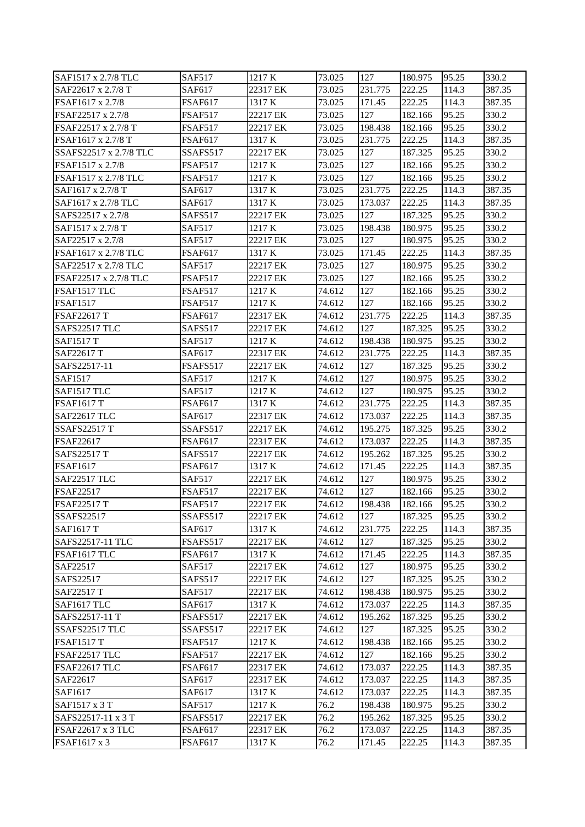| SAF1517 x 2.7/8 TLC    | <b>SAF517</b>  | 1217 K   | 73.025 | 127     | 180.975 | 95.25 | 330.2  |
|------------------------|----------------|----------|--------|---------|---------|-------|--------|
| SAF22617 x 2.7/8 T     | SAF617         | 22317 EK | 73.025 | 231.775 | 222.25  | 114.3 | 387.35 |
| FSAF1617 x 2.7/8       | <b>FSAF617</b> | 1317 K   | 73.025 | 171.45  | 222.25  | 114.3 | 387.35 |
| FSAF22517 x 2.7/8      | <b>FSAF517</b> | 22217 EK | 73.025 | 127     | 182.166 | 95.25 | 330.2  |
| FSAF22517 x 2.7/8 T    | FSAF517        | 22217 EK | 73.025 | 198.438 | 182.166 | 95.25 | 330.2  |
| FSAF1617 x 2.7/8 T     | <b>FSAF617</b> | 1317 K   | 73.025 | 231.775 | 222.25  | 114.3 | 387.35 |
| SSAFS22517 x 2.7/8 TLC | SSAFS517       | 22217 EK | 73.025 | 127     | 187.325 | 95.25 | 330.2  |
| FSAF1517 x 2.7/8       | FSAF517        | 1217 K   | 73.025 | 127     | 182.166 | 95.25 | 330.2  |
| FSAF1517 x 2.7/8 TLC   | FSAF517        | 1217 K   | 73.025 | 127     | 182.166 | 95.25 | 330.2  |
| SAF1617 x 2.7/8 T      | SAF617         | 1317 K   | 73.025 | 231.775 | 222.25  | 114.3 | 387.35 |
| SAF1617 x 2.7/8 TLC    | SAF617         | 1317 K   | 73.025 | 173.037 | 222.25  | 114.3 | 387.35 |
| SAFS22517 x 2.7/8      | SAFS517        | 22217 EK | 73.025 | 127     | 187.325 | 95.25 | 330.2  |
| SAF1517 x 2.7/8 T      | <b>SAF517</b>  | 1217 K   | 73.025 | 198.438 | 180.975 | 95.25 | 330.2  |
| SAF22517 x 2.7/8       | <b>SAF517</b>  | 22217 EK | 73.025 | 127     | 180.975 | 95.25 | 330.2  |
| FSAF1617 x 2.7/8 TLC   | <b>FSAF617</b> | 1317 K   | 73.025 | 171.45  | 222.25  | 114.3 | 387.35 |
| SAF22517 x 2.7/8 TLC   | <b>SAF517</b>  | 22217 EK | 73.025 | 127     | 180.975 | 95.25 | 330.2  |
| FSAF22517 x 2.7/8 TLC  | FSAF517        | 22217 EK | 73.025 | 127     | 182.166 | 95.25 | 330.2  |
| FSAF1517 TLC           | <b>FSAF517</b> | 1217 K   | 74.612 | 127     | 182.166 | 95.25 | 330.2  |
| <b>FSAF1517</b>        | <b>FSAF517</b> | 1217 K   | 74.612 | 127     | 182.166 | 95.25 | 330.2  |
| FSAF22617 T            | <b>FSAF617</b> | 22317 EK | 74.612 | 231.775 | 222.25  | 114.3 | 387.35 |
| SAFS22517 TLC          | SAFS517        | 22217 EK | 74.612 | 127     | 187.325 | 95.25 | 330.2  |
| <b>SAF1517 T</b>       | <b>SAF517</b>  | 1217 K   | 74.612 | 198.438 | 180.975 | 95.25 | 330.2  |
| SAF22617 T             | SAF617         | 22317 EK | 74.612 | 231.775 | 222.25  | 114.3 | 387.35 |
| SAFS22517-11           | FSAFS517       | 22217 EK | 74.612 | 127     | 187.325 | 95.25 | 330.2  |
| SAF1517                | <b>SAF517</b>  | 1217 K   | 74.612 | 127     | 180.975 | 95.25 | 330.2  |
| SAF1517 TLC            | <b>SAF517</b>  | 1217 K   | 74.612 | 127     | 180.975 | 95.25 | 330.2  |
| <b>FSAF1617 T</b>      | FSAF617        | 1317 K   | 74.612 | 231.775 | 222.25  | 114.3 | 387.35 |
| <b>SAF22617 TLC</b>    | SAF617         | 22317 EK | 74.612 | 173.037 | 222.25  | 114.3 | 387.35 |
| <b>SSAFS22517 T</b>    | SSAFS517       | 22217 EK | 74.612 | 195.275 | 187.325 | 95.25 | 330.2  |
| FSAF22617              | <b>FSAF617</b> | 22317 EK | 74.612 | 173.037 | 222.25  | 114.3 | 387.35 |
| <b>SAFS22517 T</b>     | <b>SAFS517</b> | 22217 EK | 74.612 | 195.262 | 187.325 | 95.25 | 330.2  |
| <b>FSAF1617</b>        | FSAF617        | 1317 K   | 74.612 | 171.45  | 222.25  | 114.3 | 387.35 |
| <b>SAF22517 TLC</b>    | <b>SAF517</b>  | 22217 EK | 74.612 | 127     | 180.975 | 95.25 | 330.2  |
| FSAF22517              | <b>FSAF517</b> | 22217 EK | 74.612 | 127     | 182.166 | 95.25 | 330.2  |
| <b>FSAF22517 T</b>     | FSAF517        | 22217 EK | 74.612 | 198.438 | 182.166 | 95.25 | 330.2  |
| SSAFS22517             | SSAFS517       | 22217 EK | 74.612 | 127     | 187.325 | 95.25 | 330.2  |
| <b>SAF1617 T</b>       | SAF617         | 1317 K   | 74.612 | 231.775 | 222.25  | 114.3 | 387.35 |
| SAFS22517-11 TLC       | FSAFS517       | 22217 EK | 74.612 | 127     | 187.325 | 95.25 | 330.2  |
| FSAF1617 TLC           | FSAF617        | 1317 K   | 74.612 | 171.45  | 222.25  | 114.3 | 387.35 |
| SAF22517               | SAF517         | 22217 EK | 74.612 | 127     | 180.975 | 95.25 | 330.2  |
| SAFS22517              | SAFS517        | 22217 EK | 74.612 | 127     | 187.325 | 95.25 | 330.2  |
| SAF22517 T             | <b>SAF517</b>  | 22217 EK | 74.612 | 198.438 | 180.975 | 95.25 | 330.2  |
| SAF1617 TLC            | SAF617         | 1317 K   | 74.612 | 173.037 | 222.25  | 114.3 | 387.35 |
| SAFS22517-11 T         | FSAFS517       | 22217 EK | 74.612 | 195.262 | 187.325 | 95.25 | 330.2  |
| SSAFS22517 TLC         | SSAFS517       | 22217 EK | 74.612 | 127     | 187.325 | 95.25 | 330.2  |
| <b>FSAF1517 T</b>      | <b>FSAF517</b> | 1217 K   | 74.612 | 198.438 | 182.166 | 95.25 | 330.2  |
| FSAF22517 TLC          | FSAF517        | 22217 EK | 74.612 | 127     | 182.166 | 95.25 | 330.2  |
| FSAF22617 TLC          | FSAF617        | 22317 EK | 74.612 | 173.037 | 222.25  | 114.3 | 387.35 |
| SAF22617               | SAF617         | 22317 EK | 74.612 | 173.037 | 222.25  | 114.3 | 387.35 |
| SAF1617                | SAF617         | 1317 K   | 74.612 | 173.037 | 222.25  | 114.3 | 387.35 |
| SAF1517 x 3 T          | <b>SAF517</b>  | 1217 K   | 76.2   | 198.438 | 180.975 | 95.25 | 330.2  |
| SAFS22517-11 x 3 T     | FSAFS517       | 22217 EK | 76.2   | 195.262 | 187.325 | 95.25 | 330.2  |
| FSAF22617 x 3 TLC      | <b>FSAF617</b> | 22317 EK | 76.2   | 173.037 | 222.25  | 114.3 | 387.35 |
| FSAF1617 x 3           | <b>FSAF617</b> | 1317 K   | 76.2   | 171.45  | 222.25  | 114.3 | 387.35 |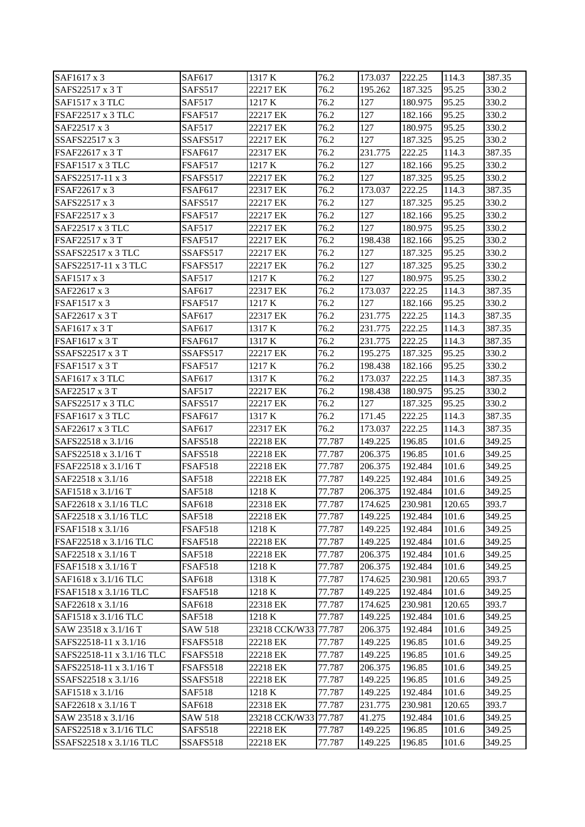| SAF1617 x 3               | SAF617          | 1317 K               | 76.2   | 173.037 | 222.25  | 114.3  | 387.35 |
|---------------------------|-----------------|----------------------|--------|---------|---------|--------|--------|
| SAFS22517 x 3 T           | SAFS517         | 22217 EK             | 76.2   | 195.262 | 187.325 | 95.25  | 330.2  |
| SAF1517 x 3 TLC           | <b>SAF517</b>   | 1217 K               | 76.2   | 127     | 180.975 | 95.25  | 330.2  |
| FSAF22517 x 3 TLC         | <b>FSAF517</b>  | 22217 EK             | 76.2   | 127     | 182.166 | 95.25  | 330.2  |
| SAF22517 x 3              | SAF517          | 22217 EK             | 76.2   | 127     | 180.975 | 95.25  | 330.2  |
| SSAFS22517 x 3            | SSAFS517        | 22217 EK             | 76.2   | 127     | 187.325 | 95.25  | 330.2  |
| FSAF22617 x 3 T           | <b>FSAF617</b>  | 22317 EK             | 76.2   | 231.775 | 222.25  | 114.3  | 387.35 |
| <b>FSAF1517 x 3 TLC</b>   | FSAF517         | 1217 K               | 76.2   | 127     | 182.166 | 95.25  | 330.2  |
| SAFS22517-11 x 3          | FSAFS517        | 22217 EK             | 76.2   | 127     | 187.325 | 95.25  | 330.2  |
| FSAF22617 x 3             | FSAF617         | 22317 EK             | 76.2   | 173.037 | 222.25  | 114.3  | 387.35 |
| SAFS22517 x 3             | SAFS517         | 22217 EK             | 76.2   | 127     | 187.325 | 95.25  | 330.2  |
| FSAF22517 x 3             | FSAF517         | 22217 EK             | 76.2   | 127     | 182.166 | 95.25  | 330.2  |
| SAF22517 x 3 TLC          | SAF517          | 22217 EK             | 76.2   | 127     | 180.975 | 95.25  | 330.2  |
| FSAF22517 x 3 T           | <b>FSAF517</b>  | 22217 EK             | 76.2   | 198.438 | 182.166 | 95.25  | 330.2  |
| <b>SSAFS22517 x 3 TLC</b> | SSAFS517        | 22217 EK             | 76.2   | 127     | 187.325 | 95.25  | 330.2  |
| SAFS22517-11 x 3 TLC      | FSAFS517        | 22217 EK             | 76.2   | 127     | 187.325 | 95.25  | 330.2  |
| SAF1517 x 3               | <b>SAF517</b>   | 1217 K               | 76.2   | 127     | 180.975 | 95.25  | 330.2  |
| SAF22617 x 3              | SAF617          | 22317 EK             | 76.2   | 173.037 | 222.25  | 114.3  | 387.35 |
| FSAF1517 x 3              | <b>FSAF517</b>  | 1217 K               | 76.2   | 127     | 182.166 | 95.25  | 330.2  |
| SAF22617 x 3 T            | SAF617          | 22317 EK             | 76.2   | 231.775 | 222.25  | 114.3  | 387.35 |
| SAF1617 x 3 T             | SAF617          | 1317 K               | 76.2   | 231.775 | 222.25  | 114.3  | 387.35 |
| <b>FSAF1617 x 3 T</b>     | <b>FSAF617</b>  | 1317 K               | 76.2   | 231.775 | 222.25  | 114.3  | 387.35 |
| SSAFS22517 x 3 T          | SSAFS517        | 22217 EK             | 76.2   | 195.275 | 187.325 | 95.25  | 330.2  |
| <b>FSAF1517 x 3 T</b>     | FSAF517         | 1217 K               | 76.2   | 198.438 | 182.166 | 95.25  | 330.2  |
| SAF1617 x 3 TLC           | SAF617          | 1317 K               | 76.2   | 173.037 | 222.25  | 114.3  | 387.35 |
| SAF22517 x 3 T            | SAF517          | 22217 EK             | 76.2   | 198.438 | 180.975 | 95.25  | 330.2  |
| SAFS22517 x 3 TLC         | SAFS517         | 22217 EK             | 76.2   | 127     | 187.325 | 95.25  | 330.2  |
| <b>FSAF1617 x 3 TLC</b>   | <b>FSAF617</b>  | 1317 K               | 76.2   | 171.45  | 222.25  | 114.3  | 387.35 |
| SAF22617 x 3 TLC          | SAF617          | 22317 EK             | 76.2   | 173.037 | 222.25  | 114.3  | 387.35 |
| SAFS22518 x 3.1/16        | SAFS518         | 22218 EK             | 77.787 | 149.225 | 196.85  | 101.6  | 349.25 |
| SAFS22518 x 3.1/16 T      | SAFS518         | 22218 EK             | 77.787 | 206.375 | 196.85  | 101.6  | 349.25 |
| FSAF22518 x 3.1/16 T      | FSAF518         | 22218 EK             | 77.787 | 206.375 | 192.484 | 101.6  | 349.25 |
| SAF22518 x 3.1/16         | <b>SAF518</b>   | 22218 EK             | 77.787 | 149.225 | 192.484 | 101.6  | 349.25 |
| SAF1518 x 3.1/16 T        | <b>SAF518</b>   | 1218 K               | 77.787 | 206.375 | 192.484 | 101.6  | 349.25 |
| SAF22618 x 3.1/16 TLC     | SAF618          | 22318 EK             | 77.787 | 174.625 | 230.981 | 120.65 | 393.7  |
| SAF22518 x 3.1/16 TLC     | <b>SAF518</b>   | 22218 EK             | 77.787 | 149.225 | 192.484 | 101.6  | 349.25 |
| FSAF1518 x 3.1/16         | <b>FSAF518</b>  | 1218 K               | 77.787 | 149.225 | 192.484 | 101.6  | 349.25 |
| FSAF22518 x 3.1/16 TLC    | <b>FSAF518</b>  | 22218 EK             | 77.787 | 149.225 | 192.484 | 101.6  | 349.25 |
| SAF22518 x 3.1/16 T       | <b>SAF518</b>   | 22218 EK             | 77.787 | 206.375 | 192.484 | 101.6  | 349.25 |
| FSAF1518 x 3.1/16 T       | FSAF518         | 1218 K               | 77.787 | 206.375 | 192.484 | 101.6  | 349.25 |
| SAF1618 x 3.1/16 TLC      | SAF618          | 1318 K               | 77.787 | 174.625 | 230.981 | 120.65 | 393.7  |
| FSAF1518 x 3.1/16 TLC     | <b>FSAF518</b>  | 1218 K               | 77.787 | 149.225 | 192.484 | 101.6  | 349.25 |
| SAF22618 x 3.1/16         | SAF618          | 22318 EK             | 77.787 | 174.625 | 230.981 | 120.65 | 393.7  |
| SAF1518 x 3.1/16 TLC      | <b>SAF518</b>   | 1218 K               | 77.787 | 149.225 | 192.484 | 101.6  | 349.25 |
| SAW 23518 x 3.1/16 T      | <b>SAW 518</b>  | 23218 CCK/W33 77.787 |        | 206.375 | 192.484 | 101.6  | 349.25 |
| SAFS22518-11 x 3.1/16     | <b>FSAFS518</b> | 22218 EK             | 77.787 | 149.225 | 196.85  | 101.6  | 349.25 |
| SAFS22518-11 x 3.1/16 TLC | FSAFS518        | 22218 EK             | 77.787 | 149.225 | 196.85  | 101.6  | 349.25 |
| SAFS22518-11 x 3.1/16 T   | FSAFS518        | 22218 EK             | 77.787 | 206.375 | 196.85  | 101.6  | 349.25 |
| SSAFS22518 x 3.1/16       | SSAFS518        | 22218 EK             | 77.787 | 149.225 | 196.85  | 101.6  | 349.25 |
| SAF1518 x 3.1/16          | <b>SAF518</b>   | 1218 K               | 77.787 | 149.225 | 192.484 | 101.6  | 349.25 |
| SAF22618 x 3.1/16 T       | SAF618          | 22318 EK             | 77.787 | 231.775 | 230.981 | 120.65 | 393.7  |
| SAW 23518 x 3.1/16        | <b>SAW 518</b>  | 23218 CCK/W33        | 77.787 | 41.275  | 192.484 | 101.6  | 349.25 |
| SAFS22518 x 3.1/16 TLC    | <b>SAFS518</b>  | 22218 EK             | 77.787 | 149.225 | 196.85  | 101.6  | 349.25 |
| SSAFS22518 x 3.1/16 TLC   | SSAFS518        | 22218 EK             | 77.787 | 149.225 | 196.85  | 101.6  | 349.25 |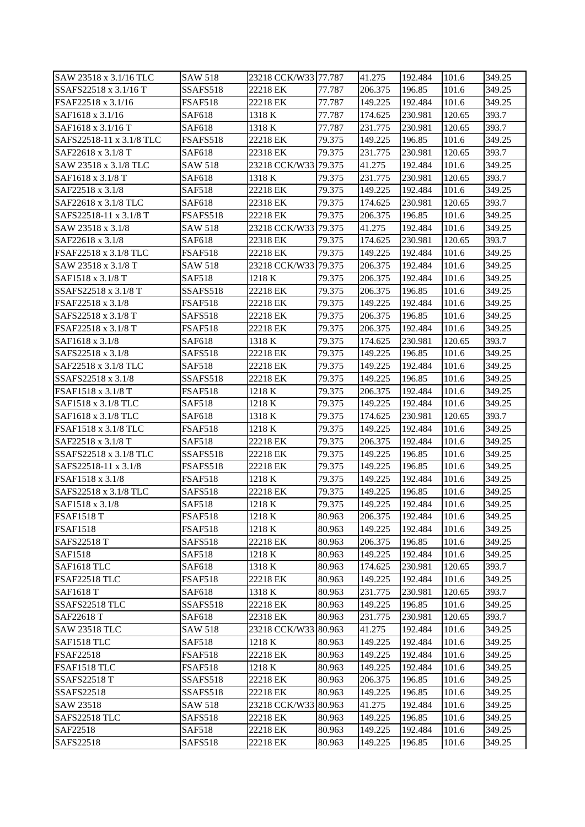| SAW 23518 x 3.1/16 TLC   | <b>SAW 518</b>  | 23218 CCK/W33 77.787 |        | 41.275  | 192.484 | 101.6  | 349.25 |
|--------------------------|-----------------|----------------------|--------|---------|---------|--------|--------|
| SSAFS22518 x 3.1/16 T    | SSAFS518        | 22218 EK             | 77.787 | 206.375 | 196.85  | 101.6  | 349.25 |
| FSAF22518 x 3.1/16       | <b>FSAF518</b>  | 22218 EK             | 77.787 | 149.225 | 192.484 | 101.6  | 349.25 |
| SAF1618 x 3.1/16         | SAF618          | 1318 K               | 77.787 | 174.625 | 230.981 | 120.65 | 393.7  |
| SAF1618 x 3.1/16 T       | SAF618          | 1318 K               | 77.787 | 231.775 | 230.981 | 120.65 | 393.7  |
| SAFS22518-11 x 3.1/8 TLC | <b>FSAFS518</b> | 22218 EK             | 79.375 | 149.225 | 196.85  | 101.6  | 349.25 |
| SAF22618 x 3.1/8 T       | SAF618          | 22318 EK             | 79.375 | 231.775 | 230.981 | 120.65 | 393.7  |
| SAW 23518 x 3.1/8 TLC    | <b>SAW 518</b>  | 23218 CCK/W33 79.375 |        | 41.275  | 192.484 | 101.6  | 349.25 |
| SAF1618 x 3.1/8 T        | SAF618          | 1318 K               | 79.375 | 231.775 | 230.981 | 120.65 | 393.7  |
| SAF22518 x 3.1/8         | <b>SAF518</b>   | 22218 EK             | 79.375 | 149.225 | 192.484 | 101.6  | 349.25 |
| SAF22618 x 3.1/8 TLC     | <b>SAF618</b>   | 22318 EK             | 79.375 | 174.625 | 230.981 | 120.65 | 393.7  |
| SAFS22518-11 x 3.1/8 T   | FSAFS518        | 22218 EK             | 79.375 | 206.375 | 196.85  | 101.6  | 349.25 |
| SAW 23518 x 3.1/8        | SAW 518         | 23218 CCK/W33 79.375 |        | 41.275  | 192.484 | 101.6  | 349.25 |
| SAF22618 x 3.1/8         | SAF618          | 22318 EK             | 79.375 | 174.625 | 230.981 | 120.65 | 393.7  |
| FSAF22518 x 3.1/8 TLC    | FSAF518         | 22218 EK             | 79.375 | 149.225 | 192.484 | 101.6  | 349.25 |
| SAW 23518 x 3.1/8 T      | SAW 518         | 23218 CCK/W33 79.375 |        | 206.375 | 192.484 | 101.6  | 349.25 |
| SAF1518 x 3.1/8 T        | <b>SAF518</b>   | 1218 K               | 79.375 | 206.375 | 192.484 | 101.6  | 349.25 |
| SSAFS22518 x 3.1/8 T     | SSAFS518        | 22218 EK             | 79.375 | 206.375 | 196.85  | 101.6  | 349.25 |
| FSAF22518 x 3.1/8        | <b>FSAF518</b>  | 22218 EK             | 79.375 | 149.225 | 192.484 | 101.6  | 349.25 |
| SAFS22518 x 3.1/8 T      | SAFS518         | 22218 EK             | 79.375 | 206.375 | 196.85  | 101.6  | 349.25 |
| FSAF22518 x 3.1/8 T      | FSAF518         | 22218 EK             | 79.375 | 206.375 | 192.484 | 101.6  | 349.25 |
| SAF1618 x 3.1/8          | SAF618          | 1318 K               | 79.375 | 174.625 | 230.981 | 120.65 | 393.7  |
| SAFS22518 x 3.1/8        | SAFS518         | 22218 EK             | 79.375 | 149.225 | 196.85  | 101.6  | 349.25 |
| SAF22518 x 3.1/8 TLC     | SAF518          | 22218 EK             | 79.375 | 149.225 | 192.484 | 101.6  | 349.25 |
| SSAFS22518 x 3.1/8       | SSAFS518        | 22218 EK             | 79.375 | 149.225 | 196.85  | 101.6  | 349.25 |
| FSAF1518 x 3.1/8 T       | <b>FSAF518</b>  | 1218 K               | 79.375 | 206.375 | 192.484 | 101.6  | 349.25 |
| SAF1518 x 3.1/8 TLC      | <b>SAF518</b>   | 1218 K               | 79.375 | 149.225 | 192.484 | 101.6  | 349.25 |
| SAF1618 x 3.1/8 TLC      | SAF618          | 1318 K               | 79.375 | 174.625 | 230.981 | 120.65 | 393.7  |
| FSAF1518 x 3.1/8 TLC     | <b>FSAF518</b>  | 1218 K               | 79.375 | 149.225 | 192.484 | 101.6  | 349.25 |
| SAF22518 x 3.1/8 T       | <b>SAF518</b>   | 22218 EK             | 79.375 | 206.375 | 192.484 | 101.6  | 349.25 |
| SSAFS22518 x 3.1/8 TLC   | SSAFS518        | 22218 EK             | 79.375 | 149.225 | 196.85  | 101.6  | 349.25 |
| SAFS22518-11 x 3.1/8     | FSAFS518        | 22218 EK             | 79.375 | 149.225 | 196.85  | 101.6  | 349.25 |
| FSAF1518 x 3.1/8         | FSAF518         | 1218 K               | 79.375 | 149.225 | 192.484 | 101.6  | 349.25 |
| SAFS22518 x 3.1/8 TLC    | SAFS518         | 22218 EK             | 79.375 | 149.225 | 196.85  | 101.6  | 349.25 |
| SAF1518 x 3.1/8          | <b>SAF518</b>   | 1218 K               | 79.375 | 149.225 | 192.484 | 101.6  | 349.25 |
| <b>FSAF1518 T</b>        | <b>FSAF518</b>  | 1218 K               | 80.963 | 206.375 | 192.484 | 101.6  | 349.25 |
| <b>FSAF1518</b>          | <b>FSAF518</b>  | 1218 K               | 80.963 | 149.225 | 192.484 | 101.6  | 349.25 |
| <b>SAFS22518 T</b>       | <b>SAFS518</b>  | 22218 EK             | 80.963 | 206.375 | 196.85  | 101.6  | 349.25 |
| <b>SAF1518</b>           | <b>SAF518</b>   | 1218 K               | 80.963 | 149.225 | 192.484 | 101.6  | 349.25 |
| SAF1618 TLC              | SAF618          | 1318 K               | 80.963 | 174.625 | 230.981 | 120.65 | 393.7  |
| FSAF22518 TLC            | <b>FSAF518</b>  | 22218 EK             | 80.963 | 149.225 | 192.484 | 101.6  | 349.25 |
| <b>SAF1618 T</b>         | SAF618          | 1318 K               | 80.963 | 231.775 | 230.981 | 120.65 | 393.7  |
| SSAFS22518 TLC           | SSAFS518        | 22218 EK             | 80.963 | 149.225 | 196.85  | 101.6  | 349.25 |
| SAF22618 T               | SAF618          | 22318 EK             | 80.963 | 231.775 | 230.981 | 120.65 | 393.7  |
| <b>SAW 23518 TLC</b>     | <b>SAW 518</b>  | 23218 CCK/W33 80.963 |        | 41.275  | 192.484 | 101.6  | 349.25 |
| SAF1518 TLC              | <b>SAF518</b>   | 1218 K               | 80.963 | 149.225 | 192.484 | 101.6  | 349.25 |
| FSAF22518                | FSAF518         | 22218 EK             | 80.963 | 149.225 | 192.484 | 101.6  | 349.25 |
| FSAF1518 TLC             | <b>FSAF518</b>  | 1218 K               | 80.963 | 149.225 | 192.484 | 101.6  | 349.25 |
| <b>SSAFS22518 T</b>      | SSAFS518        | 22218 EK             | 80.963 | 206.375 | 196.85  | 101.6  | 349.25 |
| SSAFS22518               | SSAFS518        | 22218 EK             | 80.963 | 149.225 | 196.85  | 101.6  | 349.25 |
| SAW 23518                | <b>SAW 518</b>  | 23218 CCK/W33        | 80.963 | 41.275  | 192.484 | 101.6  | 349.25 |
| SAFS22518 TLC            | SAFS518         | 22218 EK             | 80.963 | 149.225 | 196.85  | 101.6  | 349.25 |
| SAF22518                 | <b>SAF518</b>   | 22218 EK             | 80.963 | 149.225 | 192.484 | 101.6  | 349.25 |
| SAFS22518                | SAFS518         | 22218 EK             | 80.963 | 149.225 | 196.85  | 101.6  | 349.25 |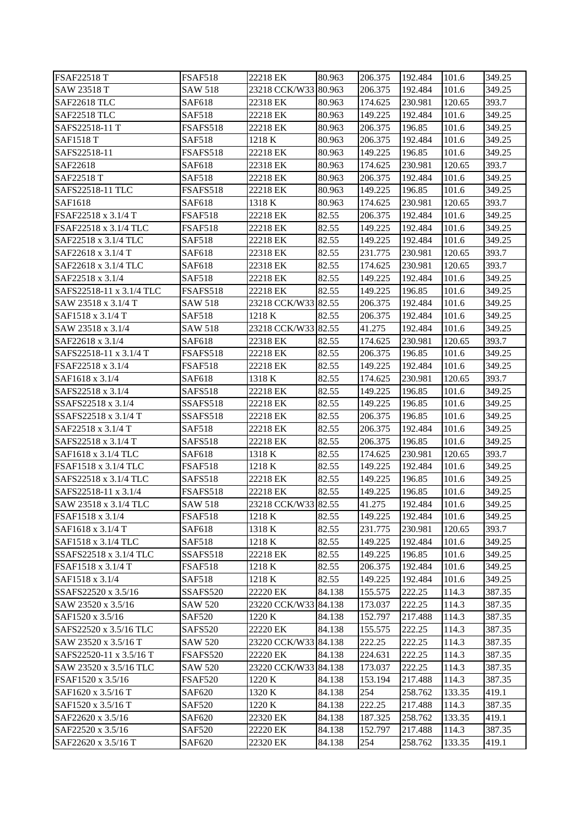| <b>FSAF22518 T</b>       | <b>FSAF518</b>  | 22218 EK             | 80.963 | 206.375 | 192.484 | 101.6  | 349.25 |
|--------------------------|-----------------|----------------------|--------|---------|---------|--------|--------|
| SAW 23518 T              | SAW 518         | 23218 CCK/W33 80.963 |        | 206.375 | 192.484 | 101.6  | 349.25 |
| <b>SAF22618 TLC</b>      | <b>SAF618</b>   | 22318 EK             | 80.963 | 174.625 | 230.981 | 120.65 | 393.7  |
| <b>SAF22518 TLC</b>      | <b>SAF518</b>   | 22218 EK             | 80.963 | 149.225 | 192.484 | 101.6  | 349.25 |
| SAFS22518-11 T           | FSAFS518        | 22218 EK             | 80.963 | 206.375 | 196.85  | 101.6  | 349.25 |
| <b>SAF1518 T</b>         | <b>SAF518</b>   | 1218 K               | 80.963 | 206.375 | 192.484 | 101.6  | 349.25 |
| SAFS22518-11             | FSAFS518        | 22218 EK             | 80.963 | 149.225 | 196.85  | 101.6  | 349.25 |
| SAF22618                 | SAF618          | 22318 EK             | 80.963 | 174.625 | 230.981 | 120.65 | 393.7  |
| <b>SAF22518 T</b>        | <b>SAF518</b>   | 22218 EK             | 80.963 | 206.375 | 192.484 | 101.6  | 349.25 |
| SAFS22518-11 TLC         | FSAFS518        | 22218 EK             | 80.963 | 149.225 | 196.85  | 101.6  | 349.25 |
| SAF1618                  | <b>SAF618</b>   | 1318 K               | 80.963 | 174.625 | 230.981 | 120.65 | 393.7  |
| FSAF22518 x 3.1/4 T      | <b>FSAF518</b>  | 22218 EK             | 82.55  | 206.375 | 192.484 | 101.6  | 349.25 |
| FSAF22518 x 3.1/4 TLC    | FSAF518         | 22218 EK             | 82.55  | 149.225 | 192.484 | 101.6  | 349.25 |
| SAF22518 x 3.1/4 TLC     | <b>SAF518</b>   | 22218 EK             | 82.55  | 149.225 | 192.484 | 101.6  | 349.25 |
| SAF22618 x 3.1/4 T       | SAF618          | 22318 EK             | 82.55  | 231.775 | 230.981 | 120.65 | 393.7  |
| SAF22618 x 3.1/4 TLC     | SAF618          | 22318 EK             | 82.55  | 174.625 | 230.981 | 120.65 | 393.7  |
| SAF22518 x 3.1/4         | <b>SAF518</b>   | 22218 EK             | 82.55  | 149.225 | 192.484 | 101.6  | 349.25 |
| SAFS22518-11 x 3.1/4 TLC | FSAFS518        | 22218 EK             | 82.55  | 149.225 | 196.85  | 101.6  | 349.25 |
| SAW 23518 x 3.1/4 T      | <b>SAW 518</b>  | 23218 CCK/W33 82.55  |        | 206.375 | 192.484 | 101.6  | 349.25 |
| SAF1518 x 3.1/4 T        | <b>SAF518</b>   | 1218 K               | 82.55  | 206.375 | 192.484 | 101.6  | 349.25 |
| SAW 23518 x 3.1/4        | SAW 518         | 23218 CCK/W33 82.55  |        | 41.275  | 192.484 | 101.6  | 349.25 |
| SAF22618 x 3.1/4         | SAF618          | 22318 EK             | 82.55  | 174.625 | 230.981 | 120.65 | 393.7  |
| SAFS22518-11 x 3.1/4 T   | <b>FSAFS518</b> | 22218 EK             | 82.55  | 206.375 | 196.85  | 101.6  | 349.25 |
| FSAF22518 x 3.1/4        | <b>FSAF518</b>  | 22218 EK             | 82.55  | 149.225 | 192.484 | 101.6  | 349.25 |
| SAF1618 x 3.1/4          | SAF618          | 1318 K               | 82.55  | 174.625 | 230.981 | 120.65 | 393.7  |
| SAFS22518 x 3.1/4        | SAFS518         | 22218 EK             | 82.55  | 149.225 | 196.85  | 101.6  | 349.25 |
| SSAFS22518 x 3.1/4       | SSAFS518        | 22218 EK             | 82.55  | 149.225 | 196.85  | 101.6  | 349.25 |
| SSAFS22518 x 3.1/4 T     | SSAFS518        | 22218 EK             | 82.55  | 206.375 | 196.85  | 101.6  | 349.25 |
| SAF22518 x 3.1/4 T       | <b>SAF518</b>   | 22218 EK             | 82.55  | 206.375 | 192.484 | 101.6  | 349.25 |
| SAFS22518 x 3.1/4 T      | SAFS518         | 22218 EK             | 82.55  | 206.375 | 196.85  | 101.6  | 349.25 |
| SAF1618 x 3.1/4 TLC      | SAF618          | 1318 K               | 82.55  | 174.625 | 230.981 | 120.65 | 393.7  |
| FSAF1518 x 3.1/4 TLC     | <b>FSAF518</b>  | 1218 K               | 82.55  | 149.225 | 192.484 | 101.6  | 349.25 |
| SAFS22518 x 3.1/4 TLC    | SAFS518         | 22218 EK             | 82.55  | 149.225 | 196.85  | 101.6  | 349.25 |
| SAFS22518-11 x 3.1/4     | <b>FSAFS518</b> | 22218 EK             | 82.55  | 149.225 | 196.85  | 101.6  | 349.25 |
| SAW 23518 x 3.1/4 TLC    | <b>SAW 518</b>  | 23218 CCK/W33 82.55  |        | 41.275  | 192.484 | 101.6  | 349.25 |
| FSAF1518 x 3.1/4         | <b>FSAF518</b>  | 1218 K               | 82.55  | 149.225 | 192.484 | 101.6  | 349.25 |
| SAF1618 x 3.1/4 T        | SAF618          | 1318 K               | 82.55  | 231.775 | 230.981 | 120.65 | 393.7  |
| SAF1518 x 3.1/4 TLC      | <b>SAF518</b>   | 1218 K               | 82.55  | 149.225 | 192.484 | 101.6  | 349.25 |
| SSAFS22518 x 3.1/4 TLC   | SSAFS518        | 22218 EK             | 82.55  | 149.225 | 196.85  | 101.6  | 349.25 |
| FSAF1518 x 3.1/4 T       | FSAF518         | 1218 K               | 82.55  | 206.375 | 192.484 | 101.6  | 349.25 |
| SAF1518 x 3.1/4          | <b>SAF518</b>   | 1218 K               | 82.55  | 149.225 | 192.484 | 101.6  | 349.25 |
| SSAFS22520 x 3.5/16      | SSAFS520        | 22220 EK             | 84.138 | 155.575 | 222.25  | 114.3  | 387.35 |
| SAW 23520 x 3.5/16       | SAW 520         | 23220 CCK/W33 84.138 |        | 173.037 | 222.25  | 114.3  | 387.35 |
| SAF1520 x 3.5/16         | <b>SAF520</b>   | 1220 K               | 84.138 | 152.797 | 217.488 | 114.3  | 387.35 |
| SAFS22520 x 3.5/16 TLC   | SAFS520         | 22220 EK             | 84.138 | 155.575 | 222.25  | 114.3  | 387.35 |
| SAW 23520 x 3.5/16 T     | <b>SAW 520</b>  | 23220 CCK/W33 84.138 |        | 222.25  | 222.25  | 114.3  | 387.35 |
| SAFS22520-11 x 3.5/16 T  | FSAFS520        | 22220 EK             | 84.138 | 224.631 | 222.25  | 114.3  | 387.35 |
| SAW 23520 x 3.5/16 TLC   | <b>SAW 520</b>  | 23220 CCK/W33        | 84.138 | 173.037 | 222.25  | 114.3  | 387.35 |
| FSAF1520 x 3.5/16        | FSAF520         | 1220 K               | 84.138 | 153.194 | 217.488 | 114.3  | 387.35 |
| SAF1620 x 3.5/16 T       | <b>SAF620</b>   | 1320 K               | 84.138 | 254     | 258.762 | 133.35 | 419.1  |
| SAF1520 x 3.5/16 T       | <b>SAF520</b>   | 1220 K               | 84.138 | 222.25  | 217.488 | 114.3  | 387.35 |
| SAF22620 x 3.5/16        | SAF620          | 22320 EK             | 84.138 | 187.325 | 258.762 | 133.35 | 419.1  |
| SAF22520 x 3.5/16        | <b>SAF520</b>   | 22220 EK             | 84.138 | 152.797 | 217.488 | 114.3  | 387.35 |
| SAF22620 x 3.5/16 T      | SAF620          | 22320 EK             | 84.138 | 254     | 258.762 | 133.35 | 419.1  |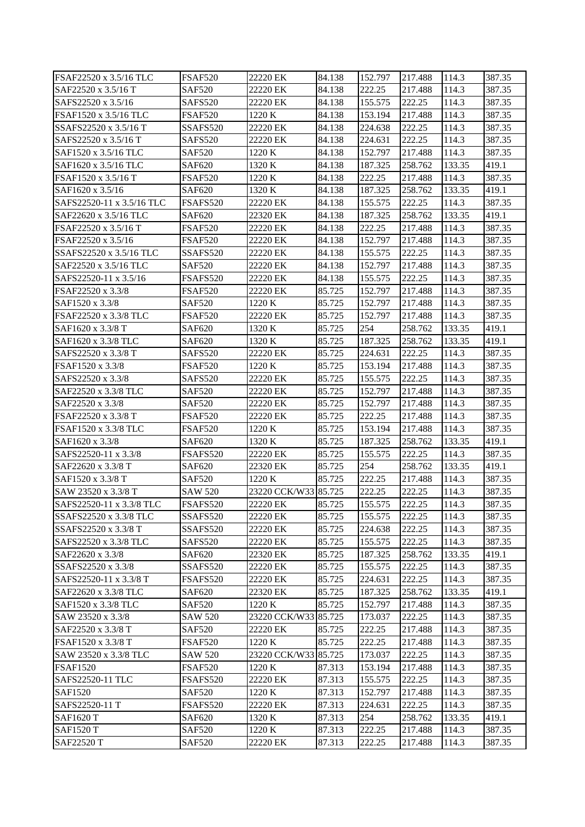| FSAF22520 x 3.5/16 TLC                   | <b>FSAF520</b>                 | 22220 EK                       | 84.138 | 152.797            | 217.488            | 114.3          | 387.35           |
|------------------------------------------|--------------------------------|--------------------------------|--------|--------------------|--------------------|----------------|------------------|
| SAF22520 x 3.5/16 T                      | <b>SAF520</b>                  | 22220 EK                       | 84.138 | 222.25             | 217.488            | 114.3          | 387.35           |
| SAFS22520 x 3.5/16                       | <b>SAFS520</b>                 | 22220 EK                       | 84.138 | 155.575            | 222.25             | 114.3          | 387.35           |
| FSAF1520 x 3.5/16 TLC                    | <b>FSAF520</b>                 | 1220 K                         | 84.138 | 153.194            | 217.488            | 114.3          | 387.35           |
| SSAFS22520 x 3.5/16 T                    | SSAFS520                       | 22220 EK                       | 84.138 | 224.638            | 222.25             | 114.3          | 387.35           |
| SAFS22520 x 3.5/16 T                     | SAFS520                        | 22220 EK                       | 84.138 | 224.631            | 222.25             | 114.3          | 387.35           |
| SAF1520 x 3.5/16 TLC                     | <b>SAF520</b>                  | 1220 K                         | 84.138 | 152.797            | 217.488            | 114.3          | 387.35           |
| SAF1620 x 3.5/16 TLC                     | <b>SAF620</b>                  | 1320 K                         | 84.138 | 187.325            | 258.762            | 133.35         | 419.1            |
| FSAF1520 x 3.5/16 T                      | FSAF520                        | 1220 K                         | 84.138 | 222.25             | 217.488            | 114.3          | 387.35           |
| SAF1620 x 3.5/16                         | <b>SAF620</b>                  | 1320 K                         | 84.138 | 187.325            | 258.762            | 133.35         | 419.1            |
| SAFS22520-11 x 3.5/16 TLC                | FSAFS520                       | 22220 EK                       | 84.138 | 155.575            | 222.25             | 114.3          | 387.35           |
| SAF22620 x 3.5/16 TLC                    | <b>SAF620</b>                  | 22320 EK                       | 84.138 | 187.325            | 258.762            | 133.35         | 419.1            |
| FSAF22520 x 3.5/16 T                     | <b>FSAF520</b>                 | 22220 EK                       | 84.138 | 222.25             | 217.488            | 114.3          | 387.35           |
| FSAF22520 x 3.5/16                       | <b>FSAF520</b>                 | 22220 EK                       | 84.138 | 152.797            | 217.488            | 114.3          | 387.35           |
| SSAFS22520 x 3.5/16 TLC                  | SSAFS520                       | 22220 EK                       | 84.138 | 155.575            | 222.25             | 114.3          | 387.35           |
| SAF22520 x 3.5/16 TLC                    | SAF520                         | 22220 EK                       | 84.138 | 152.797            | 217.488            | 114.3          | 387.35           |
| SAFS22520-11 x 3.5/16                    | FSAFS520                       | 22220 EK                       | 84.138 | 155.575            | 222.25             | 114.3          | 387.35           |
| FSAF22520 x 3.3/8                        | <b>FSAF520</b>                 | 22220 EK                       | 85.725 | 152.797            | 217.488            | 114.3          | 387.35           |
| SAF1520 x 3.3/8                          | <b>SAF520</b>                  | 1220 K                         | 85.725 | 152.797            | 217.488            | 114.3          | 387.35           |
| FSAF22520 x 3.3/8 TLC                    | <b>FSAF520</b>                 | 22220 EK                       | 85.725 | 152.797            | 217.488            | 114.3          | 387.35           |
| SAF1620 x 3.3/8 T                        | <b>SAF620</b>                  | 1320 K                         | 85.725 | 254                | 258.762            | 133.35         | 419.1            |
| SAF1620 x 3.3/8 TLC                      | <b>SAF620</b>                  | 1320 K                         | 85.725 | 187.325            | 258.762            | 133.35         | 419.1            |
| SAFS22520 x 3.3/8 T                      | SAFS520                        | 22220 EK                       | 85.725 | 224.631            | 222.25             | 114.3          | 387.35           |
| FSAF1520 x 3.3/8                         | FSAF520                        | 1220 K                         | 85.725 | 153.194            | 217.488            | 114.3          | 387.35           |
| SAFS22520 x 3.3/8                        | <b>SAFS520</b>                 | 22220 EK                       | 85.725 | 155.575            | 222.25             | 114.3          | 387.35           |
| SAF22520 x 3.3/8 TLC                     | <b>SAF520</b>                  | 22220 EK                       | 85.725 | 152.797            | 217.488            | 114.3          | 387.35           |
| SAF22520 x 3.3/8                         | <b>SAF520</b>                  | 22220 EK                       | 85.725 | 152.797            | 217.488            | 114.3          | 387.35           |
| FSAF22520 x 3.3/8 T                      | <b>FSAF520</b>                 | 22220 EK                       | 85.725 | 222.25             | 217.488            | 114.3          | 387.35           |
| FSAF1520 x 3.3/8 TLC                     | <b>FSAF520</b>                 | 1220 K                         | 85.725 | 153.194            | 217.488            | 114.3          | 387.35           |
| SAF1620 x 3.3/8                          | SAF620                         | 1320 K                         | 85.725 | 187.325            | 258.762            | 133.35         | 419.1            |
| SAFS22520-11 x 3.3/8                     | FSAFS520                       | 22220 EK                       | 85.725 | 155.575            | 222.25             | 114.3          | 387.35           |
| SAF22620 x 3.3/8 T                       | <b>SAF620</b>                  | 22320 EK                       | 85.725 | 254                | 258.762            | 133.35         | 419.1            |
| SAF1520 x 3.3/8 T                        | <b>SAF520</b>                  | 1220 K                         | 85.725 | 222.25             | 217.488            | 114.3          | 387.35           |
| SAW 23520 x 3.3/8 T                      | <b>SAW 520</b>                 | 23220 CCK/W33 85.725           |        | 222.25             | 222.25             | 114.3          | 387.35           |
| SAFS22520-11 x 3.3/8 TLC                 | FSAFS520                       | 22220 EK                       | 85.725 | 155.575            | 222.25             | 114.3          | 387.35           |
| SSAFS22520 x 3.3/8 TLC                   | SSAFS520                       | 22220 EK                       | 85.725 | 155.575            | 222.25             | 114.3          | 387.35           |
| SSAFS22520 x 3.3/8 T                     | SSAFS520                       | 22220 EK                       | 85.725 | 224.638            | 222.25             | 114.3          | 387.35           |
| SAFS22520 x 3.3/8 TLC                    | <b>SAFS520</b>                 | 22220 EK                       | 85.725 | 155.575            | 222.25             | 114.3          | 387.35           |
| SAF22620 x 3.3/8                         | <b>SAF620</b>                  | 22320 EK                       | 85.725 | 187.325            | 258.762            | 133.35         | 419.1            |
| SSAFS22520 x 3.3/8                       | SSAFS520                       | 22220 EK                       | 85.725 | 155.575            | 222.25             | 114.3          | 387.35           |
| SAFS22520-11 x 3.3/8 T                   | FSAFS520                       | 22220 EK                       | 85.725 | 224.631            | 222.25             | 114.3          | 387.35           |
| SAF22620 x 3.3/8 TLC                     | <b>SAF620</b>                  | 22320 EK                       | 85.725 | 187.325            | 258.762            | 133.35         | 419.1            |
| SAF1520 x 3.3/8 TLC                      | <b>SAF520</b>                  | 1220 K                         | 85.725 | 152.797            | 217.488            | 114.3          | 387.35           |
| SAW 23520 x 3.3/8                        | <b>SAW 520</b>                 | 23220 CCK/W33 85.725           |        | 173.037            | 222.25             | 114.3          | 387.35           |
| SAF22520 x 3.3/8 T                       | <b>SAF520</b>                  | 22220 EK                       | 85.725 | 222.25             | 217.488            | 114.3          | 387.35           |
|                                          |                                |                                |        |                    |                    |                |                  |
| FSAF1520 x 3.3/8 T                       | FSAF520                        | 1220 K<br>23220 CCK/W33 85.725 | 85.725 | 222.25             | 217.488<br>222.25  | 114.3          | 387.35           |
| SAW 23520 x 3.3/8 TLC<br><b>FSAF1520</b> | <b>SAW 520</b><br>FSAF520      | 1220 K                         | 87.313 | 173.037<br>153.194 | 217.488            | 114.3<br>114.3 | 387.35<br>387.35 |
| SAFS22520-11 TLC                         | FSAFS520                       | 22220 EK                       | 87.313 | 155.575            | 222.25             | 114.3          | 387.35           |
| SAF1520                                  | <b>SAF520</b>                  |                                | 87.313 | 152.797            |                    |                | 387.35           |
| SAFS22520-11 T                           | FSAFS520                       | 1220 K<br>22220 EK             | 87.313 |                    | 217.488<br>222.25  | 114.3<br>114.3 | 387.35           |
|                                          |                                |                                | 87.313 | 224.631<br>254     |                    | 133.35         | 419.1            |
| <b>SAF1620 T</b><br><b>SAF1520 T</b>     | <b>SAF620</b><br><b>SAF520</b> | 1320 K<br>1220 K               | 87.313 | 222.25             | 258.762<br>217.488 | 114.3          | 387.35           |
|                                          |                                |                                |        |                    |                    |                |                  |
| SAF22520 T                               | <b>SAF520</b>                  | 22220 EK                       | 87.313 | 222.25             | 217.488            | 114.3          | 387.35           |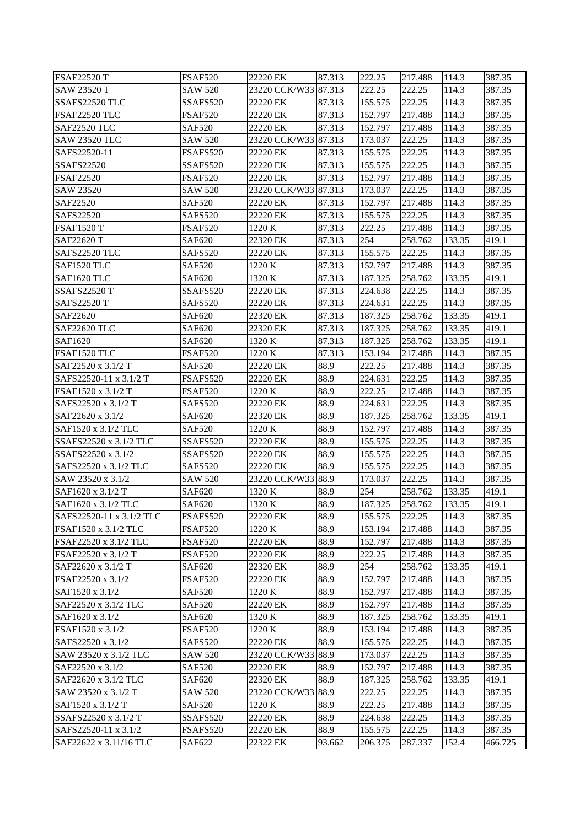| <b>FSAF22520 T</b>       | <b>FSAF520</b> | 22220 EK             | 87.313 | 222.25  | 217.488 | 114.3  | 387.35  |
|--------------------------|----------------|----------------------|--------|---------|---------|--------|---------|
| SAW 23520 T              | <b>SAW 520</b> | 23220 CCK/W33 87.313 |        | 222.25  | 222.25  | 114.3  | 387.35  |
| SSAFS22520 TLC           | SSAFS520       | 22220 EK             | 87.313 | 155.575 | 222.25  | 114.3  | 387.35  |
| FSAF22520 TLC            | <b>FSAF520</b> | 22220 EK             | 87.313 | 152.797 | 217.488 | 114.3  | 387.35  |
| <b>SAF22520 TLC</b>      | <b>SAF520</b>  | 22220 EK             | 87.313 | 152.797 | 217.488 | 114.3  | 387.35  |
| <b>SAW 23520 TLC</b>     | <b>SAW 520</b> | 23220 CCK/W33 87.313 |        | 173.037 | 222.25  | 114.3  | 387.35  |
| SAFS22520-11             | FSAFS520       | 22220 EK             | 87.313 | 155.575 | 222.25  | 114.3  | 387.35  |
| <b>SSAFS22520</b>        | SSAFS520       | 22220 EK             | 87.313 | 155.575 | 222.25  | 114.3  | 387.35  |
| <b>FSAF22520</b>         | FSAF520        | 22220 EK             | 87.313 | 152.797 | 217.488 | 114.3  | 387.35  |
| SAW 23520                | <b>SAW 520</b> | 23220 CCK/W33 87.313 |        | 173.037 | 222.25  | 114.3  | 387.35  |
| SAF22520                 | <b>SAF520</b>  | 22220 EK             | 87.313 | 152.797 | 217.488 | 114.3  | 387.35  |
| SAFS22520                | <b>SAFS520</b> | 22220 EK             | 87.313 | 155.575 | 222.25  | 114.3  | 387.35  |
| <b>FSAF1520 T</b>        | <b>FSAF520</b> | 1220 K               | 87.313 | 222.25  | 217.488 | 114.3  | 387.35  |
| SAF22620 T               | SAF620         | 22320 EK             | 87.313 | 254     | 258.762 | 133.35 | 419.1   |
| SAFS22520 TLC            | SAFS520        | 22220 EK             | 87.313 | 155.575 | 222.25  | 114.3  | 387.35  |
| SAF1520 TLC              | <b>SAF520</b>  | 1220 K               | 87.313 | 152.797 | 217.488 | 114.3  | 387.35  |
| SAF1620 TLC              | <b>SAF620</b>  | 1320 K               | 87.313 | 187.325 | 258.762 | 133.35 | 419.1   |
| <b>SSAFS22520 T</b>      | SSAFS520       | 22220 EK             | 87.313 | 224.638 | 222.25  | 114.3  | 387.35  |
| SAFS22520 T              | <b>SAFS520</b> | 22220 EK             | 87.313 | 224.631 | 222.25  | 114.3  | 387.35  |
| SAF22620                 | <b>SAF620</b>  | 22320 EK             | 87.313 | 187.325 | 258.762 | 133.35 | 419.1   |
| <b>SAF22620 TLC</b>      | <b>SAF620</b>  | 22320 EK             | 87.313 | 187.325 | 258.762 | 133.35 | 419.1   |
| SAF1620                  | <b>SAF620</b>  | 1320 K               | 87.313 | 187.325 | 258.762 | 133.35 | 419.1   |
| FSAF1520 TLC             | <b>FSAF520</b> | 1220 K               | 87.313 | 153.194 | 217.488 | 114.3  | 387.35  |
| SAF22520 x 3.1/2 T       | <b>SAF520</b>  | 22220 EK             | 88.9   | 222.25  | 217.488 | 114.3  | 387.35  |
| SAFS22520-11 x 3.1/2 T   | FSAFS520       | 22220 EK             | 88.9   | 224.631 | 222.25  | 114.3  | 387.35  |
| FSAF1520 x 3.1/2 T       | <b>FSAF520</b> | 1220 K               | 88.9   | 222.25  | 217.488 | 114.3  | 387.35  |
| SAFS22520 x 3.1/2 T      | <b>SAFS520</b> | 22220 EK             | 88.9   | 224.631 | 222.25  | 114.3  | 387.35  |
| SAF22620 x 3.1/2         | <b>SAF620</b>  | 22320 EK             | 88.9   | 187.325 | 258.762 | 133.35 | 419.1   |
| SAF1520 x 3.1/2 TLC      | <b>SAF520</b>  | 1220 K               | 88.9   | 152.797 | 217.488 | 114.3  | 387.35  |
| SSAFS22520 x 3.1/2 TLC   | SSAFS520       | 22220 EK             | 88.9   | 155.575 | 222.25  | 114.3  | 387.35  |
| SSAFS22520 x 3.1/2       | SSAFS520       | 22220 EK             | 88.9   | 155.575 | 222.25  | 114.3  | 387.35  |
| SAFS22520 x 3.1/2 TLC    | SAFS520        | 22220 EK             | 88.9   | 155.575 | 222.25  | 114.3  | 387.35  |
| SAW 23520 x 3.1/2        | <b>SAW 520</b> | 23220 CCK/W33 88.9   |        | 173.037 | 222.25  | 114.3  | 387.35  |
| SAF1620 x 3.1/2 T        | <b>SAF620</b>  | 1320 K               | 88.9   | 254     | 258.762 | 133.35 | 419.1   |
| SAF1620 x 3.1/2 TLC      | <b>SAF620</b>  | 1320 K               | 88.9   | 187.325 | 258.762 | 133.35 | 419.1   |
| SAFS22520-11 x 3.1/2 TLC | FSAFS520       | 22220 EK             | 88.9   | 155.575 | 222.25  | 114.3  | 387.35  |
| FSAF1520 x 3.1/2 TLC     | <b>FSAF520</b> | 1220 K               | 88.9   | 153.194 | 217.488 | 114.3  | 387.35  |
| FSAF22520 x 3.1/2 TLC    | <b>FSAF520</b> | 22220 EK             | 88.9   | 152.797 | 217.488 | 114.3  | 387.35  |
| FSAF22520 x 3.1/2 T      | <b>FSAF520</b> | 22220 EK             | 88.9   | 222.25  | 217.488 | 114.3  | 387.35  |
| SAF22620 x 3.1/2 T       | <b>SAF620</b>  | 22320 EK             | 88.9   | 254     | 258.762 | 133.35 | 419.1   |
| FSAF22520 x 3.1/2        | <b>FSAF520</b> | 22220 EK             | 88.9   | 152.797 | 217.488 | 114.3  | 387.35  |
| SAF1520 x 3.1/2          | <b>SAF520</b>  | 1220 K               | 88.9   | 152.797 | 217.488 | 114.3  | 387.35  |
| SAF22520 x 3.1/2 TLC     | <b>SAF520</b>  | 22220 EK             | 88.9   | 152.797 | 217.488 | 114.3  | 387.35  |
| SAF1620 x 3.1/2          | <b>SAF620</b>  | 1320 K               | 88.9   | 187.325 | 258.762 | 133.35 | 419.1   |
| FSAF1520 x 3.1/2         | <b>FSAF520</b> | 1220 K               | 88.9   | 153.194 | 217.488 | 114.3  | 387.35  |
| SAFS22520 x 3.1/2        | <b>SAFS520</b> | 22220 EK             | 88.9   | 155.575 | 222.25  | 114.3  | 387.35  |
| SAW 23520 x 3.1/2 TLC    | <b>SAW 520</b> | 23220 CCK/W33 88.9   |        | 173.037 | 222.25  | 114.3  | 387.35  |
| SAF22520 x 3.1/2         | <b>SAF520</b>  | 22220 EK             | 88.9   | 152.797 | 217.488 | 114.3  | 387.35  |
| SAF22620 x 3.1/2 TLC     | SAF620         | 22320 EK             | 88.9   | 187.325 | 258.762 | 133.35 | 419.1   |
| SAW 23520 x 3.1/2 T      | <b>SAW 520</b> | 23220 CCK/W33 88.9   |        | 222.25  | 222.25  | 114.3  | 387.35  |
| SAF1520 x 3.1/2 T        | <b>SAF520</b>  | 1220 K               | 88.9   | 222.25  | 217.488 | 114.3  | 387.35  |
| SSAFS22520 x 3.1/2 T     | SSAFS520       | 22220 EK             | 88.9   | 224.638 | 222.25  | 114.3  | 387.35  |
| SAFS22520-11 x 3.1/2     | FSAFS520       | 22220 EK             | 88.9   | 155.575 | 222.25  | 114.3  | 387.35  |
| SAF22622 x 3.11/16 TLC   | SAF622         | 22322 EK             | 93.662 | 206.375 | 287.337 | 152.4  | 466.725 |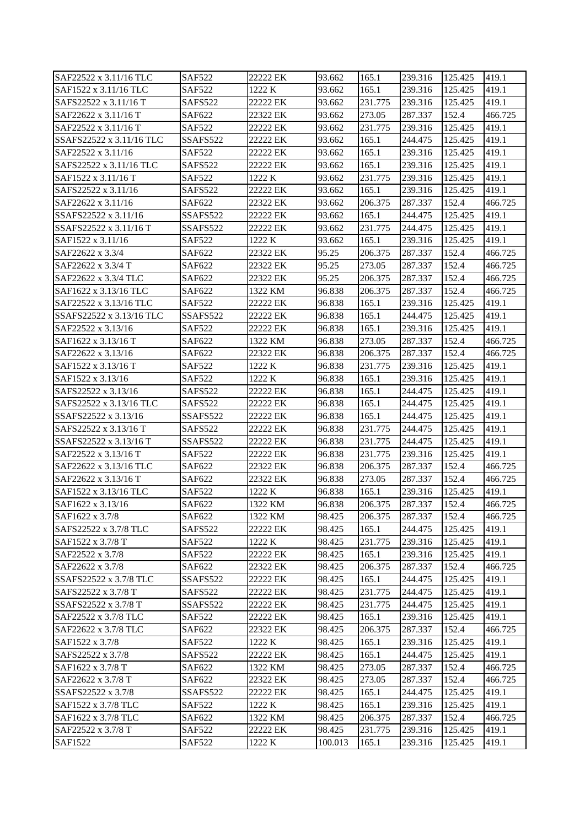| SAF22522 x 3.11/16 TLC   | <b>SAF522</b> | 22222 EK | 93.662  | 165.1   | 239.316 | 125.425 | 419.1   |
|--------------------------|---------------|----------|---------|---------|---------|---------|---------|
| SAF1522 x 3.11/16 TLC    | <b>SAF522</b> | 1222 K   | 93.662  | 165.1   | 239.316 | 125.425 | 419.1   |
| SAFS22522 x 3.11/16 T    | SAFS522       | 22222 EK | 93.662  | 231.775 | 239.316 | 125.425 | 419.1   |
| SAF22622 x 3.11/16 T     | SAF622        | 22322 EK | 93.662  | 273.05  | 287.337 | 152.4   | 466.725 |
| SAF22522 x 3.11/16 T     | <b>SAF522</b> | 22222 EK | 93.662  | 231.775 | 239.316 | 125.425 | 419.1   |
| SSAFS22522 x 3.11/16 TLC | SSAFS522      | 22222 EK | 93.662  | 165.1   | 244.475 | 125.425 | 419.1   |
| SAF22522 x 3.11/16       | <b>SAF522</b> | 22222 EK | 93.662  | 165.1   | 239.316 | 125.425 | 419.1   |
| SAFS22522 x 3.11/16 TLC  | SAFS522       | 22222 EK | 93.662  | 165.1   | 239.316 | 125.425 | 419.1   |
| SAF1522 x 3.11/16 T      | <b>SAF522</b> | 1222 K   | 93.662  | 231.775 | 239.316 | 125.425 | 419.1   |
| SAFS22522 x 3.11/16      | SAFS522       | 22222 EK | 93.662  | 165.1   | 239.316 | 125.425 | 419.1   |
| SAF22622 x 3.11/16       | SAF622        | 22322 EK | 93.662  | 206.375 | 287.337 | 152.4   | 466.725 |
| SSAFS22522 x 3.11/16     | SSAFS522      | 22222 EK | 93.662  | 165.1   | 244.475 | 125.425 | 419.1   |
| SSAFS22522 x 3.11/16 T   | SSAFS522      | 22222 EK | 93.662  | 231.775 | 244.475 | 125.425 | 419.1   |
| SAF1522 x 3.11/16        | <b>SAF522</b> | 1222 K   | 93.662  | 165.1   | 239.316 | 125.425 | 419.1   |
| SAF22622 x 3.3/4         | SAF622        | 22322 EK | 95.25   | 206.375 | 287.337 | 152.4   | 466.725 |
| SAF22622 x 3.3/4 T       | SAF622        | 22322 EK | 95.25   | 273.05  | 287.337 | 152.4   | 466.725 |
| SAF22622 x 3.3/4 TLC     | SAF622        | 22322 EK | 95.25   | 206.375 | 287.337 | 152.4   | 466.725 |
| SAF1622 x 3.13/16 TLC    | <b>SAF622</b> | 1322 KM  | 96.838  | 206.375 | 287.337 | 152.4   | 466.725 |
| SAF22522 x 3.13/16 TLC   | <b>SAF522</b> | 22222 EK | 96.838  | 165.1   | 239.316 | 125.425 | 419.1   |
| SSAFS22522 x 3.13/16 TLC | SSAFS522      | 22222 EK | 96.838  | 165.1   | 244.475 | 125.425 | 419.1   |
| SAF22522 x 3.13/16       | <b>SAF522</b> | 22222 EK | 96.838  | 165.1   | 239.316 | 125.425 | 419.1   |
| SAF1622 x 3.13/16 T      | SAF622        | 1322 KM  | 96.838  | 273.05  | 287.337 | 152.4   | 466.725 |
| SAF22622 x 3.13/16       | SAF622        | 22322 EK | 96.838  | 206.375 | 287.337 | 152.4   | 466.725 |
| SAF1522 x 3.13/16 T      | SAF522        | 1222 K   | 96.838  | 231.775 | 239.316 | 125.425 | 419.1   |
| SAF1522 x 3.13/16        | <b>SAF522</b> | 1222 K   | 96.838  | 165.1   | 239.316 | 125.425 | 419.1   |
| SAFS22522 x 3.13/16      | SAFS522       | 22222 EK | 96.838  | 165.1   | 244.475 | 125.425 | 419.1   |
| SAFS22522 x 3.13/16 TLC  | SAFS522       | 22222 EK | 96.838  | 165.1   | 244.475 | 125.425 | 419.1   |
| SSAFS22522 x 3.13/16     | SSAFS522      | 22222 EK | 96.838  | 165.1   | 244.475 | 125.425 | 419.1   |
| SAFS22522 x 3.13/16 T    | SAFS522       | 22222 EK | 96.838  | 231.775 | 244.475 | 125.425 | 419.1   |
| SSAFS22522 x 3.13/16 T   | SSAFS522      | 22222 EK | 96.838  | 231.775 | 244.475 | 125.425 | 419.1   |
| SAF22522 x 3.13/16 T     | <b>SAF522</b> | 22222 EK | 96.838  | 231.775 | 239.316 | 125.425 | 419.1   |
| SAF22622 x 3.13/16 TLC   | SAF622        | 22322 EK | 96.838  | 206.375 | 287.337 | 152.4   | 466.725 |
| SAF22622 x 3.13/16 T     | SAF622        | 22322 EK | 96.838  | 273.05  | 287.337 | 152.4   | 466.725 |
| SAF1522 x 3.13/16 TLC    | <b>SAF522</b> | 1222 K   | 96.838  | 165.1   | 239.316 | 125.425 | 419.1   |
| SAF1622 x 3.13/16        | SAF622        | 1322 KM  | 96.838  | 206.375 | 287.337 | 152.4   | 466.725 |
| SAF1622 x 3.7/8          | <b>SAF622</b> | 1322 KM  | 98.425  | 206.375 | 287.337 | 152.4   | 466.725 |
| SAFS22522 x 3.7/8 TLC    | SAFS522       | 22222 EK | 98.425  | 165.1   | 244.475 | 125.425 | 419.1   |
| SAF1522 x 3.7/8 T        | SAF522        | 1222 K   | 98.425  | 231.775 | 239.316 | 125.425 | 419.1   |
| SAF22522 x 3.7/8         | <b>SAF522</b> | 22222 EK | 98.425  | 165.1   | 239.316 | 125.425 | 419.1   |
| SAF22622 x 3.7/8         | SAF622        | 22322 EK | 98.425  | 206.375 | 287.337 | 152.4   | 466.725 |
| SSAFS22522 x 3.7/8 TLC   | SSAFS522      | 22222 EK | 98.425  | 165.1   | 244.475 | 125.425 | 419.1   |
| SAFS22522 x 3.7/8 T      | SAFS522       | 22222 EK | 98.425  | 231.775 | 244.475 | 125.425 | 419.1   |
| SSAFS22522 x 3.7/8 T     | SSAFS522      | 22222 EK | 98.425  | 231.775 | 244.475 | 125.425 | 419.1   |
| SAF22522 x 3.7/8 TLC     | <b>SAF522</b> | 22222 EK | 98.425  | 165.1   | 239.316 | 125.425 | 419.1   |
| SAF22622 x 3.7/8 TLC     | SAF622        | 22322 EK | 98.425  | 206.375 | 287.337 | 152.4   | 466.725 |
| SAF1522 x 3.7/8          | SAF522        | 1222 K   | 98.425  | 165.1   | 239.316 | 125.425 | 419.1   |
| SAFS22522 x 3.7/8        | SAFS522       | 22222 EK | 98.425  | 165.1   | 244.475 | 125.425 | 419.1   |
| SAF1622 x 3.7/8 T        | SAF622        | 1322 KM  | 98.425  | 273.05  | 287.337 | 152.4   | 466.725 |
| SAF22622 x 3.7/8 T       | SAF622        | 22322 EK | 98.425  | 273.05  | 287.337 | 152.4   | 466.725 |
| SSAFS22522 x 3.7/8       | SSAFS522      | 22222 EK | 98.425  | 165.1   | 244.475 | 125.425 | 419.1   |
| SAF1522 x 3.7/8 TLC      | <b>SAF522</b> | 1222 K   | 98.425  | 165.1   | 239.316 | 125.425 | 419.1   |
| SAF1622 x 3.7/8 TLC      | SAF622        | 1322 KM  | 98.425  | 206.375 | 287.337 | 152.4   | 466.725 |
| SAF22522 x 3.7/8 T       | SAF522        | 22222 EK | 98.425  | 231.775 | 239.316 | 125.425 | 419.1   |
| SAF1522                  | SAF522        | 1222 K   | 100.013 | 165.1   | 239.316 | 125.425 | 419.1   |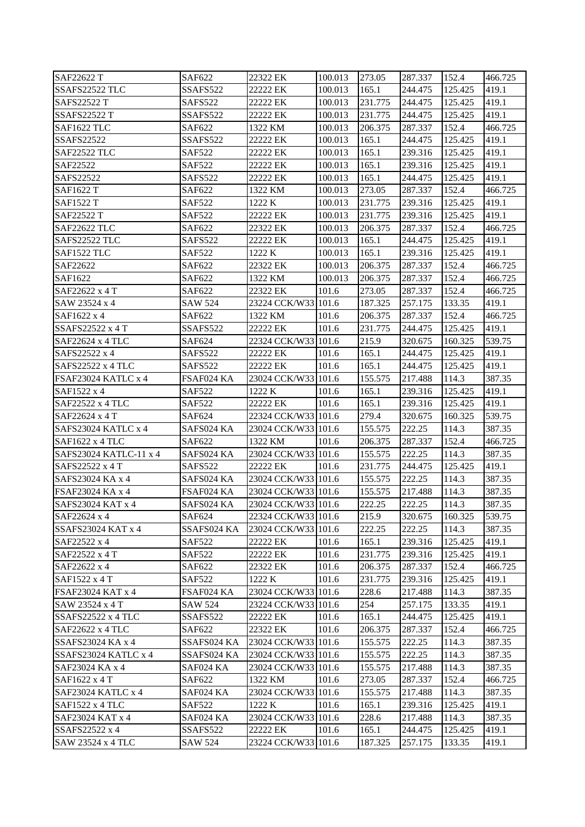| SAF22622 T             | SAF622         | 22322 EK            | 100.013 | 273.05  | 287.337 | 152.4   | 466.725 |
|------------------------|----------------|---------------------|---------|---------|---------|---------|---------|
| SSAFS22522 TLC         | SSAFS522       | 22222 EK            | 100.013 | 165.1   | 244.475 | 125.425 | 419.1   |
| <b>SAFS22522 T</b>     | SAFS522        | 22222 EK            | 100.013 | 231.775 | 244.475 | 125.425 | 419.1   |
| <b>SSAFS22522 T</b>    | SSAFS522       | 22222 EK            | 100.013 | 231.775 | 244.475 | 125.425 | 419.1   |
| SAF1622 TLC            | SAF622         | 1322 KM             | 100.013 | 206.375 | 287.337 | 152.4   | 466.725 |
| <b>SSAFS22522</b>      | SSAFS522       | 22222 EK            | 100.013 | 165.1   | 244.475 | 125.425 | 419.1   |
| <b>SAF22522 TLC</b>    | <b>SAF522</b>  | 22222 EK            | 100.013 | 165.1   | 239.316 | 125.425 | 419.1   |
| SAF22522               | <b>SAF522</b>  | 22222 EK            | 100.013 | 165.1   | 239.316 | 125.425 | 419.1   |
| SAFS22522              | SAFS522        | 22222 EK            | 100.013 | 165.1   | 244.475 | 125.425 | 419.1   |
| SAF1622 T              | SAF622         | 1322 KM             | 100.013 | 273.05  | 287.337 | 152.4   | 466.725 |
| <b>SAF1522 T</b>       | <b>SAF522</b>  | 1222 K              | 100.013 | 231.775 | 239.316 | 125.425 | 419.1   |
| SAF22522 T             | <b>SAF522</b>  | 22222 EK            | 100.013 | 231.775 | 239.316 | 125.425 | 419.1   |
| <b>SAF22622 TLC</b>    | SAF622         | 22322 EK            | 100.013 | 206.375 | 287.337 | 152.4   | 466.725 |
| SAFS22522 TLC          | SAFS522        | 22222 EK            | 100.013 | 165.1   | 244.475 | 125.425 | 419.1   |
| SAF1522 TLC            | <b>SAF522</b>  | 1222 K              | 100.013 | 165.1   | 239.316 | 125.425 | 419.1   |
| SAF22622               | SAF622         | 22322 EK            | 100.013 | 206.375 | 287.337 | 152.4   | 466.725 |
| SAF1622                | SAF622         | 1322 KM             | 100.013 | 206.375 | 287.337 | 152.4   | 466.725 |
| SAF22622 x 4 T         | SAF622         | 22322 EK            | 101.6   | 273.05  | 287.337 | 152.4   | 466.725 |
| SAW 23524 x 4          | <b>SAW 524</b> | 23224 CCK/W33 101.6 |         | 187.325 | 257.175 | 133.35  | 419.1   |
| SAF1622 x 4            | SAF622         | 1322 KM             | 101.6   | 206.375 | 287.337 | 152.4   | 466.725 |
| SSAFS22522 $x$ 4T      | SSAFS522       | 22222 EK            | 101.6   | 231.775 | 244.475 | 125.425 | 419.1   |
| SAF22624 x 4 TLC       | SAF624         | 22324 CCK/W33 101.6 |         | 215.9   | 320.675 | 160.325 | 539.75  |
| SAFS22522 x 4          | SAFS522        | 22222 EK            | 101.6   | 165.1   | 244.475 | 125.425 | 419.1   |
| SAFS22522 x 4 TLC      | SAFS522        | 22222 EK            | 101.6   | 165.1   | 244.475 | 125.425 | 419.1   |
| FSAF23024 KATLC x 4    | FSAF024 KA     | 23024 CCK/W33 101.6 |         | 155.575 | 217.488 | 114.3   | 387.35  |
| SAF1522 x 4            | <b>SAF522</b>  | 1222 K              | 101.6   | 165.1   | 239.316 | 125.425 | 419.1   |
| SAF22522 x 4 TLC       | <b>SAF522</b>  | 22222 EK            | 101.6   | 165.1   | 239.316 | 125.425 | 419.1   |
| SAF22624 x 4 T         | SAF624         | 22324 CCK/W33 101.6 |         | 279.4   | 320.675 | 160.325 | 539.75  |
| SAFS23024 KATLC x 4    | SAFS024 KA     | 23024 CCK/W33 101.6 |         | 155.575 | 222.25  | 114.3   | 387.35  |
| $SAF1622 \times 4$ TLC | SAF622         | 1322 KM             | 101.6   | 206.375 | 287.337 | 152.4   | 466.725 |
| SAFS23024 KATLC-11 x 4 | SAFS024 KA     | 23024 CCK/W33 101.6 |         | 155.575 | 222.25  | 114.3   | 387.35  |
| SAFS22522 x 4 T        | SAFS522        | 22222 EK            | 101.6   | 231.775 | 244.475 | 125.425 | 419.1   |
| SAFS23024 KA x 4       | SAFS024 KA     | 23024 CCK/W33 101.6 |         | 155.575 | 222.25  | 114.3   | 387.35  |
| FSAF23024 KA x 4       | FSAF024 KA     | 23024 CCK/W33 101.6 |         | 155.575 | 217.488 | 114.3   | 387.35  |
| SAFS23024 KAT x 4      | SAFS024 KA     | 23024 CCK/W33 101.6 |         | 222.25  | 222.25  | 114.3   | 387.35  |
| SAF22624 x 4           | SAF624         | 22324 CCK/W33 101.6 |         | 215.9   | 320.675 | 160.325 | 539.75  |
| SSAFS23024 KAT x 4     | SSAFS024 KA    | 23024 CCK/W33 101.6 |         | 222.25  | 222.25  | 114.3   | 387.35  |
| SAF22522 x 4           | <b>SAF522</b>  | 22222 EK            | 101.6   | 165.1   | 239.316 | 125.425 | 419.1   |
| SAF22522 x 4 T         | <b>SAF522</b>  | 22222 EK            | 101.6   | 231.775 | 239.316 | 125.425 | 419.1   |
| SAF22622 x 4           | SAF622         | 22322 EK            | 101.6   | 206.375 | 287.337 | 152.4   | 466.725 |
| SAF1522 x 4 T          | <b>SAF522</b>  | 1222 K              | 101.6   | 231.775 | 239.316 | 125.425 | 419.1   |
| FSAF23024 KAT x 4      | FSAF024 KA     | 23024 CCK/W33 101.6 |         | 228.6   | 217.488 | 114.3   | 387.35  |
| SAW 23524 x 4 T        | SAW 524        | 23224 CCK/W33 101.6 |         | 254     | 257.175 | 133.35  | 419.1   |
| SSAFS22522 x 4 TLC     | SSAFS522       | 22222 EK            | 101.6   | 165.1   | 244.475 | 125.425 | 419.1   |
| SAF22622 x 4 TLC       | SAF622         | 22322 EK            | 101.6   | 206.375 | 287.337 | 152.4   | 466.725 |
| SSAFS23024 KA x 4      | SSAFS024 KA    | 23024 CCK/W33 101.6 |         | 155.575 | 222.25  | 114.3   | 387.35  |
| SSAFS23024 KATLC x 4   | SSAFS024 KA    | 23024 CCK/W33 101.6 |         | 155.575 | 222.25  | 114.3   | 387.35  |
| SAF23024 KA x 4        | SAF024 KA      | 23024 CCK/W33 101.6 |         | 155.575 | 217.488 | 114.3   | 387.35  |
| SAF1622 x 4 T          | SAF622         | 1322 KM             | 101.6   | 273.05  | 287.337 | 152.4   | 466.725 |
| SAF23024 KATLC x 4     | SAF024 KA      | 23024 CCK/W33 101.6 |         | 155.575 | 217.488 | 114.3   | 387.35  |
| SAF1522 x 4 TLC        | <b>SAF522</b>  | 1222 K              | 101.6   | 165.1   | 239.316 | 125.425 | 419.1   |
| SAF23024 KAT x 4       | SAF024 KA      | 23024 CCK/W33 101.6 |         | 228.6   | 217.488 | 114.3   | 387.35  |
| SSAFS22522 x 4         | SSAFS522       | 22222 EK            | 101.6   | 165.1   | 244.475 | 125.425 | 419.1   |
| SAW 23524 x 4 TLC      | SAW 524        | 23224 CCK/W33 101.6 |         | 187.325 | 257.175 | 133.35  | 419.1   |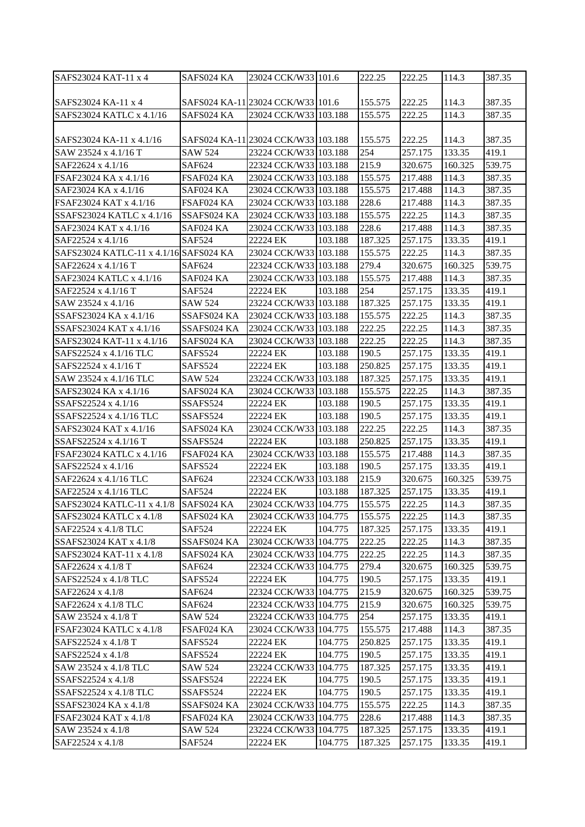| SAFS23024 KAT-11 x 4                   | SAFS024 KA     | 23024 CCK/W33 101.6                 |         | 222.25  | 222.25  | 114.3   | 387.35 |
|----------------------------------------|----------------|-------------------------------------|---------|---------|---------|---------|--------|
|                                        |                |                                     |         |         |         |         |        |
| SAFS23024 KA-11 x 4                    |                | SAFS024 KA-11 23024 CCK/W33 101.6   |         | 155.575 | 222.25  | 114.3   | 387.35 |
| SAFS23024 KATLC x 4.1/16               | SAFS024 KA     | 23024 CCK/W33 103.188               |         | 155.575 | 222.25  | 114.3   | 387.35 |
|                                        |                |                                     |         |         |         |         |        |
| SAFS23024 KA-11 x 4.1/16               |                | SAFS024 KA-11 23024 CCK/W33 103.188 |         | 155.575 | 222.25  | 114.3   | 387.35 |
| SAW 23524 x 4.1/16 T                   | <b>SAW 524</b> | 23224 CCK/W33 103.188               |         | 254     | 257.175 | 133.35  | 419.1  |
| SAF22624 x 4.1/16                      | SAF624         | 22324 CCK/W33 103.188               |         | 215.9   | 320.675 | 160.325 | 539.75 |
| FSAF23024 KA x 4.1/16                  | FSAF024 KA     | 23024 CCK/W33 103.188               |         | 155.575 | 217.488 | 114.3   | 387.35 |
| SAF23024 KA x 4.1/16                   | SAF024 KA      | 23024 CCK/W33 103.188               |         | 155.575 | 217.488 | 114.3   | 387.35 |
| FSAF23024 KAT x 4.1/16                 | FSAF024 KA     | 23024 CCK/W33 103.188               |         | 228.6   | 217.488 | 114.3   | 387.35 |
| SSAFS23024 KATLC x 4.1/16              | SSAFS024 KA    | 23024 CCK/W33 103.188               |         | 155.575 | 222.25  | 114.3   | 387.35 |
| SAF23024 KAT x 4.1/16                  | SAF024 KA      | 23024 CCK/W33 103.188               |         | 228.6   | 217.488 | 114.3   | 387.35 |
| SAF22524 x 4.1/16                      | <b>SAF524</b>  | 22224 EK                            | 103.188 | 187.325 | 257.175 | 133.35  | 419.1  |
| SAFS23024 KATLC-11 x 4.1/16 SAFS024 KA |                | 23024 CCK/W33 103.188               |         | 155.575 | 222.25  | 114.3   | 387.35 |
| SAF22624 x 4.1/16 T                    | SAF624         | 22324 CCK/W33 103.188               |         | 279.4   | 320.675 | 160.325 | 539.75 |
| SAF23024 KATLC x 4.1/16                | SAF024 KA      | 23024 CCK/W33 103.188               |         | 155.575 | 217.488 | 114.3   | 387.35 |
| SAF22524 x 4.1/16 T                    | <b>SAF524</b>  | 22224 EK                            | 103.188 | 254     | 257.175 | 133.35  | 419.1  |
| SAW 23524 x 4.1/16                     | <b>SAW 524</b> | 23224 CCK/W33 103.188               |         | 187.325 | 257.175 | 133.35  | 419.1  |
| SSAFS23024 KA x 4.1/16                 | SSAFS024 KA    | 23024 CCK/W33 103.188               |         | 155.575 | 222.25  | 114.3   | 387.35 |
| SSAFS23024 KAT x 4.1/16                | SSAFS024 KA    | 23024 CCK/W33 103.188               |         | 222.25  | 222.25  | 114.3   | 387.35 |
| SAFS23024 KAT-11 x 4.1/16              | SAFS024 KA     | 23024 CCK/W33 103.188               |         | 222.25  | 222.25  | 114.3   | 387.35 |
| SAFS22524 x 4.1/16 TLC                 | SAFS524        | 22224 EK                            | 103.188 | 190.5   | 257.175 | 133.35  | 419.1  |
| SAFS22524 x 4.1/16 T                   | SAFS524        | 22224 EK                            | 103.188 | 250.825 | 257.175 | 133.35  | 419.1  |
| SAW 23524 x 4.1/16 TLC                 | <b>SAW 524</b> | 23224 CCK/W33 103.188               |         | 187.325 | 257.175 | 133.35  | 419.1  |
| SAFS23024 KA x 4.1/16                  | SAFS024 KA     | 23024 CCK/W33 103.188               |         | 155.575 | 222.25  | 114.3   | 387.35 |
| SSAFS22524 x 4.1/16                    | SSAFS524       | 22224 EK                            | 103.188 | 190.5   | 257.175 | 133.35  | 419.1  |
| SSAFS22524 x 4.1/16 TLC                | SSAFS524       | 22224 EK                            | 103.188 | 190.5   | 257.175 | 133.35  | 419.1  |
| SAFS23024 KAT x 4.1/16                 | SAFS024 KA     | 23024 CCK/W33 103.188               |         | 222.25  | 222.25  | 114.3   | 387.35 |
| SSAFS22524 x 4.1/16 T                  | SSAFS524       | 22224 EK                            | 103.188 | 250.825 | 257.175 | 133.35  | 419.1  |
| FSAF23024 KATLC x 4.1/16               | FSAF024 KA     | 23024 CCK/W33 103.188               |         | 155.575 | 217.488 | 114.3   | 387.35 |
| SAFS22524 x 4.1/16                     | SAFS524        | 22224 EK                            | 103.188 | 190.5   | 257.175 | 133.35  | 419.1  |
| SAF22624 x 4.1/16 TLC                  | SAF624         | 22324 CCK/W33 103.188               |         | 215.9   | 320.675 | 160.325 | 539.75 |
| SAF22524 x 4.1/16 TLC                  | <b>SAF524</b>  | 22224 EK                            | 103.188 | 187.325 | 257.175 | 133.35  | 419.1  |
| SAFS23024 KATLC-11 x 4.1/8             | SAFS024 KA     | 23024 CCK/W33 104.775               |         | 155.575 | 222.25  | 114.3   | 387.35 |
| SAFS23024 KATLC x 4.1/8                | SAFS024 KA     | 23024 CCK/W33 104.775               |         | 155.575 | 222.25  | 114.3   | 387.35 |
| SAF22524 x 4.1/8 TLC                   | SAF524         | 22224 EK                            | 104.775 | 187.325 | 257.175 | 133.35  | 419.1  |
| SSAFS23024 KAT x 4.1/8                 | SSAFS024 KA    | 23024 CCK/W33 104.775               |         | 222.25  | 222.25  | 114.3   | 387.35 |
| SAFS23024 KAT-11 x 4.1/8               | SAFS024 KA     | 23024 CCK/W33 104.775               |         | 222.25  | 222.25  | 114.3   | 387.35 |
| SAF22624 x 4.1/8 T                     | SAF624         | 22324 CCK/W33 104.775               |         | 279.4   | 320.675 | 160.325 | 539.75 |
| SAFS22524 x 4.1/8 TLC                  | SAFS524        | 22224 EK                            | 104.775 | 190.5   | 257.175 | 133.35  | 419.1  |
| SAF22624 x 4.1/8                       | SAF624         | 22324 CCK/W33 104.775               |         | 215.9   | 320.675 | 160.325 | 539.75 |
| SAF22624 x 4.1/8 TLC                   | SAF624         | 22324 CCK/W33 104.775               |         | 215.9   | 320.675 | 160.325 | 539.75 |
| SAW 23524 x 4.1/8 T                    | SAW 524        | 23224 CCK/W33 104.775               |         | 254     | 257.175 | 133.35  | 419.1  |
| FSAF23024 KATLC x 4.1/8                | FSAF024 KA     | 23024 CCK/W33 104.775               |         | 155.575 | 217.488 | 114.3   | 387.35 |
| SAFS22524 x 4.1/8 T                    | SAFS524        | 22224 EK                            | 104.775 | 250.825 | 257.175 | 133.35  | 419.1  |
| SAFS22524 x 4.1/8                      | SAFS524        | 22224 EK                            | 104.775 | 190.5   | 257.175 | 133.35  | 419.1  |
| SAW 23524 x 4.1/8 TLC                  | SAW 524        | 23224 CCK/W33 104.775               |         | 187.325 | 257.175 | 133.35  | 419.1  |
| SSAFS22524 x 4.1/8                     | SSAFS524       | 22224 EK                            | 104.775 | 190.5   | 257.175 | 133.35  | 419.1  |
| SSAFS22524 x 4.1/8 TLC                 | SSAFS524       | 22224 EK                            | 104.775 | 190.5   | 257.175 | 133.35  | 419.1  |
| SSAFS23024 KA x 4.1/8                  | SSAFS024 KA    | 23024 CCK/W33 104.775               |         | 155.575 | 222.25  | 114.3   | 387.35 |
| FSAF23024 KAT x 4.1/8                  | FSAF024 KA     | 23024 CCK/W33 104.775               |         | 228.6   | 217.488 | 114.3   | 387.35 |
| SAW 23524 x 4.1/8                      | SAW 524        | 23224 CCK/W33 104.775               |         | 187.325 | 257.175 | 133.35  | 419.1  |
| SAF22524 x 4.1/8                       | SAF524         | 22224 EK                            | 104.775 | 187.325 | 257.175 | 133.35  | 419.1  |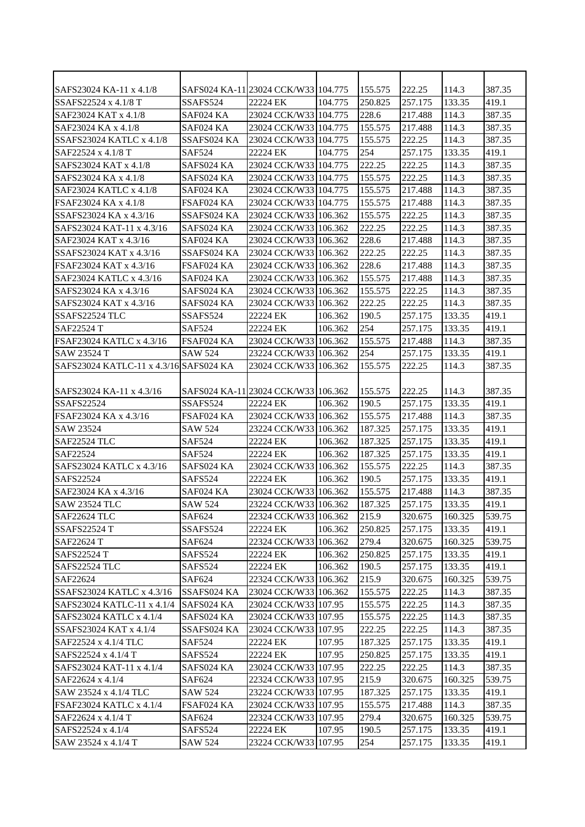| SAFS23024 KA-11 x 4.1/8                |                | SAFS024 KA-11 23024 CCK/W33 104.775 |         | 155.575 | 222.25  | 114.3   | 387.35 |
|----------------------------------------|----------------|-------------------------------------|---------|---------|---------|---------|--------|
| SSAFS22524 x 4.1/8 T                   | SSAFS524       | 22224 EK                            | 104.775 | 250.825 | 257.175 | 133.35  | 419.1  |
| SAF23024 KAT x 4.1/8                   | SAF024 KA      | 23024 CCK/W33 104.775               |         | 228.6   | 217.488 | 114.3   | 387.35 |
| SAF23024 KA x 4.1/8                    | SAF024 KA      | 23024 CCK/W33 104.775               |         | 155.575 | 217.488 | 114.3   | 387.35 |
| SSAFS23024 KATLC x 4.1/8               | SSAFS024 KA    | 23024 CCK/W33 104.775               |         | 155.575 | 222.25  | 114.3   | 387.35 |
| SAF22524 x 4.1/8 T                     | <b>SAF524</b>  | 22224 EK                            | 104.775 | 254     | 257.175 | 133.35  | 419.1  |
| SAFS23024 KAT x 4.1/8                  | SAFS024 KA     | 23024 CCK/W33 104.775               |         | 222.25  | 222.25  | 114.3   | 387.35 |
| SAFS23024 KA x 4.1/8                   | SAFS024 KA     | 23024 CCK/W33 104.775               |         | 155.575 | 222.25  | 114.3   | 387.35 |
| SAF23024 KATLC x 4.1/8                 | SAF024 KA      | 23024 CCK/W33 104.775               |         | 155.575 | 217.488 | 114.3   | 387.35 |
| FSAF23024 KA x 4.1/8                   | FSAF024 KA     | 23024 CCK/W33 104.775               |         | 155.575 | 217.488 | 114.3   | 387.35 |
| SSAFS23024 KA x 4.3/16                 | SSAFS024 KA    | 23024 CCK/W33 106.362               |         | 155.575 | 222.25  | 114.3   | 387.35 |
| SAFS23024 KAT-11 x 4.3/16              | SAFS024 KA     | 23024 CCK/W33 106.362               |         | 222.25  | 222.25  | 114.3   | 387.35 |
| SAF23024 KAT x 4.3/16                  | SAF024 KA      | 23024 CCK/W33 106.362               |         | 228.6   | 217.488 | 114.3   | 387.35 |
| SSAFS23024 KAT x 4.3/16                | SSAFS024 KA    | 23024 CCK/W33 106.362               |         | 222.25  | 222.25  | 114.3   | 387.35 |
| FSAF23024 KAT x 4.3/16                 | FSAF024 KA     | 23024 CCK/W33 106.362               |         | 228.6   | 217.488 | 114.3   | 387.35 |
| SAF23024 KATLC x 4.3/16                | SAF024 KA      | 23024 CCK/W33 106.362               |         | 155.575 | 217.488 | 114.3   | 387.35 |
| SAFS23024 KA x 4.3/16                  | SAFS024 KA     | 23024 CCK/W33 106.362               |         | 155.575 | 222.25  | 114.3   | 387.35 |
| SAFS23024 KAT x 4.3/16                 | SAFS024 KA     | 23024 CCK/W33 106.362               |         | 222.25  | 222.25  | 114.3   | 387.35 |
| SSAFS22524 TLC                         | SSAFS524       | 22224 EK                            | 106.362 | 190.5   | 257.175 | 133.35  | 419.1  |
| SAF22524 T                             | <b>SAF524</b>  | 22224 EK                            | 106.362 | 254     | 257.175 | 133.35  | 419.1  |
| FSAF23024 KATLC x 4.3/16               | FSAF024 KA     | 23024 CCK/W33 106.362               |         | 155.575 | 217.488 | 114.3   | 387.35 |
| SAW 23524 T                            | <b>SAW 524</b> | 23224 CCK/W33 106.362               |         | 254     | 257.175 | 133.35  | 419.1  |
| SAFS23024 KATLC-11 x 4.3/16 SAFS024 KA |                | 23024 CCK/W33 106.362               |         | 155.575 | 222.25  | 114.3   | 387.35 |
|                                        |                |                                     |         |         |         |         |        |
| SAFS23024 KA-11 x 4.3/16               |                | SAFS024 KA-11 23024 CCK/W33 106.362 |         | 155.575 | 222.25  | 114.3   | 387.35 |
| <b>SSAFS22524</b>                      | SSAFS524       | 22224 EK                            | 106.362 | 190.5   | 257.175 | 133.35  | 419.1  |
| FSAF23024 KA x 4.3/16                  | FSAF024 KA     | 23024 CCK/W33 106.362               |         | 155.575 | 217.488 | 114.3   | 387.35 |
| SAW 23524                              | <b>SAW 524</b> | 23224 CCK/W33 106.362               |         | 187.325 | 257.175 | 133.35  | 419.1  |
| <b>SAF22524 TLC</b>                    | <b>SAF524</b>  | 22224 EK                            | 106.362 | 187.325 | 257.175 | 133.35  | 419.1  |
| SAF22524                               | <b>SAF524</b>  | 22224 EK                            | 106.362 | 187.325 | 257.175 | 133.35  | 419.1  |
| SAFS23024 KATLC x 4.3/16               | SAFS024 KA     | 23024 CCK/W33 106.362               |         | 155.575 | 222.25  | 114.3   | 387.35 |
| SAFS22524                              | SAFS524        | 22224 EK                            | 106.362 | 190.5   | 257.175 | 133.35  | 419.1  |
| SAF23024 KA x 4.3/16                   | SAF024 KA      | 23024 CCK/W33 106.362               |         | 155.575 | 217.488 | 114.3   | 387.35 |
| <b>SAW 23524 TLC</b>                   | <b>SAW 524</b> | 23224 CCK/W33 106.362               |         | 187.325 | 257.175 | 133.35  | 419.1  |
| SAF22624 TLC                           | <b>SAF624</b>  | 22324 CCK/W33 106.362               |         | 215.9   | 320.675 | 160.325 | 539.75 |
| SSAFS22524 T                           | SSAFS524       | 22224 EK                            | 106.362 | 250.825 | 257.175 | 133.35  | 419.1  |
| SAF22624 T                             | SAF624         | 22324 CCK/W33 106.362               |         | 279.4   | 320.675 | 160.325 | 539.75 |
| SAFS22524 T                            | SAFS524        | 22224 EK                            | 106.362 | 250.825 | 257.175 | 133.35  | 419.1  |
| SAFS22524 TLC                          | SAFS524        | 22224 EK                            | 106.362 | 190.5   | 257.175 | 133.35  | 419.1  |
| SAF22624                               | <b>SAF624</b>  | 22324 CCK/W33 106.362               |         | 215.9   | 320.675 | 160.325 | 539.75 |
| SSAFS23024 KATLC x 4.3/16              | SSAFS024 KA    | 23024 CCK/W33 106.362               |         | 155.575 | 222.25  | 114.3   | 387.35 |
| SAFS23024 KATLC-11 x 4.1/4             | SAFS024 KA     | 23024 CCK/W33 107.95                |         | 155.575 | 222.25  | 114.3   | 387.35 |
| SAFS23024 KATLC x 4.1/4                | SAFS024 KA     | 23024 CCK/W33 107.95                |         | 155.575 | 222.25  | 114.3   | 387.35 |
| SSAFS23024 KAT x 4.1/4                 | SSAFS024 KA    | 23024 CCK/W33 107.95                |         | 222.25  | 222.25  | 114.3   | 387.35 |
| SAF22524 x 4.1/4 TLC                   | SAF524         | 22224 EK                            | 107.95  | 187.325 | 257.175 | 133.35  | 419.1  |
| SAFS22524 x 4.1/4 T                    | SAFS524        | 22224 EK                            | 107.95  | 250.825 | 257.175 | 133.35  | 419.1  |
| SAFS23024 KAT-11 x 4.1/4               | SAFS024 KA     | 23024 CCK/W33 107.95                |         | 222.25  | 222.25  | 114.3   | 387.35 |
| SAF22624 x 4.1/4                       | SAF624         | 22324 CCK/W33 107.95                |         | 215.9   | 320.675 | 160.325 | 539.75 |
| SAW 23524 x 4.1/4 TLC                  | <b>SAW 524</b> | 23224 CCK/W33 107.95                |         | 187.325 | 257.175 | 133.35  | 419.1  |
| FSAF23024 KATLC x 4.1/4                | FSAF024 KA     | 23024 CCK/W33 107.95                |         | 155.575 | 217.488 | 114.3   | 387.35 |
| SAF22624 x 4.1/4 T                     | SAF624         | 22324 CCK/W33 107.95                |         | 279.4   | 320.675 | 160.325 | 539.75 |
| SAFS22524 x 4.1/4                      | SAFS524        | 22224 EK                            | 107.95  | 190.5   | 257.175 | 133.35  | 419.1  |
| SAW 23524 x 4.1/4 T                    | SAW 524        | 23224 CCK/W33 107.95                |         | 254     | 257.175 | 133.35  | 419.1  |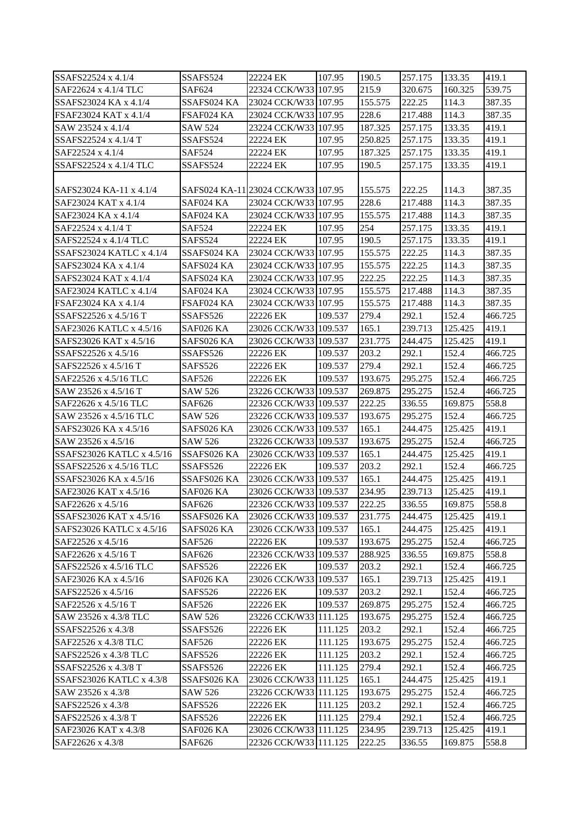| SSAFS22524 x 4.1/4<br>SAF22624 x 4.1/4 TLC<br><b>SAF624</b><br>22324 CCK/W33 107.95<br>215.9<br>539.75<br>320.675<br>160.325<br>SSAFS23024 KA x 4.1/4<br>SSAFS024 KA<br>23024 CCK/W33 107.95<br>155.575<br>114.3<br>387.35<br>222.25<br>FSAF23024 KAT x 4.1/4<br>23024 CCK/W33 107.95<br>228.6<br>217.488<br>114.3<br>387.35<br>FSAF024 KA<br>SAW 23524 x 4.1/4<br>187.325<br>133.35<br>SAW 524<br>23224 CCK/W33 107.95<br>257.175<br>419.1<br>419.1<br>250.825<br>133.35<br>SSAFS22524 x 4.1/4 T<br>SSAFS524<br>22224 EK<br>107.95<br>257.175<br>419.1<br>SAF22524 x 4.1/4<br><b>SAF524</b><br>22224 EK<br>107.95<br>187.325<br>257.175<br>133.35<br>SSAFS22524 x 4.1/4 TLC<br>SSAFS524<br>22224 EK<br>190.5<br>257.175<br>419.1<br>107.95<br>133.35<br>SAFS024 KA-11 23024 CCK/W33 107.95<br>155.575<br>222.25<br>114.3<br>387.35<br>SAFS23024 KA-11 x 4.1/4<br>228.6<br>SAF23024 KAT x 4.1/4<br>SAF024 KA<br>23024 CCK/W33 107.95<br>217.488<br>114.3<br>387.35<br>23024 CCK/W33 107.95<br>155.575<br>114.3<br>387.35<br>SAF024 KA<br>217.488<br>254<br>257.175<br>133.35<br>419.1<br>SAF22524 x 4.1/4 T<br><b>SAF524</b><br>22224 EK<br>107.95 |         |
|----------------------------------------------------------------------------------------------------------------------------------------------------------------------------------------------------------------------------------------------------------------------------------------------------------------------------------------------------------------------------------------------------------------------------------------------------------------------------------------------------------------------------------------------------------------------------------------------------------------------------------------------------------------------------------------------------------------------------------------------------------------------------------------------------------------------------------------------------------------------------------------------------------------------------------------------------------------------------------------------------------------------------------------------------------------------------------------------------------------------------------------------------|---------|
| SAF23024 KA x 4.1/4                                                                                                                                                                                                                                                                                                                                                                                                                                                                                                                                                                                                                                                                                                                                                                                                                                                                                                                                                                                                                                                                                                                                |         |
|                                                                                                                                                                                                                                                                                                                                                                                                                                                                                                                                                                                                                                                                                                                                                                                                                                                                                                                                                                                                                                                                                                                                                    |         |
|                                                                                                                                                                                                                                                                                                                                                                                                                                                                                                                                                                                                                                                                                                                                                                                                                                                                                                                                                                                                                                                                                                                                                    |         |
|                                                                                                                                                                                                                                                                                                                                                                                                                                                                                                                                                                                                                                                                                                                                                                                                                                                                                                                                                                                                                                                                                                                                                    |         |
|                                                                                                                                                                                                                                                                                                                                                                                                                                                                                                                                                                                                                                                                                                                                                                                                                                                                                                                                                                                                                                                                                                                                                    |         |
|                                                                                                                                                                                                                                                                                                                                                                                                                                                                                                                                                                                                                                                                                                                                                                                                                                                                                                                                                                                                                                                                                                                                                    |         |
|                                                                                                                                                                                                                                                                                                                                                                                                                                                                                                                                                                                                                                                                                                                                                                                                                                                                                                                                                                                                                                                                                                                                                    |         |
|                                                                                                                                                                                                                                                                                                                                                                                                                                                                                                                                                                                                                                                                                                                                                                                                                                                                                                                                                                                                                                                                                                                                                    |         |
|                                                                                                                                                                                                                                                                                                                                                                                                                                                                                                                                                                                                                                                                                                                                                                                                                                                                                                                                                                                                                                                                                                                                                    |         |
|                                                                                                                                                                                                                                                                                                                                                                                                                                                                                                                                                                                                                                                                                                                                                                                                                                                                                                                                                                                                                                                                                                                                                    |         |
|                                                                                                                                                                                                                                                                                                                                                                                                                                                                                                                                                                                                                                                                                                                                                                                                                                                                                                                                                                                                                                                                                                                                                    |         |
|                                                                                                                                                                                                                                                                                                                                                                                                                                                                                                                                                                                                                                                                                                                                                                                                                                                                                                                                                                                                                                                                                                                                                    |         |
| 190.5<br>257.175<br>133.35<br>419.1<br>SAFS22524 x 4.1/4 TLC<br>SAFS524<br>22224 EK<br>107.95                                                                                                                                                                                                                                                                                                                                                                                                                                                                                                                                                                                                                                                                                                                                                                                                                                                                                                                                                                                                                                                      |         |
| 114.3<br>387.35<br>SSAFS23024 KATLC x 4.1/4<br>SSAFS024 KA<br>23024 CCK/W33 107.95<br>155.575<br>222.25                                                                                                                                                                                                                                                                                                                                                                                                                                                                                                                                                                                                                                                                                                                                                                                                                                                                                                                                                                                                                                            |         |
| SAFS024 KA<br>23024 CCK/W33 107.95<br>155.575<br>222.25<br>114.3<br>SAFS23024 KA x 4.1/4                                                                                                                                                                                                                                                                                                                                                                                                                                                                                                                                                                                                                                                                                                                                                                                                                                                                                                                                                                                                                                                           | 387.35  |
| SAFS23024 KAT x 4.1/4<br>SAFS024 KA<br>23024 CCK/W33 107.95<br>222.25<br>222.25<br>114.3<br>387.35                                                                                                                                                                                                                                                                                                                                                                                                                                                                                                                                                                                                                                                                                                                                                                                                                                                                                                                                                                                                                                                 |         |
| SAF23024 KATLC x 4.1/4<br>23024 CCK/W33 107.95<br>155.575<br>114.3<br>387.35<br>SAF024 KA<br>217.488                                                                                                                                                                                                                                                                                                                                                                                                                                                                                                                                                                                                                                                                                                                                                                                                                                                                                                                                                                                                                                               |         |
| FSAF23024 KA x 4.1/4<br>FSAF024 KA<br>23024 CCK/W33 107.95<br>155.575<br>114.3<br>387.35<br>217.488                                                                                                                                                                                                                                                                                                                                                                                                                                                                                                                                                                                                                                                                                                                                                                                                                                                                                                                                                                                                                                                |         |
| 152.4<br>SSAFS22526 x 4.5/16 T<br>109.537<br>279.4<br>292.1<br>SSAFS526<br>22226 EK                                                                                                                                                                                                                                                                                                                                                                                                                                                                                                                                                                                                                                                                                                                                                                                                                                                                                                                                                                                                                                                                | 466.725 |
| 125.425<br>419.1<br>SAF026 KA<br>23026 CCK/W33 109.537<br>165.1<br>239.713<br>SAF23026 KATLC x 4.5/16                                                                                                                                                                                                                                                                                                                                                                                                                                                                                                                                                                                                                                                                                                                                                                                                                                                                                                                                                                                                                                              |         |
| 231.775<br>125.425<br>419.1<br>SAFS23026 KAT x 4.5/16<br>SAFS026 KA<br>23026 CCK/W33 109.537<br>244.475                                                                                                                                                                                                                                                                                                                                                                                                                                                                                                                                                                                                                                                                                                                                                                                                                                                                                                                                                                                                                                            |         |
| 292.1<br>SSAFS22526 x 4.5/16<br>SSAFS526<br>22226 EK<br>109.537<br>203.2<br>152.4                                                                                                                                                                                                                                                                                                                                                                                                                                                                                                                                                                                                                                                                                                                                                                                                                                                                                                                                                                                                                                                                  | 466.725 |
| SAFS22526 x 4.5/16 T<br>SAFS526<br>22226 EK<br>109.537<br>279.4<br>292.1<br>152.4                                                                                                                                                                                                                                                                                                                                                                                                                                                                                                                                                                                                                                                                                                                                                                                                                                                                                                                                                                                                                                                                  | 466.725 |
| 193.675<br>295.275<br>SAF22526 x 4.5/16 TLC<br><b>SAF526</b><br>22226 EK<br>109.537<br>152.4                                                                                                                                                                                                                                                                                                                                                                                                                                                                                                                                                                                                                                                                                                                                                                                                                                                                                                                                                                                                                                                       | 466.725 |
| SAW 23526 x 4.5/16 T<br><b>SAW 526</b><br>23226 CCK/W33 109.537<br>269.875<br>295.275<br>152.4                                                                                                                                                                                                                                                                                                                                                                                                                                                                                                                                                                                                                                                                                                                                                                                                                                                                                                                                                                                                                                                     | 466.725 |
| SAF22626 x 4.5/16 TLC<br>SAF626<br>22326 CCK/W33 109.537<br>222.25<br>169.875<br>558.8<br>336.55                                                                                                                                                                                                                                                                                                                                                                                                                                                                                                                                                                                                                                                                                                                                                                                                                                                                                                                                                                                                                                                   |         |
| 152.4<br>SAW 23526 x 4.5/16 TLC<br>SAW 526<br>23226 CCK/W33 109.537<br>193.675<br>295.275                                                                                                                                                                                                                                                                                                                                                                                                                                                                                                                                                                                                                                                                                                                                                                                                                                                                                                                                                                                                                                                          | 466.725 |
| 125.425<br>419.1<br>SAFS23026 KA x 4.5/16<br>SAFS026 KA<br>23026 CCK/W33 109.537<br>165.1<br>244.475                                                                                                                                                                                                                                                                                                                                                                                                                                                                                                                                                                                                                                                                                                                                                                                                                                                                                                                                                                                                                                               |         |
| SAW 526<br>193.675<br>152.4<br>SAW 23526 x 4.5/16<br>23226 CCK/W33 109.537<br>295.275                                                                                                                                                                                                                                                                                                                                                                                                                                                                                                                                                                                                                                                                                                                                                                                                                                                                                                                                                                                                                                                              | 466.725 |
| SSAFS23026 KATLC x 4.5/16<br>SSAFS026 KA<br>23026 CCK/W33 109.537<br>165.1<br>244.475<br>125.425<br>419.1                                                                                                                                                                                                                                                                                                                                                                                                                                                                                                                                                                                                                                                                                                                                                                                                                                                                                                                                                                                                                                          |         |
| SSAFS22526 x 4.5/16 TLC<br>SSAFS526<br>22226 EK<br>109.537<br>203.2<br>292.1<br>152.4                                                                                                                                                                                                                                                                                                                                                                                                                                                                                                                                                                                                                                                                                                                                                                                                                                                                                                                                                                                                                                                              | 466.725 |
| SSAFS23026 KA x 4.5/16<br>23026 CCK/W33 109.537<br>165.1<br>244.475<br>125.425<br>419.1<br>SSAFS026 KA                                                                                                                                                                                                                                                                                                                                                                                                                                                                                                                                                                                                                                                                                                                                                                                                                                                                                                                                                                                                                                             |         |
| SAF23026 KAT x 4.5/16<br>234.95<br>419.1<br>SAF026 KA<br>23026 CCK/W33 109.537<br>239.713<br>125.425                                                                                                                                                                                                                                                                                                                                                                                                                                                                                                                                                                                                                                                                                                                                                                                                                                                                                                                                                                                                                                               |         |
| SAF22626 x 4.5/16<br>22326 CCK/W33 109.537<br>222.25<br>169.875<br>558.8<br>SAF626<br>336.55                                                                                                                                                                                                                                                                                                                                                                                                                                                                                                                                                                                                                                                                                                                                                                                                                                                                                                                                                                                                                                                       |         |
| SSAFS026 KA<br>23026 CCK/W33 109.537<br>231.775<br>244.475<br>125.425<br>419.1<br>SSAFS23026 KAT x 4.5/16                                                                                                                                                                                                                                                                                                                                                                                                                                                                                                                                                                                                                                                                                                                                                                                                                                                                                                                                                                                                                                          |         |
| SAFS026 KA<br>23026 CCK/W33 109.537<br>165.1<br>244.475<br>125.425<br>419.1<br>SAFS23026 KATLC x 4.5/16                                                                                                                                                                                                                                                                                                                                                                                                                                                                                                                                                                                                                                                                                                                                                                                                                                                                                                                                                                                                                                            |         |
| 193.675<br>152.4<br>SAF22526 x 4.5/16<br><b>SAF526</b><br>22226 EK<br>109.537<br>295.275                                                                                                                                                                                                                                                                                                                                                                                                                                                                                                                                                                                                                                                                                                                                                                                                                                                                                                                                                                                                                                                           | 466.725 |
| 22326 CCK/W33 109.537<br>558.8<br>SAF22626 x 4.5/16 T<br>SAF626<br>288.925<br>336.55<br>169.875                                                                                                                                                                                                                                                                                                                                                                                                                                                                                                                                                                                                                                                                                                                                                                                                                                                                                                                                                                                                                                                    |         |
| 109.537<br>292.1<br>SAFS22526 x 4.5/16 TLC<br>SAFS526<br>22226 EK<br>203.2<br>152.4                                                                                                                                                                                                                                                                                                                                                                                                                                                                                                                                                                                                                                                                                                                                                                                                                                                                                                                                                                                                                                                                | 466.725 |
| SAF23026 KA x 4.5/16<br>SAF026 KA<br>23026 CCK/W33 109.537<br>165.1<br>239.713<br>125.425<br>419.1                                                                                                                                                                                                                                                                                                                                                                                                                                                                                                                                                                                                                                                                                                                                                                                                                                                                                                                                                                                                                                                 |         |
| SAFS22526 x 4.5/16<br>SAFS526<br>22226 EK<br>203.2<br>292.1<br>152.4<br>109.537                                                                                                                                                                                                                                                                                                                                                                                                                                                                                                                                                                                                                                                                                                                                                                                                                                                                                                                                                                                                                                                                    | 466.725 |
| 269.875<br>152.4<br>SAF22526 x 4.5/16 T<br>SAF526<br>22226 EK<br>109.537<br>295.275                                                                                                                                                                                                                                                                                                                                                                                                                                                                                                                                                                                                                                                                                                                                                                                                                                                                                                                                                                                                                                                                | 466.725 |
| SAW 23526 x 4.3/8 TLC<br>SAW 526<br>23226 CCK/W33 111.125<br>193.675<br>295.275<br>152.4                                                                                                                                                                                                                                                                                                                                                                                                                                                                                                                                                                                                                                                                                                                                                                                                                                                                                                                                                                                                                                                           | 466.725 |
| SSAFS22526 x 4.3/8<br>SSAFS526<br>22226 EK<br>111.125<br>203.2<br>292.1<br>152.4                                                                                                                                                                                                                                                                                                                                                                                                                                                                                                                                                                                                                                                                                                                                                                                                                                                                                                                                                                                                                                                                   | 466.725 |
| SAF22526 x 4.3/8 TLC<br>22226 EK<br>SAF526<br>111.125<br>193.675<br>295.275<br>152.4                                                                                                                                                                                                                                                                                                                                                                                                                                                                                                                                                                                                                                                                                                                                                                                                                                                                                                                                                                                                                                                               | 466.725 |
| SAFS22526 x 4.3/8 TLC<br>SAFS526<br>22226 EK<br>111.125<br>203.2<br>292.1<br>152.4                                                                                                                                                                                                                                                                                                                                                                                                                                                                                                                                                                                                                                                                                                                                                                                                                                                                                                                                                                                                                                                                 | 466.725 |
| 22226 EK<br>292.1<br>SSAFS22526 x 4.3/8 T<br>SSAFS526<br>111.125<br>279.4<br>152.4                                                                                                                                                                                                                                                                                                                                                                                                                                                                                                                                                                                                                                                                                                                                                                                                                                                                                                                                                                                                                                                                 | 466.725 |
| SSAFS23026 KATLC x 4.3/8<br>SSAFS026 KA<br>23026 CCK/W33 111.125<br>165.1<br>244.475<br>125.425<br>419.1                                                                                                                                                                                                                                                                                                                                                                                                                                                                                                                                                                                                                                                                                                                                                                                                                                                                                                                                                                                                                                           |         |
| SAW 23526 x 4.3/8<br><b>SAW 526</b><br>23226 CCK/W33 111.125<br>193.675<br>295.275<br>152.4                                                                                                                                                                                                                                                                                                                                                                                                                                                                                                                                                                                                                                                                                                                                                                                                                                                                                                                                                                                                                                                        | 466.725 |
| SAFS526<br>22226 EK<br>203.2<br>292.1<br>152.4<br>SAFS22526 x 4.3/8<br>111.125                                                                                                                                                                                                                                                                                                                                                                                                                                                                                                                                                                                                                                                                                                                                                                                                                                                                                                                                                                                                                                                                     | 466.725 |
| 279.4<br>292.1<br>152.4<br>SAFS22526 x 4.3/8 T<br>SAFS526<br>22226 EK<br>111.125                                                                                                                                                                                                                                                                                                                                                                                                                                                                                                                                                                                                                                                                                                                                                                                                                                                                                                                                                                                                                                                                   | 466.725 |
| SAF23026 KAT x 4.3/8<br>SAF026 KA<br>23026 CCK/W33 111.125<br>234.95<br>125.425<br>419.1<br>239.713                                                                                                                                                                                                                                                                                                                                                                                                                                                                                                                                                                                                                                                                                                                                                                                                                                                                                                                                                                                                                                                |         |
| SAF22626 x 4.3/8<br>SAF626<br>22326 CCK/W33 111.125<br>222.25<br>169.875<br>558.8<br>336.55                                                                                                                                                                                                                                                                                                                                                                                                                                                                                                                                                                                                                                                                                                                                                                                                                                                                                                                                                                                                                                                        |         |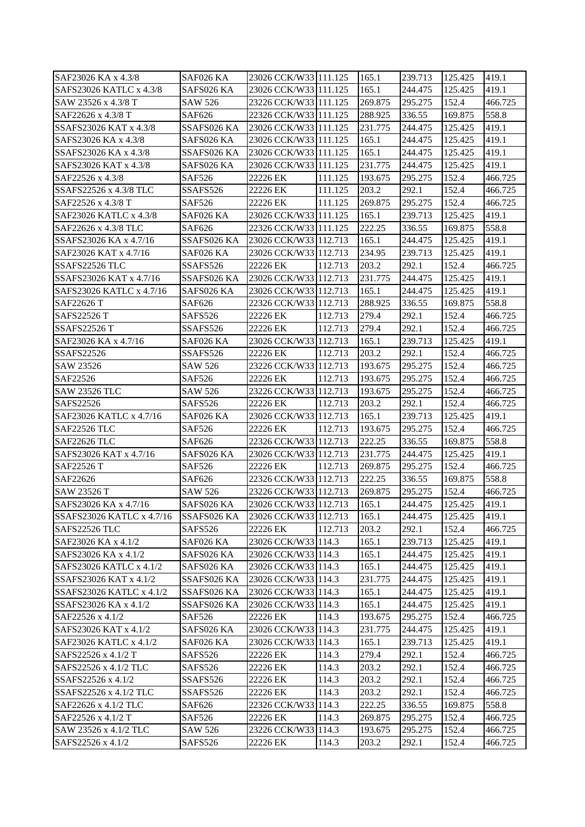| SAF23026 KA x 4.3/8       | SAF026 KA      | 23026 CCK/W33 111.125           |         | 165.1             | 239.713 | 125.425          | 419.1   |
|---------------------------|----------------|---------------------------------|---------|-------------------|---------|------------------|---------|
| SAFS23026 KATLC x 4.3/8   | SAFS026 KA     | 23026 CCK/W33 111.125           |         | 165.1             | 244.475 | 125.425          | 419.1   |
| SAW 23526 x 4.3/8 T       | <b>SAW 526</b> | 23226 CCK/W33 111.125           |         | 269.875           | 295.275 | 152.4            | 466.725 |
| SAF22626 x 4.3/8 T        | SAF626         | 22326 CCK/W33 111.125           |         | 288.925           | 336.55  | 169.875          | 558.8   |
| SSAFS23026 KAT x 4.3/8    | SSAFS026 KA    | 23026 CCK/W33 111.125           |         | 231.775           | 244.475 | 125.425          | 419.1   |
| SAFS23026 KA x 4.3/8      | SAFS026 KA     | 23026 CCK/W33 111.125           |         | 165.1             | 244.475 | 125.425          | 419.1   |
| SSAFS23026 KA x 4.3/8     | SSAFS026 KA    | 23026 CCK/W33 111.125           |         | 165.1             | 244.475 | 125.425          | 419.1   |
| SAFS23026 KAT x 4.3/8     | SAFS026 KA     | 23026 CCK/W33 111.125           |         | 231.775           | 244.475 | 125.425          | 419.1   |
| SAF22526 x 4.3/8          | SAF526         | 22226 EK                        | 111.125 | 193.675           | 295.275 | 152.4            | 466.725 |
| SSAFS22526 x 4.3/8 TLC    | SSAFS526       | 22226 EK                        | 111.125 | 203.2             | 292.1   | 152.4            | 466.725 |
| SAF22526 x 4.3/8 T        | <b>SAF526</b>  | 22226 EK                        | 111.125 | 269.875           | 295.275 | 152.4            | 466.725 |
| SAF23026 KATLC x 4.3/8    | SAF026 KA      | 23026 CCK/W33 111.125           |         | 165.1             | 239.713 | 125.425          | 419.1   |
| SAF22626 x 4.3/8 TLC      | SAF626         | 22326 CCK/W33 111.125           |         | 222.25            | 336.55  | 169.875          | 558.8   |
| SSAFS23026 KA x 4.7/16    | SSAFS026 KA    | 23026 CCK/W33 112.713           |         | 165.1             | 244.475 | 125.425          | 419.1   |
| SAF23026 KAT x 4.7/16     | SAF026 KA      | 23026 CCK/W33 112.713           |         | 234.95            | 239.713 | 125.425          | 419.1   |
| SSAFS22526 TLC            | SSAFS526       | 22226 EK                        | 112.713 | 203.2             | 292.1   | 152.4            | 466.725 |
| SSAFS23026 KAT x 4.7/16   | SSAFS026 KA    | 23026 CCK/W33 112.713           |         | 231.775           | 244.475 | 125.425          | 419.1   |
| SAFS23026 KATLC x 4.7/16  | SAFS026 KA     | 23026 CCK/W33 112.713           |         | 165.1             | 244.475 | 125.425          | 419.1   |
| SAF22626 T                | SAF626         | 22326 CCK/W33 112.713           |         | 288.925           | 336.55  | 169.875          | 558.8   |
| SAFS22526 T               | SAFS526        | 22226 EK                        | 112.713 | 279.4             | 292.1   | 152.4            | 466.725 |
| <b>SSAFS22526 T</b>       | SSAFS526       | 22226 EK                        | 112.713 | 279.4             | 292.1   | 152.4            | 466.725 |
| SAF23026 KA x 4.7/16      | SAF026 KA      | 23026 CCK/W33 112.713           |         | 165.1             | 239.713 | 125.425          | 419.1   |
| <b>SSAFS22526</b>         | SSAFS526       | 22226 EK                        | 112.713 | 203.2             | 292.1   | 152.4            | 466.725 |
| SAW 23526                 | SAW 526        | 23226 CCK/W33 112.713           |         | 193.675           | 295.275 | 152.4            | 466.725 |
| SAF22526                  | SAF526         | 22226 EK                        | 112.713 | 193.675           | 295.275 | 152.4            | 466.725 |
| <b>SAW 23526 TLC</b>      | <b>SAW 526</b> | 23226 CCK/W33 112.713           |         | 193.675           | 295.275 | 152.4            | 466.725 |
| SAFS22526                 | SAFS526        | 22226 EK                        | 112.713 | 203.2             | 292.1   | 152.4            | 466.725 |
| SAF23026 KATLC x 4.7/16   | SAF026 KA      | 23026 CCK/W33 112.713           |         | 165.1             | 239.713 | 125.425          | 419.1   |
| <b>SAF22526 TLC</b>       | SAF526         | 22226 EK                        | 112.713 | 193.675           | 295.275 | 152.4            | 466.725 |
| <b>SAF22626 TLC</b>       | SAF626         | 22326 CCK/W33 112.713           |         | 222.25            | 336.55  | 169.875          | 558.8   |
| SAFS23026 KAT x 4.7/16    | SAFS026 KA     | 23026 CCK/W33 112.713           |         | 231.775           | 244.475 | 125.425          | 419.1   |
| SAF22526 T                | SAF526         | 22226 EK                        | 112.713 | 269.875           | 295.275 | 152.4            | 466.725 |
| SAF22626                  | SAF626         | 22326 CCK/W33 112.713           |         | 222.25            | 336.55  | 169.875          | 558.8   |
| <b>SAW 23526 T</b>        | <b>SAW 526</b> | 23226 CCK/W33 112.713           |         | 269.875           | 295.275 | 152.4            | 466.725 |
| SAFS23026 KA x 4.7/16     | SAFS026 KA     | 23026 CCK/W33 112.713           |         | 165.1             | 244.475 | 125.425          | 419.1   |
| SSAFS23026 KATLC x 4.7/16 | SSAFS026 KA    | 23026 CCK/W33 112.713           |         | 165.1             | 244.475 | 125.425          | 419.1   |
| SAFS22526 TLC             | <b>SAFS526</b> | 22226 EK                        | 112.713 | 203.2             | 292.1   | 152.4            | 466.725 |
| SAF23026 KA x 4.1/2       | SAF026 KA      | 23026 CCK/W33 114.3             |         | 165.1             | 239.713 | 125.425          | 419.1   |
| SAFS23026 KA x 4.1/2      | SAFS026 KA     | 23026 CCK/W33 114.3             |         | 165.1             | 244.475 | 125.425          | 419.1   |
| SAFS23026 KATLC x 4.1/2   | SAFS026 KA     | 23026 CCK/W33 114.3             |         | 165.1             | 244.475 | 125.425          | 419.1   |
| SSAFS23026 KAT x 4.1/2    | SSAFS026 KA    | 23026 CCK/W33 114.3             |         | 231.775           | 244.475 | 125.425          | 419.1   |
| SSAFS23026 KATLC x 4.1/2  | SSAFS026 KA    | 23026 CCK/W33 114.3             |         | 165.1             | 244.475 | 125.425          | 419.1   |
| SSAFS23026 KA x 4.1/2     | SSAFS026 KA    | 23026 CCK/W33 114.3             |         | 165.1             | 244.475 | 125.425          | 419.1   |
| SAF22526 x 4.1/2          | <b>SAF526</b>  | 22226 EK                        | 114.3   | 193.675           | 295.275 | 152.4            | 466.725 |
| SAFS23026 KAT x 4.1/2     | SAFS026 KA     | 23026 CCK/W33 114.3             |         | 231.775           | 244.475 | 125.425          | 419.1   |
| SAF23026 KATLC x 4.1/2    | SAF026 KA      | 23026 CCK/W33 114.3             |         | 165.1             | 239.713 | 125.425          | 419.1   |
| SAFS22526 x 4.1/2 T       | SAFS526        | 22226 EK                        | 114.3   | 279.4             | 292.1   | 152.4            | 466.725 |
| SAFS22526 x 4.1/2 TLC     | SAFS526        | 22226 EK                        | 114.3   | 203.2             | 292.1   | 152.4            | 466.725 |
| SSAFS22526 x 4.1/2        | SSAFS526       | 22226 EK                        | 114.3   | 203.2             | 292.1   | 152.4            | 466.725 |
| SSAFS22526 x 4.1/2 TLC    | SSAFS526       | 22226 EK                        | 114.3   | 203.2             | 292.1   | 152.4            | 466.725 |
| SAF22626 x 4.1/2 TLC      | SAF626         | 22326 CCK/W33 114.3<br>22226 EK | 114.3   | 222.25<br>269.875 | 336.55  | 169.875<br>152.4 | 558.8   |
| SAF22526 x 4.1/2 T        | SAF526         |                                 |         |                   | 295.275 |                  | 466.725 |
| SAW 23526 x 4.1/2 TLC     | SAW 526        | 23226 CCK/W33 114.3             |         | 193.675           | 295.275 | 152.4            | 466.725 |
| SAFS22526 x 4.1/2         | SAFS526        | 22226 EK                        | 114.3   | 203.2             | 292.1   | 152.4            | 466.725 |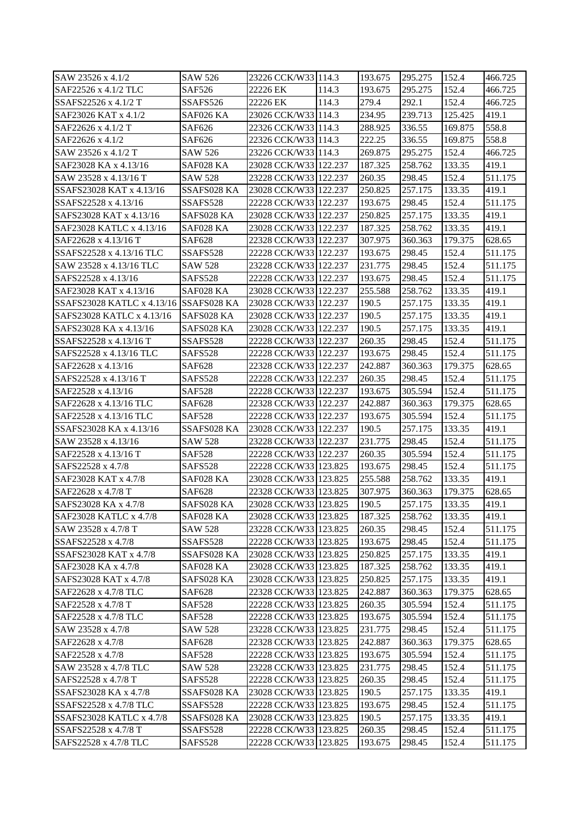| SAW 23526 x 4.1/2                      | SAW 526        | 23226 CCK/W33 114.3   |       | 193.675 | 295.275 | 152.4   | 466.725 |
|----------------------------------------|----------------|-----------------------|-------|---------|---------|---------|---------|
| SAF22526 x 4.1/2 TLC                   | <b>SAF526</b>  | 22226 EK              | 114.3 | 193.675 | 295.275 | 152.4   | 466.725 |
| SSAFS22526 x 4.1/2 T                   | SSAFS526       | 22226 EK              | 114.3 | 279.4   | 292.1   | 152.4   | 466.725 |
| SAF23026 KAT x 4.1/2                   | SAF026 KA      | 23026 CCK/W33 114.3   |       | 234.95  | 239.713 | 125.425 | 419.1   |
| SAF22626 x 4.1/2 T                     | SAF626         | 22326 CCK/W33 114.3   |       | 288.925 | 336.55  | 169.875 | 558.8   |
| SAF22626 x 4.1/2                       | SAF626         | 22326 CCK/W33 114.3   |       | 222.25  | 336.55  | 169.875 | 558.8   |
| SAW 23526 x 4.1/2 T                    | <b>SAW 526</b> | 23226 CCK/W33 114.3   |       | 269.875 | 295.275 | 152.4   | 466.725 |
| SAF23028 KA x 4.13/16                  | SAF028 KA      | 23028 CCK/W33 122.237 |       | 187.325 | 258.762 | 133.35  | 419.1   |
| SAW 23528 x 4.13/16 T                  | <b>SAW 528</b> | 23228 CCK/W33 122.237 |       | 260.35  | 298.45  | 152.4   | 511.175 |
| SSAFS23028 KAT x 4.13/16               | SSAFS028 KA    | 23028 CCK/W33 122.237 |       | 250.825 | 257.175 | 133.35  | 419.1   |
| SSAFS22528 x 4.13/16                   | SSAFS528       | 22228 CCK/W33 122.237 |       | 193.675 | 298.45  | 152.4   | 511.175 |
| SAFS23028 KAT x 4.13/16                | SAFS028 KA     | 23028 CCK/W33 122.237 |       | 250.825 | 257.175 | 133.35  | 419.1   |
| SAF23028 KATLC x 4.13/16               | SAF028 KA      | 23028 CCK/W33 122.237 |       | 187.325 | 258.762 | 133.35  | 419.1   |
| SAF22628 x 4.13/16 T                   | <b>SAF628</b>  | 22328 CCK/W33 122.237 |       | 307.975 | 360.363 | 179.375 | 628.65  |
| SSAFS22528 x 4.13/16 TLC               | SSAFS528       | 22228 CCK/W33 122.237 |       | 193.675 | 298.45  | 152.4   | 511.175 |
| SAW 23528 x 4.13/16 TLC                | <b>SAW 528</b> | 23228 CCK/W33 122.237 |       | 231.775 | 298.45  | 152.4   | 511.175 |
| SAFS22528 x 4.13/16                    | <b>SAFS528</b> | 22228 CCK/W33 122.237 |       | 193.675 | 298.45  | 152.4   | 511.175 |
| SAF23028 KAT x 4.13/16                 | SAF028 KA      | 23028 CCK/W33 122.237 |       | 255.588 | 258.762 | 133.35  | 419.1   |
| SSAFS23028 KATLC x 4.13/16 SSAFS028 KA |                | 23028 CCK/W33 122.237 |       | 190.5   | 257.175 | 133.35  | 419.1   |
| SAFS23028 KATLC x 4.13/16              | SAFS028 KA     | 23028 CCK/W33 122.237 |       | 190.5   | 257.175 | 133.35  | 419.1   |
| SAFS23028 KA x 4.13/16                 | SAFS028 KA     | 23028 CCK/W33 122.237 |       | 190.5   | 257.175 | 133.35  | 419.1   |
| SSAFS22528 x 4.13/16 T                 | SSAFS528       | 22228 CCK/W33 122.237 |       | 260.35  | 298.45  | 152.4   | 511.175 |
| SAFS22528 x 4.13/16 TLC                | SAFS528        | 22228 CCK/W33 122.237 |       | 193.675 | 298.45  | 152.4   | 511.175 |
| SAF22628 x 4.13/16                     | SAF628         | 22328 CCK/W33 122.237 |       | 242.887 | 360.363 | 179.375 | 628.65  |
| SAFS22528 x 4.13/16 T                  | SAFS528        | 22228 CCK/W33 122.237 |       | 260.35  | 298.45  | 152.4   | 511.175 |
| SAF22528 x 4.13/16                     | <b>SAF528</b>  | 22228 CCK/W33 122.237 |       | 193.675 | 305.594 | 152.4   | 511.175 |
| SAF22628 x 4.13/16 TLC                 | <b>SAF628</b>  | 22328 CCK/W33 122.237 |       | 242.887 | 360.363 | 179.375 | 628.65  |
| SAF22528 x 4.13/16 TLC                 | <b>SAF528</b>  | 22228 CCK/W33 122.237 |       | 193.675 | 305.594 | 152.4   | 511.175 |
| SSAFS23028 KA x 4.13/16                | SSAFS028 KA    | 23028 CCK/W33 122.237 |       | 190.5   | 257.175 | 133.35  | 419.1   |
| SAW 23528 x 4.13/16                    | <b>SAW 528</b> | 23228 CCK/W33 122.237 |       | 231.775 | 298.45  | 152.4   | 511.175 |
| SAF22528 x 4.13/16 T                   | <b>SAF528</b>  | 22228 CCK/W33 122.237 |       | 260.35  | 305.594 | 152.4   | 511.175 |
| SAFS22528 x 4.7/8                      | SAFS528        | 22228 CCK/W33 123.825 |       | 193.675 | 298.45  | 152.4   | 511.175 |
| SAF23028 KAT x 4.7/8                   | SAF028 KA      | 23028 CCK/W33 123.825 |       | 255.588 | 258.762 | 133.35  | 419.1   |
| SAF22628 x 4.7/8 T                     | <b>SAF628</b>  | 22328 CCK/W33 123.825 |       | 307.975 | 360.363 | 179.375 | 628.65  |
| SAFS23028 KA x 4.7/8                   | SAFS028 KA     | 23028 CCK/W33 123.825 |       | 190.5   | 257.175 | 133.35  | 419.1   |
| SAF23028 KATLC x 4.7/8                 | SAF028 KA      | 23028 CCK/W33 123.825 |       | 187.325 | 258.762 | 133.35  | 419.1   |
| SAW 23528 x 4.7/8 T                    | <b>SAW 528</b> | 23228 CCK/W33 123.825 |       | 260.35  | 298.45  | 152.4   | 511.175 |
| SSAFS22528 x 4.7/8                     | SSAFS528       | 22228 CCK/W33 123.825 |       | 193.675 | 298.45  | 152.4   | 511.175 |
| SSAFS23028 KAT x 4.7/8                 | SSAFS028 KA    | 23028 CCK/W33 123.825 |       | 250.825 | 257.175 | 133.35  | 419.1   |
| SAF23028 KA x 4.7/8                    | SAF028 KA      | 23028 CCK/W33 123.825 |       | 187.325 | 258.762 | 133.35  | 419.1   |
| SAFS23028 KAT x 4.7/8                  | SAFS028 KA     | 23028 CCK/W33 123.825 |       | 250.825 | 257.175 | 133.35  | 419.1   |
| SAF22628 x 4.7/8 TLC                   | SAF628         | 22328 CCK/W33 123.825 |       | 242.887 | 360.363 | 179.375 | 628.65  |
| SAF22528 x 4.7/8 T                     | <b>SAF528</b>  | 22228 CCK/W33 123.825 |       | 260.35  | 305.594 | 152.4   | 511.175 |
| SAF22528 x 4.7/8 TLC                   | <b>SAF528</b>  | 22228 CCK/W33 123.825 |       | 193.675 | 305.594 | 152.4   | 511.175 |
|                                        |                |                       |       |         |         |         |         |
| SAW 23528 x 4.7/8                      | <b>SAW 528</b> | 23228 CCK/W33 123.825 |       | 231.775 | 298.45  | 152.4   | 511.175 |
| SAF22628 x 4.7/8                       | <b>SAF628</b>  | 22328 CCK/W33 123.825 |       | 242.887 | 360.363 | 179.375 | 628.65  |
| SAF22528 x 4.7/8                       | <b>SAF528</b>  | 22228 CCK/W33 123.825 |       | 193.675 | 305.594 | 152.4   | 511.175 |
| SAW 23528 x 4.7/8 TLC                  | <b>SAW 528</b> | 23228 CCK/W33 123.825 |       | 231.775 | 298.45  | 152.4   | 511.175 |
| SAFS22528 x 4.7/8 T                    | SAFS528        | 22228 CCK/W33 123.825 |       | 260.35  | 298.45  | 152.4   | 511.175 |
| SSAFS23028 KA x 4.7/8                  | SSAFS028 KA    | 23028 CCK/W33 123.825 |       | 190.5   | 257.175 | 133.35  | 419.1   |
| SSAFS22528 x 4.7/8 TLC                 | SSAFS528       | 22228 CCK/W33 123.825 |       | 193.675 | 298.45  | 152.4   | 511.175 |
| SSAFS23028 KATLC x 4.7/8               | SSAFS028 KA    | 23028 CCK/W33 123.825 |       | 190.5   | 257.175 | 133.35  | 419.1   |
| SSAFS22528 x 4.7/8 T                   | SSAFS528       | 22228 CCK/W33 123.825 |       | 260.35  | 298.45  | 152.4   | 511.175 |
| SAFS22528 x 4.7/8 TLC                  | SAFS528        | 22228 CCK/W33 123.825 |       | 193.675 | 298.45  | 152.4   | 511.175 |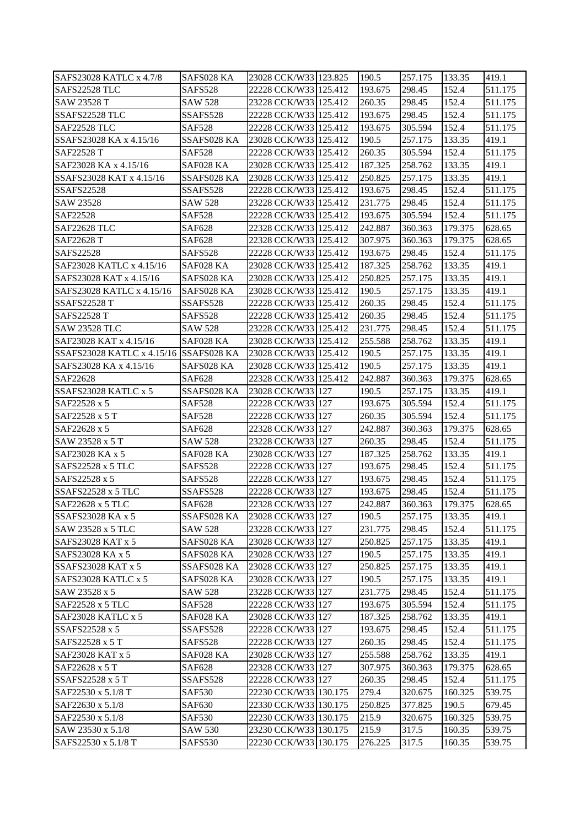| SAFS23028 KATLC x 4.7/8                | SAFS028 KA     | 23028 CCK/W33 123.825 | 190.5   | 257.175 | 133.35  | 419.1   |
|----------------------------------------|----------------|-----------------------|---------|---------|---------|---------|
| SAFS22528 TLC                          | <b>SAFS528</b> | 22228 CCK/W33 125.412 | 193.675 | 298.45  | 152.4   | 511.175 |
| <b>SAW 23528 T</b>                     | <b>SAW 528</b> | 23228 CCK/W33 125.412 | 260.35  | 298.45  | 152.4   | 511.175 |
| SSAFS22528 TLC                         | SSAFS528       | 22228 CCK/W33 125.412 | 193.675 | 298.45  | 152.4   | 511.175 |
| SAF22528 TLC                           | <b>SAF528</b>  | 22228 CCK/W33 125.412 | 193.675 | 305.594 | 152.4   | 511.175 |
| SSAFS23028 KA x 4.15/16                | SSAFS028 KA    | 23028 CCK/W33 125.412 | 190.5   | 257.175 | 133.35  | 419.1   |
| SAF22528 T                             | <b>SAF528</b>  | 22228 CCK/W33 125.412 | 260.35  | 305.594 | 152.4   | 511.175 |
| SAF23028 KA x 4.15/16                  | SAF028 KA      | 23028 CCK/W33 125.412 | 187.325 | 258.762 | 133.35  | 419.1   |
| SSAFS23028 KAT x 4.15/16               | SSAFS028 KA    | 23028 CCK/W33 125.412 | 250.825 | 257.175 | 133.35  | 419.1   |
| <b>SSAFS22528</b>                      | SSAFS528       | 22228 CCK/W33 125.412 | 193.675 | 298.45  | 152.4   | 511.175 |
| SAW 23528                              | <b>SAW 528</b> | 23228 CCK/W33 125.412 | 231.775 | 298.45  | 152.4   | 511.175 |
| SAF22528                               | <b>SAF528</b>  | 22228 CCK/W33 125.412 | 193.675 | 305.594 | 152.4   | 511.175 |
| <b>SAF22628 TLC</b>                    | <b>SAF628</b>  | 22328 CCK/W33 125.412 | 242.887 | 360.363 | 179.375 | 628.65  |
| SAF22628 T                             | <b>SAF628</b>  | 22328 CCK/W33 125.412 | 307.975 | 360.363 | 179.375 | 628.65  |
| SAFS22528                              | SAFS528        | 22228 CCK/W33 125.412 | 193.675 | 298.45  | 152.4   | 511.175 |
| SAF23028 KATLC x 4.15/16               | SAF028 KA      | 23028 CCK/W33 125.412 | 187.325 | 258.762 | 133.35  | 419.1   |
| SAFS23028 KAT x 4.15/16                | SAFS028 KA     | 23028 CCK/W33 125.412 | 250.825 | 257.175 | 133.35  | 419.1   |
| SAFS23028 KATLC x 4.15/16              | SAFS028 KA     | 23028 CCK/W33 125.412 | 190.5   | 257.175 | 133.35  | 419.1   |
| <b>SSAFS22528 T</b>                    | SSAFS528       | 22228 CCK/W33 125.412 | 260.35  | 298.45  | 152.4   | 511.175 |
| <b>SAFS22528 T</b>                     | SAFS528        | 22228 CCK/W33 125.412 | 260.35  | 298.45  | 152.4   | 511.175 |
| <b>SAW 23528 TLC</b>                   | SAW 528        | 23228 CCK/W33 125.412 | 231.775 | 298.45  | 152.4   | 511.175 |
| SAF23028 KAT x 4.15/16                 | SAF028 KA      | 23028 CCK/W33 125.412 | 255.588 | 258.762 | 133.35  | 419.1   |
| SSAFS23028 KATLC x 4.15/16 SSAFS028 KA |                | 23028 CCK/W33 125.412 | 190.5   | 257.175 | 133.35  | 419.1   |
| SAFS23028 KA x 4.15/16                 | SAFS028 KA     | 23028 CCK/W33 125.412 | 190.5   | 257.175 | 133.35  | 419.1   |
| SAF22628                               | <b>SAF628</b>  | 22328 CCK/W33 125.412 | 242.887 | 360.363 | 179.375 | 628.65  |
| SSAFS23028 KATLC x 5                   | SSAFS028 KA    | 23028 CCK/W33 127     | 190.5   | 257.175 | 133.35  | 419.1   |
| SAF22528 x 5                           | <b>SAF528</b>  | 22228 CCK/W33 127     | 193.675 | 305.594 | 152.4   | 511.175 |
| SAF22528 x 5 T                         | <b>SAF528</b>  | 22228 CCK/W33 127     | 260.35  | 305.594 | 152.4   | 511.175 |
| SAF22628 x 5                           | <b>SAF628</b>  | 22328 CCK/W33 127     | 242.887 | 360.363 | 179.375 | 628.65  |
| SAW 23528 x 5 T                        | <b>SAW 528</b> | 23228 CCK/W33 127     | 260.35  | 298.45  | 152.4   | 511.175 |
| SAF23028 KA x 5                        | SAF028 KA      | 23028 CCK/W33 127     | 187.325 | 258.762 | 133.35  | 419.1   |
| SAFS22528 x 5 TLC                      | SAFS528        | 22228 CCK/W33 127     | 193.675 | 298.45  | 152.4   | 511.175 |
| SAFS22528 x 5                          | SAFS528        | 22228 CCK/W33 127     | 193.675 | 298.45  | 152.4   | 511.175 |
| SSAFS22528 x 5 TLC                     | SSAFS528       | 22228 CCK/W33 127     | 193.675 | 298.45  | 152.4   | 511.175 |
| SAF22628 x 5 TLC                       | <b>SAF628</b>  | 22328 CCK/W33 127     | 242.887 | 360.363 | 179.375 | 628.65  |
| SSAFS23028 KA x 5                      | SSAFS028 KA    | 23028 CCK/W33 127     | 190.5   | 257.175 | 133.35  | 419.1   |
| SAW 23528 x 5 TLC                      | <b>SAW 528</b> | 23228 CCK/W33 127     | 231.775 | 298.45  | 152.4   | 511.175 |
| SAFS23028 KAT x 5                      | SAFS028 KA     | 23028 CCK/W33 127     | 250.825 | 257.175 | 133.35  | 419.1   |
| SAFS23028 KA x 5                       | SAFS028 KA     | 23028 CCK/W33 127     | 190.5   | 257.175 | 133.35  | 419.1   |
| <b>SSAFS23028 KAT x 5</b>              | SSAFS028 KA    | 23028 CCK/W33 127     | 250.825 | 257.175 | 133.35  | 419.1   |
| SAFS23028 KATLC x 5                    | SAFS028 KA     | 23028 CCK/W33 127     | 190.5   | 257.175 | 133.35  | 419.1   |
| SAW 23528 x 5                          | <b>SAW 528</b> | 23228 CCK/W33 127     | 231.775 | 298.45  | 152.4   | 511.175 |
| SAF22528 x 5 TLC                       | <b>SAF528</b>  | 22228 CCK/W33 127     | 193.675 | 305.594 | 152.4   | 511.175 |
| SAF23028 KATLC x 5                     | SAF028 KA      | 23028 CCK/W33 127     | 187.325 | 258.762 | 133.35  | 419.1   |
| SSAFS22528 x 5                         | SSAFS528       | 22228 CCK/W33 127     | 193.675 | 298.45  | 152.4   | 511.175 |
| SAFS22528 x 5 T                        | SAFS528        | 22228 CCK/W33 127     | 260.35  | 298.45  | 152.4   | 511.175 |
| SAF23028 KAT x 5                       | SAF028 KA      | 23028 CCK/W33 127     | 255.588 | 258.762 | 133.35  | 419.1   |
| SAF22628 x 5 T                         | <b>SAF628</b>  | 22328 CCK/W33 127     | 307.975 | 360.363 | 179.375 | 628.65  |
| SSAFS22528 x 5 T                       | SSAFS528       | 22228 CCK/W33 127     | 260.35  | 298.45  | 152.4   | 511.175 |
| SAF22530 x 5.1/8 T                     | <b>SAF530</b>  | 22230 CCK/W33 130.175 | 279.4   | 320.675 | 160.325 | 539.75  |
| SAF22630 x 5.1/8                       | <b>SAF630</b>  | 22330 CCK/W33 130.175 | 250.825 | 377.825 | 190.5   | 679.45  |
| SAF22530 x 5.1/8                       | <b>SAF530</b>  | 22230 CCK/W33 130.175 | 215.9   | 320.675 | 160.325 | 539.75  |
| SAW 23530 x 5.1/8                      | <b>SAW 530</b> | 23230 CCK/W33 130.175 | 215.9   | 317.5   | 160.35  | 539.75  |
| SAFS22530 x 5.1/8 T                    | SAFS530        | 22230 CCK/W33 130.175 | 276.225 | 317.5   | 160.35  | 539.75  |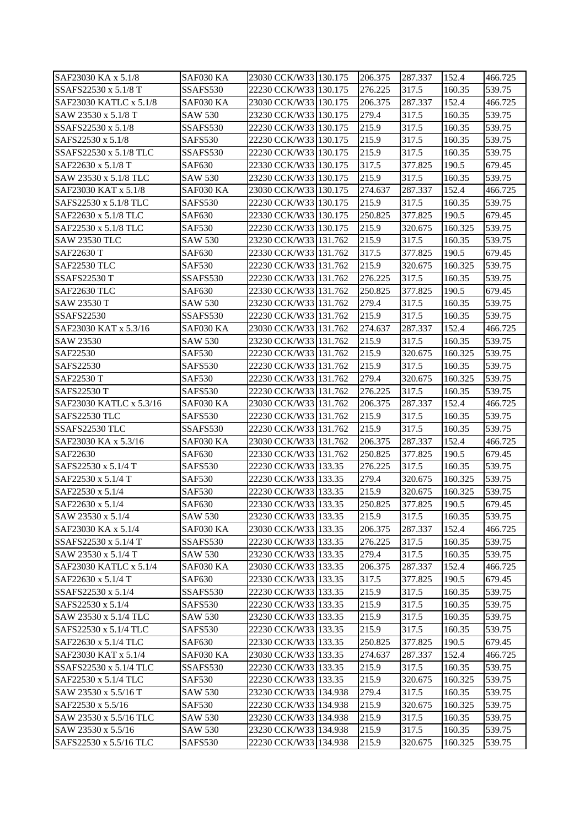| SAF23030 KA x 5.1/8     | SAF030 KA      | 23030 CCK/W33 130.175 | 206.375 | 287.337 | 152.4   | 466.725 |
|-------------------------|----------------|-----------------------|---------|---------|---------|---------|
| SSAFS22530 x 5.1/8 T    | SSAFS530       | 22230 CCK/W33 130.175 | 276.225 | 317.5   | 160.35  | 539.75  |
| SAF23030 KATLC x 5.1/8  | SAF030 KA      | 23030 CCK/W33 130.175 | 206.375 | 287.337 | 152.4   | 466.725 |
| SAW 23530 x 5.1/8 T     | <b>SAW 530</b> | 23230 CCK/W33 130.175 | 279.4   | 317.5   | 160.35  | 539.75  |
| SSAFS22530 x 5.1/8      | SSAFS530       | 22230 CCK/W33 130.175 | 215.9   | 317.5   | 160.35  | 539.75  |
| SAFS22530 x 5.1/8       | SAFS530        | 22230 CCK/W33 130.175 | 215.9   | 317.5   | 160.35  | 539.75  |
| SSAFS22530 x 5.1/8 TLC  | SSAFS530       | 22230 CCK/W33 130.175 | 215.9   | 317.5   | 160.35  | 539.75  |
| SAF22630 x 5.1/8 T      | <b>SAF630</b>  | 22330 CCK/W33 130.175 | 317.5   | 377.825 | 190.5   | 679.45  |
| SAW 23530 x 5.1/8 TLC   | <b>SAW 530</b> | 23230 CCK/W33 130.175 | 215.9   | 317.5   | 160.35  | 539.75  |
| SAF23030 KAT x 5.1/8    | SAF030 KA      | 23030 CCK/W33 130.175 | 274.637 | 287.337 | 152.4   | 466.725 |
| SAFS22530 x 5.1/8 TLC   | SAFS530        | 22230 CCK/W33 130.175 | 215.9   | 317.5   | 160.35  | 539.75  |
| SAF22630 x 5.1/8 TLC    | <b>SAF630</b>  | 22330 CCK/W33 130.175 | 250.825 | 377.825 | 190.5   | 679.45  |
| SAF22530 x 5.1/8 TLC    | <b>SAF530</b>  | 22230 CCK/W33 130.175 | 215.9   | 320.675 | 160.325 | 539.75  |
|                         |                |                       | 215.9   | 317.5   | 160.35  |         |
| <b>SAW 23530 TLC</b>    | <b>SAW 530</b> | 23230 CCK/W33 131.762 |         |         |         | 539.75  |
| SAF22630 T              | <b>SAF630</b>  | 22330 CCK/W33 131.762 | 317.5   | 377.825 | 190.5   | 679.45  |
| <b>SAF22530 TLC</b>     | <b>SAF530</b>  | 22230 CCK/W33 131.762 | 215.9   | 320.675 | 160.325 | 539.75  |
| <b>SSAFS22530 T</b>     | SSAFS530       | 22230 CCK/W33 131.762 | 276.225 | 317.5   | 160.35  | 539.75  |
| SAF22630 TLC            | <b>SAF630</b>  | 22330 CCK/W33 131.762 | 250.825 | 377.825 | 190.5   | 679.45  |
| SAW 23530 T             | <b>SAW 530</b> | 23230 CCK/W33 131.762 | 279.4   | 317.5   | 160.35  | 539.75  |
| <b>SSAFS22530</b>       | SSAFS530       | 22230 CCK/W33 131.762 | 215.9   | 317.5   | 160.35  | 539.75  |
| SAF23030 KAT x 5.3/16   | SAF030 KA      | 23030 CCK/W33 131.762 | 274.637 | 287.337 | 152.4   | 466.725 |
| SAW 23530               | <b>SAW 530</b> | 23230 CCK/W33 131.762 | 215.9   | 317.5   | 160.35  | 539.75  |
| SAF22530                | <b>SAF530</b>  | 22230 CCK/W33 131.762 | 215.9   | 320.675 | 160.325 | 539.75  |
| SAFS22530               | SAFS530        | 22230 CCK/W33 131.762 | 215.9   | 317.5   | 160.35  | 539.75  |
| SAF22530 T              | <b>SAF530</b>  | 22230 CCK/W33 131.762 | 279.4   | 320.675 | 160.325 | 539.75  |
| SAFS22530 T             | SAFS530        | 22230 CCK/W33 131.762 | 276.225 | 317.5   | 160.35  | 539.75  |
| SAF23030 KATLC x 5.3/16 | SAF030 KA      | 23030 CCK/W33 131.762 | 206.375 | 287.337 | 152.4   | 466.725 |
| SAFS22530 TLC           | SAFS530        | 22230 CCK/W33 131.762 | 215.9   | 317.5   | 160.35  | 539.75  |
| SSAFS22530 TLC          | SSAFS530       | 22230 CCK/W33 131.762 | 215.9   | 317.5   | 160.35  | 539.75  |
| SAF23030 KA x 5.3/16    | SAF030 KA      | 23030 CCK/W33 131.762 | 206.375 | 287.337 | 152.4   | 466.725 |
| SAF22630                | <b>SAF630</b>  | 22330 CCK/W33 131.762 | 250.825 | 377.825 | 190.5   | 679.45  |
| SAFS22530 x 5.1/4 T     | SAFS530        | 22230 CCK/W33 133.35  | 276.225 | 317.5   | 160.35  | 539.75  |
| SAF22530 x 5.1/4 T      | <b>SAF530</b>  | 22230 CCK/W33 133.35  | 279.4   | 320.675 | 160.325 | 539.75  |
| SAF22530 x 5.1/4        | <b>SAF530</b>  | 22230 CCK/W33 133.35  | 215.9   | 320.675 | 160.325 | 539.75  |
| SAF22630 x 5.1/4        | <b>SAF630</b>  | 22330 CCK/W33 133.35  | 250.825 | 377.825 | 190.5   | 679.45  |
| SAW 23530 x 5.1/4       | <b>SAW 530</b> | 23230 CCK/W33 133.35  | 215.9   | 317.5   | 160.35  | 539.75  |
| SAF23030 KA x 5.1/4     | SAF030 KA      | 23030 CCK/W33 133.35  | 206.375 | 287.337 | 152.4   | 466.725 |
| SSAFS22530 x 5.1/4 T    | SSAFS530       | 22230 CCK/W33 133.35  | 276.225 | 317.5   | 160.35  | 539.75  |
| SAW 23530 x 5.1/4 T     | SAW 530        | 23230 CCK/W33 133.35  | 279.4   | 317.5   | 160.35  | 539.75  |
| SAF23030 KATLC x 5.1/4  | SAF030 KA      | 23030 CCK/W33 133.35  | 206.375 | 287.337 | 152.4   | 466.725 |
| SAF22630 x 5.1/4 T      | SAF630         | 22330 CCK/W33 133.35  | 317.5   | 377.825 | 190.5   | 679.45  |
| SSAFS22530 x 5.1/4      | SSAFS530       | 22230 CCK/W33 133.35  | 215.9   | 317.5   | 160.35  | 539.75  |
| SAFS22530 x 5.1/4       | SAFS530        | 22230 CCK/W33 133.35  | 215.9   | 317.5   | 160.35  | 539.75  |
| SAW 23530 x 5.1/4 TLC   | <b>SAW 530</b> | 23230 CCK/W33 133.35  | 215.9   | 317.5   | 160.35  | 539.75  |
| SAFS22530 x 5.1/4 TLC   | SAFS530        | 22230 CCK/W33 133.35  | 215.9   | 317.5   | 160.35  | 539.75  |
| SAF22630 x 5.1/4 TLC    | <b>SAF630</b>  | 22330 CCK/W33 133.35  | 250.825 | 377.825 | 190.5   | 679.45  |
| SAF23030 KAT x 5.1/4    | SAF030 KA      | 23030 CCK/W33 133.35  | 274.637 | 287.337 | 152.4   | 466.725 |
| SSAFS22530 x 5.1/4 TLC  | SSAFS530       | 22230 CCK/W33 133.35  | 215.9   | 317.5   | 160.35  | 539.75  |
| SAF22530 x 5.1/4 TLC    | <b>SAF530</b>  | 22230 CCK/W33 133.35  | 215.9   | 320.675 | 160.325 | 539.75  |
| SAW 23530 x 5.5/16 T    | <b>SAW 530</b> | 23230 CCK/W33 134.938 | 279.4   | 317.5   | 160.35  | 539.75  |
| SAF22530 x 5.5/16       | <b>SAF530</b>  | 22230 CCK/W33 134.938 | 215.9   | 320.675 | 160.325 | 539.75  |
| SAW 23530 x 5.5/16 TLC  | <b>SAW 530</b> | 23230 CCK/W33 134.938 | 215.9   | 317.5   | 160.35  | 539.75  |
| SAW 23530 x 5.5/16      | <b>SAW 530</b> | 23230 CCK/W33 134.938 | 215.9   | 317.5   | 160.35  | 539.75  |
| SAFS22530 x 5.5/16 TLC  | SAFS530        | 22230 CCK/W33 134.938 | 215.9   | 320.675 | 160.325 | 539.75  |
|                         |                |                       |         |         |         |         |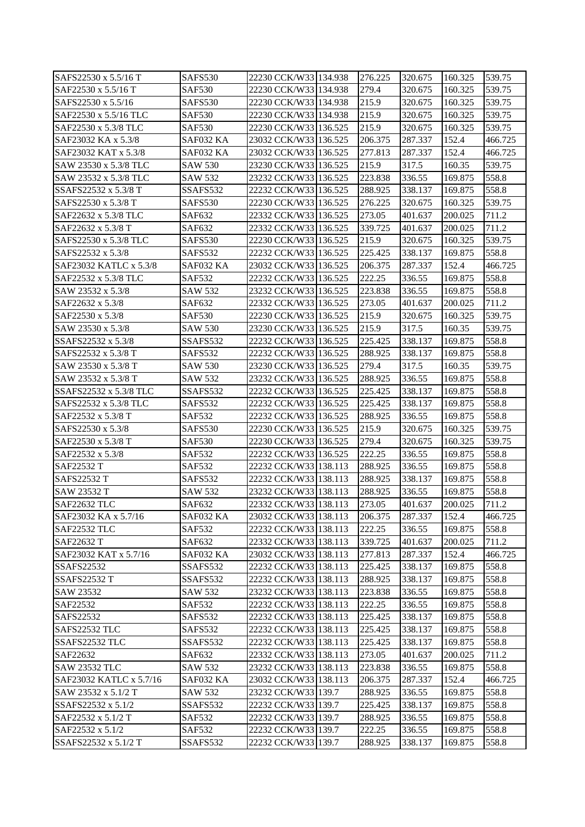| SAFS22530 x 5.5/16 T                | SAFS530                    | 22230 CCK/W33 134.938                          | 276.225            | 320.675           | 160.325            | 539.75           |
|-------------------------------------|----------------------------|------------------------------------------------|--------------------|-------------------|--------------------|------------------|
| SAF22530 x 5.5/16 T                 | <b>SAF530</b>              | 22230 CCK/W33 134.938                          | 279.4              | 320.675           | 160.325            | 539.75           |
| SAFS22530 x 5.5/16                  | SAFS530                    | 22230 CCK/W33 134.938                          | 215.9              | 320.675           | 160.325            | 539.75           |
| SAF22530 x 5.5/16 TLC               | <b>SAF530</b>              | 22230 CCK/W33 134.938                          | 215.9              | 320.675           | 160.325            | 539.75           |
| SAF22530 x 5.3/8 TLC                | <b>SAF530</b>              | 22230 CCK/W33 136.525                          | 215.9              | 320.675           | 160.325            | 539.75           |
| SAF23032 KA x 5.3/8                 | SAF032 KA                  | 23032 CCK/W33 136.525                          | 206.375            | 287.337           | 152.4              | 466.725          |
| SAF23032 KAT x 5.3/8                | SAF032 KA                  | 23032 CCK/W33 136.525                          | 277.813            | 287.337           | 152.4              | 466.725          |
| SAW 23530 x 5.3/8 TLC               | <b>SAW 530</b>             | 23230 CCK/W33 136.525                          | 215.9              | 317.5             | 160.35             | 539.75           |
| SAW 23532 x 5.3/8 TLC               | SAW 532                    | 23232 CCK/W33 136.525                          | 223.838            | 336.55            | 169.875            | 558.8            |
| SSAFS22532 x 5.3/8 T                | SSAFS532                   | 22232 CCK/W33 136.525                          | 288.925            | 338.137           | 169.875            | 558.8            |
| SAFS22530 x 5.3/8 T                 | SAFS530                    | 22230 CCK/W33 136.525                          | 276.225            | 320.675           | 160.325            | 539.75           |
| SAF22632 x 5.3/8 TLC                | SAF632                     | 22332 CCK/W33 136.525                          | 273.05             | 401.637           | 200.025            | 711.2            |
| SAF22632 x 5.3/8 T                  | SAF632                     | 22332 CCK/W33 136.525                          | 339.725            | 401.637           | 200.025            | 711.2            |
| SAFS22530 x 5.3/8 TLC               | SAFS530                    | 22230 CCK/W33 136.525                          | 215.9              | 320.675           | 160.325            | 539.75           |
| SAFS22532 x 5.3/8                   | SAFS532                    | 22232 CCK/W33 136.525                          | 225.425            | 338.137           | 169.875            | 558.8            |
| SAF23032 KATLC x 5.3/8              | SAF032 KA                  | 23032 CCK/W33 136.525                          | 206.375            | 287.337           | 152.4              | 466.725          |
| SAF22532 x 5.3/8 TLC                | <b>SAF532</b>              | 22232 CCK/W33 136.525                          | 222.25             | 336.55            | 169.875            | 558.8            |
| SAW 23532 x 5.3/8                   | <b>SAW 532</b>             | 23232 CCK/W33 136.525                          | 223.838            | 336.55            | 169.875            | 558.8            |
| SAF22632 x 5.3/8                    | SAF632                     | 22332 CCK/W33 136.525                          | 273.05             | 401.637           | 200.025            | 711.2            |
| SAF22530 x 5.3/8                    | <b>SAF530</b>              | 22230 CCK/W33 136.525                          | 215.9              | 320.675           | 160.325            | 539.75           |
| SAW 23530 x 5.3/8                   | <b>SAW 530</b>             | 23230 CCK/W33 136.525                          | 215.9              | 317.5             | 160.35             | 539.75           |
| SSAFS22532 x 5.3/8                  | SSAFS532                   | 22232 CCK/W33 136.525                          | 225.425            | 338.137           | 169.875            | 558.8            |
| SAFS22532 x 5.3/8 T                 | SAFS532                    | 22232 CCK/W33 136.525                          | 288.925            | 338.137           | 169.875            | 558.8            |
| SAW 23530 x 5.3/8 T                 | <b>SAW 530</b>             | 23230 CCK/W33 136.525                          | 279.4              | 317.5             | 160.35             | 539.75           |
| SAW 23532 x 5.3/8 T                 | SAW 532                    | 23232 CCK/W33 136.525                          | 288.925            | 336.55            | 169.875            | 558.8            |
| SSAFS22532 x 5.3/8 TLC              | SSAFS532                   | 22232 CCK/W33 136.525                          | 225.425            | 338.137           | 169.875            | 558.8            |
|                                     |                            |                                                |                    |                   |                    |                  |
|                                     |                            |                                                |                    |                   |                    |                  |
| SAFS22532 x 5.3/8 TLC               | SAFS532                    | 22232 CCK/W33 136.525                          | 225.425            | 338.137           | 169.875            | 558.8            |
| SAF22532 x 5.3/8 T                  | <b>SAF532</b>              | 22232 CCK/W33 136.525                          | 288.925            | 336.55            | 169.875            | 558.8            |
| SAFS22530 x 5.3/8                   | SAFS530                    | 22230 CCK/W33 136.525                          | 215.9              | 320.675           | 160.325            | 539.75           |
| SAF22530 x 5.3/8 T                  | <b>SAF530</b>              | 22230 CCK/W33 136.525                          | 279.4              | 320.675           | 160.325            | 539.75           |
| SAF22532 x 5.3/8                    | <b>SAF532</b>              | 22232 CCK/W33 136.525                          | 222.25             | 336.55            | 169.875            | 558.8            |
| SAF22532 T                          | <b>SAF532</b>              | 22232 CCK/W33 138.113                          | 288.925            | 336.55            | 169.875            | 558.8            |
| SAFS22532 T                         | SAFS532                    | 22232 CCK/W33 138.113                          | 288.925            | 338.137           | 169.875            | 558.8            |
| SAW 23532 T                         | <b>SAW 532</b><br>SAF632   | 23232 CCK/W33 138.113                          | 288.925<br>273.05  | 336.55<br>401.637 | 169.875<br>200.025 | 558.8<br>711.2   |
| SAF22632 TLC                        |                            | 22332 CCK/W33 138.113                          |                    |                   |                    |                  |
| SAF23032 KA x 5.7/16                | SAF032 KA<br><b>SAF532</b> | 23032 CCK/W33 138.113                          | 206.375            | 287.337<br>336.55 | 152.4              | 466.725          |
| SAF22532 TLC                        |                            | 22232 CCK/W33 138.113                          | 222.25             |                   | 169.875            | 558.8            |
| SAF22632 T<br>SAF23032 KAT x 5.7/16 | SAF632                     | 22332 CCK/W33 138.113                          | 339.725<br>277.813 | 401.637           | 200.025            | 711.2<br>466.725 |
| <b>SSAFS22532</b>                   | SAF032 KA<br>SSAFS532      | 23032 CCK/W33 138.113                          |                    | 287.337           | 152.4              |                  |
| <b>SSAFS22532 T</b>                 | SSAFS532                   | 22232 CCK/W33 138.113<br>22232 CCK/W33 138.113 | 225.425<br>288.925 | 338.137           | 169.875<br>169.875 | 558.8<br>558.8   |
|                                     |                            | 23232 CCK/W33 138.113                          | 223.838            | 338.137           | 169.875            | 558.8            |
| SAW 23532<br>SAF22532               | SAW 532<br><b>SAF532</b>   | 22232 CCK/W33 138.113                          | 222.25             | 336.55<br>336.55  | 169.875            | 558.8            |
| SAFS22532                           | SAFS532                    | 22232 CCK/W33 138.113                          | 225.425            | 338.137           | 169.875            | 558.8            |
| SAFS22532 TLC                       | SAFS532                    | 22232 CCK/W33 138.113                          | 225.425            | 338.137           | 169.875            | 558.8            |
| SSAFS22532 TLC                      | SSAFS532                   | 22232 CCK/W33 138.113                          | 225.425            | 338.137           | 169.875            | 558.8            |
| SAF22632                            | SAF632                     | 22332 CCK/W33 138.113                          | 273.05             | 401.637           | 200.025            | 711.2            |
| <b>SAW 23532 TLC</b>                | <b>SAW 532</b>             | 23232 CCK/W33 138.113                          | 223.838            | 336.55            | 169.875            | 558.8            |
| SAF23032 KATLC x 5.7/16             | SAF032 KA                  | 23032 CCK/W33 138.113                          | 206.375            | 287.337           | 152.4              | 466.725          |
| SAW 23532 x 5.1/2 T                 | <b>SAW 532</b>             | 23232 CCK/W33 139.7                            | 288.925            | 336.55            | 169.875            | 558.8            |
| SSAFS22532 x 5.1/2                  | SSAFS532                   | 22232 CCK/W33 139.7                            | 225.425            | 338.137           | 169.875            | 558.8            |
| SAF22532 x 5.1/2 T                  | SAF532                     | 22232 CCK/W33 139.7                            | 288.925            | 336.55            | 169.875            | 558.8            |
| SAF22532 x 5.1/2                    | SAF532                     | 22232 CCK/W33 139.7                            | 222.25             | 336.55            | 169.875            | 558.8            |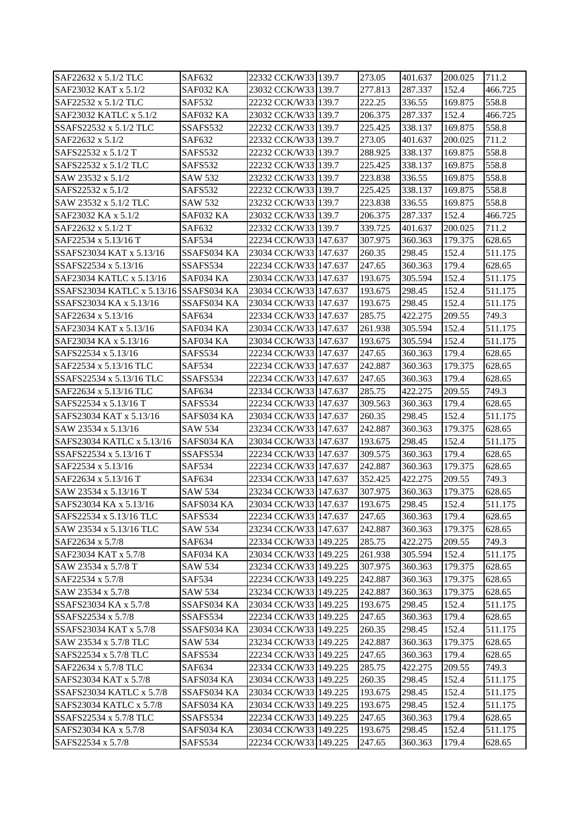| SAF22632 x 5.1/2 TLC                            | SAF632         | 22332 CCK/W33 139.7                            | 273.05            | 401.637            | 200.025          | 711.2   |
|-------------------------------------------------|----------------|------------------------------------------------|-------------------|--------------------|------------------|---------|
| SAF23032 KAT x 5.1/2                            | SAF032 KA      | 23032 CCK/W33 139.7                            | 277.813           | 287.337            | 152.4            | 466.725 |
| SAF22532 x 5.1/2 TLC                            | <b>SAF532</b>  | 22232 CCK/W33 139.7                            | 222.25            | 336.55             | 169.875          | 558.8   |
| SAF23032 KATLC x 5.1/2                          | SAF032 KA      | 23032 CCK/W33 139.7                            | 206.375           | 287.337            | 152.4            | 466.725 |
| SSAFS22532 x 5.1/2 TLC                          | SSAFS532       | 22232 CCK/W33 139.7                            | 225.425           | 338.137            | 169.875          | 558.8   |
| SAF22632 x 5.1/2                                | SAF632         | 22332 CCK/W33 139.7                            | 273.05            | 401.637            | 200.025          | 711.2   |
| SAFS22532 x 5.1/2 T                             | SAFS532        | 22232 CCK/W33 139.7                            | 288.925           | 338.137            | 169.875          | 558.8   |
| SAFS22532 x 5.1/2 TLC                           | SAFS532        | 22232 CCK/W33 139.7                            | 225.425           | 338.137            | 169.875          | 558.8   |
| SAW 23532 x 5.1/2                               | SAW 532        | 23232 CCK/W33 139.7                            | 223.838           | 336.55             | 169.875          | 558.8   |
| SAFS22532 x 5.1/2                               | SAFS532        | 22232 CCK/W33 139.7                            | 225.425           | 338.137            | 169.875          | 558.8   |
| SAW 23532 x 5.1/2 TLC                           | <b>SAW 532</b> | 23232 CCK/W33 139.7                            | 223.838           | 336.55             | 169.875          | 558.8   |
| SAF23032 KA x 5.1/2                             | SAF032 KA      | 23032 CCK/W33 139.7                            | 206.375           | 287.337            | 152.4            | 466.725 |
| SAF22632 x 5.1/2 T                              | SAF632         | 22332 CCK/W33 139.7                            | 339.725           | 401.637            | 200.025          | 711.2   |
| SAF22534 x 5.13/16 T                            | <b>SAF534</b>  | 22234 CCK/W33 147.637                          | 307.975           | 360.363            | 179.375          | 628.65  |
| SSAFS23034 KAT x 5.13/16                        | SSAFS034 KA    | 23034 CCK/W33 147.637                          | 260.35            | 298.45             | 152.4            | 511.175 |
| SSAFS22534 x 5.13/16                            | SSAFS534       | 22234 CCK/W33 147.637                          | 247.65            | 360.363            | 179.4            | 628.65  |
| SAF23034 KATLC x 5.13/16                        | SAF034 KA      | 23034 CCK/W33 147.637                          | 193.675           | 305.594            | 152.4            | 511.175 |
| SSAFS23034 KATLC x 5.13/16 SSAFS034 KA          |                | 23034 CCK/W33 147.637                          | 193.675           | 298.45             | 152.4            | 511.175 |
| SSAFS23034 KA x 5.13/16                         | SSAFS034 KA    | 23034 CCK/W33 147.637                          | 193.675           | 298.45             | 152.4            | 511.175 |
| SAF22634 x 5.13/16                              | SAF634         | 22334 CCK/W33 147.637                          | 285.75            | 422.275            | 209.55           | 749.3   |
| SAF23034 KAT x 5.13/16                          | SAF034 KA      | 23034 CCK/W33 147.637                          | 261.938           | 305.594            | 152.4            | 511.175 |
| SAF23034 KA x 5.13/16                           | SAF034 KA      | 23034 CCK/W33 147.637                          | 193.675           | 305.594            | 152.4            | 511.175 |
| SAFS22534 x 5.13/16                             | SAFS534        | 22234 CCK/W33 147.637                          | 247.65            | 360.363            | 179.4            | 628.65  |
| SAF22534 x 5.13/16 TLC                          | <b>SAF534</b>  |                                                |                   |                    |                  | 628.65  |
| SSAFS22534 x 5.13/16 TLC                        | SSAFS534       | 22234 CCK/W33 147.637                          | 242.887<br>247.65 | 360.363            | 179.375<br>179.4 | 628.65  |
|                                                 | SAF634         | 22234 CCK/W33 147.637                          | 285.75            | 360.363<br>422.275 | 209.55           | 749.3   |
| SAF22634 x 5.13/16 TLC<br>SAFS22534 x 5.13/16 T | SAFS534        | 22334 CCK/W33 147.637<br>22234 CCK/W33 147.637 | 309.563           |                    | 179.4            | 628.65  |
|                                                 |                |                                                |                   | 360.363            |                  |         |
| SAFS23034 KAT x 5.13/16                         | SAFS034 KA     | 23034 CCK/W33 147.637                          | 260.35            | 298.45             | 152.4            | 511.175 |
| SAW 23534 x 5.13/16                             | <b>SAW 534</b> | 23234 CCK/W33 147.637                          | 242.887           | 360.363            | 179.375          | 628.65  |
| SAFS23034 KATLC x 5.13/16                       | SAFS034 KA     | 23034 CCK/W33 147.637                          | 193.675           | 298.45             | 152.4            | 511.175 |
| SSAFS22534 x 5.13/16 T                          | SSAFS534       | 22234 CCK/W33 147.637                          | 309.575           | 360.363            | 179.4            | 628.65  |
| SAF22534 x 5.13/16                              | <b>SAF534</b>  | 22234 CCK/W33 147.637                          | 242.887           | 360.363            | 179.375          | 628.65  |
| SAF22634 x 5.13/16 T                            | SAF634         | 22334 CCK/W33 147.637                          | 352.425           | 422.275            | 209.55           | 749.3   |
| SAW 23534 x 5.13/16 T                           | SAW 534        | 23234 CCK/W33 147.637                          | 307.975           | 360.363            | 179.375          | 628.65  |
| SAFS23034 KA x 5.13/16                          | SAFS034 KA     | 23034 CCK/W33 147.637                          | 193.675           | 298.45             | 152.4            | 511.175 |
| SAFS22534 x 5.13/16 TLC                         | SAFS534        | 22234 CCK/W33 147.637                          | 247.65            | 360.363            | 179.4            | 628.65  |
| SAW 23534 x 5.13/16 TLC                         | SAW 534        | 23234 CCK/W33 147.637                          | 242.887           | 360.363            | 179.375          | 628.65  |
| SAF22634 x 5.7/8                                | SAF634         | 22334 CCK/W33 149.225                          | 285.75            | 422.275            | 209.55           | 749.3   |
| SAF23034 KAT x 5.7/8                            | SAF034 KA      | 23034 CCK/W33 149.225                          | 261.938           | 305.594            | 152.4            | 511.175 |
| SAW 23534 x 5.7/8 T                             | SAW 534        | 23234 CCK/W33 149.225                          | 307.975           | 360.363            | 179.375          | 628.65  |
| SAF22534 x 5.7/8                                | SAF534         | 22234 CCK/W33 149.225                          | 242.887           | 360.363            | 179.375          | 628.65  |
| SAW 23534 x 5.7/8                               | SAW 534        | 23234 CCK/W33 149.225                          | 242.887           | 360.363            | 179.375          | 628.65  |
| SSAFS23034 KA x 5.7/8                           | SSAFS034 KA    | 23034 CCK/W33 149.225                          | 193.675           | 298.45             | 152.4            | 511.175 |
| SSAFS22534 x 5.7/8                              | SSAFS534       | 22234 CCK/W33 149.225                          | 247.65            | 360.363            | 179.4            | 628.65  |
| SSAFS23034 KAT x 5.7/8                          | SSAFS034 KA    | 23034 CCK/W33 149.225                          | 260.35            | 298.45             | 152.4            | 511.175 |
| SAW 23534 x 5.7/8 TLC                           | SAW 534        | 23234 CCK/W33 149.225                          | 242.887           | 360.363            | 179.375          | 628.65  |
| SAFS22534 x 5.7/8 TLC                           | SAFS534        | 22234 CCK/W33 149.225                          | 247.65            | 360.363            | 179.4            | 628.65  |
| SAF22634 x 5.7/8 TLC                            | SAF634         | 22334 CCK/W33 149.225                          | 285.75            | 422.275            | 209.55           | 749.3   |
| SAFS23034 KAT x 5.7/8                           | SAFS034 KA     | 23034 CCK/W33 149.225                          | 260.35            | 298.45             | 152.4            | 511.175 |
| SSAFS23034 KATLC x 5.7/8                        | SSAFS034 KA    | 23034 CCK/W33 149.225                          | 193.675           | 298.45             | 152.4            | 511.175 |
| SAFS23034 KATLC x 5.7/8                         | SAFS034 KA     | 23034 CCK/W33 149.225                          | 193.675           | 298.45             | 152.4            | 511.175 |
| SSAFS22534 x 5.7/8 TLC                          | SSAFS534       | 22234 CCK/W33 149.225                          | 247.65            | 360.363            | 179.4            | 628.65  |
| SAFS23034 KA x 5.7/8                            | SAFS034 KA     | 23034 CCK/W33 149.225                          | 193.675           | 298.45             | 152.4            | 511.175 |
| SAFS22534 x 5.7/8                               | SAFS534        | 22234 CCK/W33 149.225                          | 247.65            | 360.363            | 179.4            | 628.65  |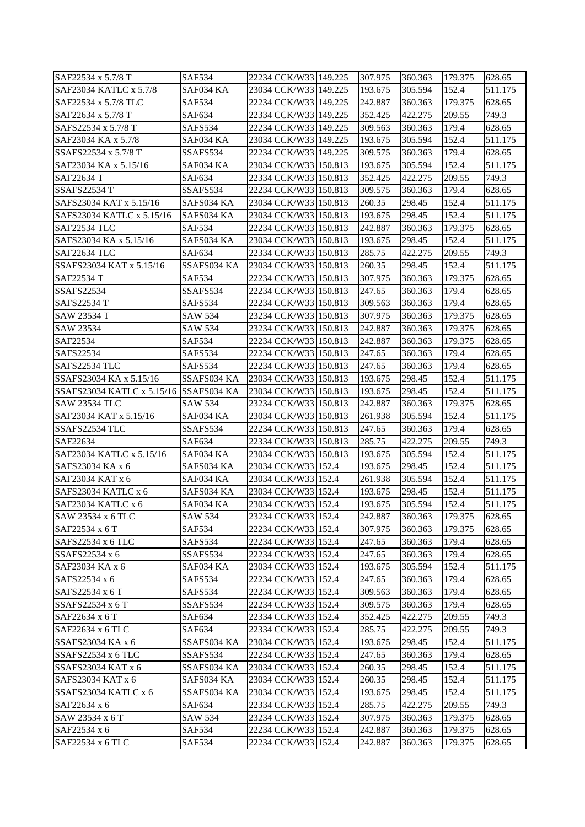| SAF22534 x 5.7/8 T                     | <b>SAF534</b>           | 22234 CCK/W331149.225                      | 307.975           | 360.363           | 179.375 | 628.65             |
|----------------------------------------|-------------------------|--------------------------------------------|-------------------|-------------------|---------|--------------------|
| SAF23034 KATLC x 5.7/8                 | SAF034 KA               | 23034 CCK/W33 149.225                      | 193.675           | 305.594           | 152.4   | 511.175            |
| SAF22534 x 5.7/8 TLC                   | <b>SAF534</b>           | 22234 CCK/W33 149.225                      | 242.887           | 360.363           | 179.375 | 628.65             |
| SAF22634 x 5.7/8 T                     | SAF634                  | 22334 CCK/W33 149.225                      | 352.425           | 422.275           | 209.55  | 749.3              |
| SAFS22534 x 5.7/8 T                    | SAFS534                 | 22234 CCK/W33 149.225                      | 309.563           | 360.363           | 179.4   | 628.65             |
| SAF23034 KA x 5.7/8                    | SAF034 KA               | 23034 CCK/W33 149.225                      | 193.675           | 305.594           | 152.4   | 511.175            |
| SSAFS22534 x 5.7/8 T                   | SSAFS534                | 22234 CCK/W33 149.225                      | 309.575           | 360.363           | 179.4   | 628.65             |
| SAF23034 KA x 5.15/16                  | SAF034 KA               | 23034 CCK/W33 150.813                      | 193.675           | 305.594           | 152.4   | 511.175            |
| SAF22634 T                             | SAF634                  | 22334 CCK/W33 150.813                      | 352.425           | 422.275           | 209.55  | 749.3              |
| <b>SSAFS22534 T</b>                    | SSAFS534                | 22234 CCK/W33 150.813                      | 309.575           | 360.363           | 179.4   | 628.65             |
| SAFS23034 KAT x 5.15/16                | SAFS034 KA              | 23034 CCK/W33 150.813                      | 260.35            | 298.45            | 152.4   | 511.175            |
| SAFS23034 KATLC x 5.15/16              | SAFS034 KA              | 23034 CCK/W33 150.813                      | 193.675           | 298.45            | 152.4   | 511.175            |
| <b>SAF22534 TLC</b>                    | <b>SAF534</b>           | 22234 CCK/W33 150.813                      | 242.887           | 360.363           | 179.375 | 628.65             |
| SAFS23034 KA x 5.15/16                 | SAFS034 KA              | 23034 CCK/W33 150.813                      | 193.675           | 298.45            | 152.4   | 511.175            |
| SAF22634 TLC                           | SAF634                  | 22334 CCK/W33 150.813                      | 285.75            | 422.275           | 209.55  | 749.3              |
| SSAFS23034 KAT x 5.15/16               | SSAFS034 KA             | 23034 CCK/W33 150.813                      | 260.35            | 298.45            | 152.4   | 511.175            |
| SAF22534 T                             | <b>SAF534</b>           | 22234 CCK/W33 150.813                      | 307.975           | 360.363           | 179.375 | 628.65             |
| <b>SSAFS22534</b>                      | SSAFS534                | 22234 CCK/W33 150.813                      | 247.65            | 360.363           | 179.4   | 628.65             |
| <b>SAFS22534 T</b>                     | SAFS534                 | 22234 CCK/W33 150.813                      | 309.563           | 360.363           | 179.4   | 628.65             |
| SAW 23534 T                            | SAW 534                 | 23234 CCK/W33 150.813                      | 307.975           | 360.363           | 179.375 | 628.65             |
| SAW 23534                              | <b>SAW 534</b>          | 23234 CCK/W33 150.813                      | 242.887           | 360.363           | 179.375 | 628.65             |
| SAF22534                               | <b>SAF534</b>           | 22234 CCK/W33 150.813                      | 242.887           | 360.363           | 179.375 | 628.65             |
| SAFS22534                              | <b>SAFS534</b>          | 22234 CCK/W33 150.813                      | 247.65            | 360.363           | 179.4   | 628.65             |
| SAFS22534 TLC                          | SAFS534                 | 22234 CCK/W33 150.813                      | 247.65            | 360.363           | 179.4   | 628.65             |
| SSAFS23034 KA x 5.15/16                | SSAFS034 KA             | 23034 CCK/W33 150.813                      | 193.675           | 298.45            | 152.4   | 511.175            |
| SSAFS23034 KATLC x 5.15/16 SSAFS034 KA |                         | 23034 CCK/W33 150.813                      | 193.675           | 298.45            | 152.4   | 511.175            |
| <b>SAW 23534 TLC</b>                   | <b>SAW 534</b>          | 23234 CCK/W33 150.813                      | 242.887           | 360.363           | 179.375 | 628.65             |
| SAF23034 KAT x 5.15/16                 | SAF034 KA               | 23034 CCK/W33 150.813                      | 261.938           | 305.594           | 152.4   | 511.175            |
| SSAFS22534 TLC                         | SSAFS534                | 22234 CCK/W33 150.813                      | 247.65            | 360.363           | 179.4   | 628.65             |
| SAF22634                               | SAF634                  | 22334 CCK/W33 150.813                      | 285.75            | 422.275           | 209.55  | 749.3              |
| SAF23034 KATLC x 5.15/16               | SAF034 KA               | 23034 CCK/W33 150.813                      | 193.675           | 305.594           | 152.4   | 511.175            |
| SAFS23034 KA x 6                       | SAFS034 KA              | 23034 CCK/W33 152.4                        | 193.675           | 298.45            | 152.4   | 511.175            |
| SAF23034 KAT x 6                       |                         |                                            | 261.938           | 305.594           | 152.4   |                    |
| SAFS23034 KATLC x 6                    | SAF034 KA<br>SAFS034 KA | 23034 CCK/W33 152.4                        | 193.675           |                   | 152.4   | 511.175<br>511.175 |
| SAF23034 KATLC x 6                     | SAF034 KA               | 23034 CCK/W33 152.4<br>23034 CCK/W33 152.4 | 193.675           | 298.45<br>305.594 | 152.4   | 511.175            |
|                                        |                         |                                            | 242.887           |                   |         |                    |
| SAW 23534 x 6 TLC                      | <b>SAW 534</b>          | 23234 CCK/W33 152.4                        |                   | 360.363           | 179.375 | 628.65             |
| SAF22534 x 6 T                         | <b>SAF534</b>           | 22234 CCK/W33 152.4                        | 307.975           | 360.363           | 179.375 | 628.65             |
| SAFS22534 x 6 TLC                      | SAFS534                 | 22234 CCK/W33 152.4                        | 247.65            | 360.363           | 179.4   | 628.65             |
| SSAFS22534 x 6                         | SSAFS534                | 22234 CCK/W33 152.4                        | 247.65            | 360.363           | 179.4   | 628.65             |
| SAF23034 KA x 6                        | SAF034 KA               | 23034 CCK/W33 152.4<br>22234 CCK/W33 152.4 | 193.675           | 305.594           | 152.4   | 511.175            |
| SAFS22534 x 6<br>SAFS22534 x 6 T       | SAFS534                 |                                            | 247.65<br>309.563 | 360.363           | 179.4   | 628.65             |
|                                        | SAFS534                 | 22234 CCK/W33 152.4                        |                   | 360.363           | 179.4   | 628.65             |
| SSAFS22534 x 6 T                       | SSAFS534                | 22234 CCK/W33 152.4                        | 309.575           | 360.363           | 179.4   | 628.65             |
| SAF22634 x 6 T                         | SAF634                  | 22334 CCK/W33 152.4                        | 352.425           | 422.275           | 209.55  | 749.3              |
| SAF22634 x 6 TLC                       | SAF634                  | 22334 CCK/W33 152.4                        | 285.75            | 422.275           | 209.55  | 749.3              |
| SSAFS23034 KA x 6                      | SSAFS034 KA             | 23034 CCK/W33 152.4                        | 193.675           | 298.45            | 152.4   | 511.175            |
| SSAFS22534 x 6 TLC                     | SSAFS534                | 22234 CCK/W33 152.4                        | 247.65            | 360.363           | 179.4   | 628.65             |
| SSAFS23034 KAT x 6                     | SSAFS034 KA             | 23034 CCK/W33 152.4                        | 260.35            | 298.45            | 152.4   | 511.175            |
| SAFS23034 KAT x 6                      | SAFS034 KA              | 23034 CCK/W33 152.4                        | 260.35            | 298.45            | 152.4   | 511.175            |
| SSAFS23034 KATLC x 6                   | SSAFS034 KA             | 23034 CCK/W33 152.4                        | 193.675           | 298.45            | 152.4   | 511.175            |
| SAF22634 x 6                           | SAF634                  | 22334 CCK/W33 152.4                        | 285.75            | 422.275           | 209.55  | 749.3              |
| SAW 23534 x 6 T                        | SAW 534                 | 23234 CCK/W33 152.4                        | 307.975           | 360.363           | 179.375 | 628.65             |
| SAF22534 x 6                           | SAF534                  | 22234 CCK/W33 152.4                        | 242.887           | 360.363           | 179.375 | 628.65             |
| SAF22534 x 6 TLC                       | SAF534                  | 22234 CCK/W33 152.4                        | 242.887           | 360.363           | 179.375 | 628.65             |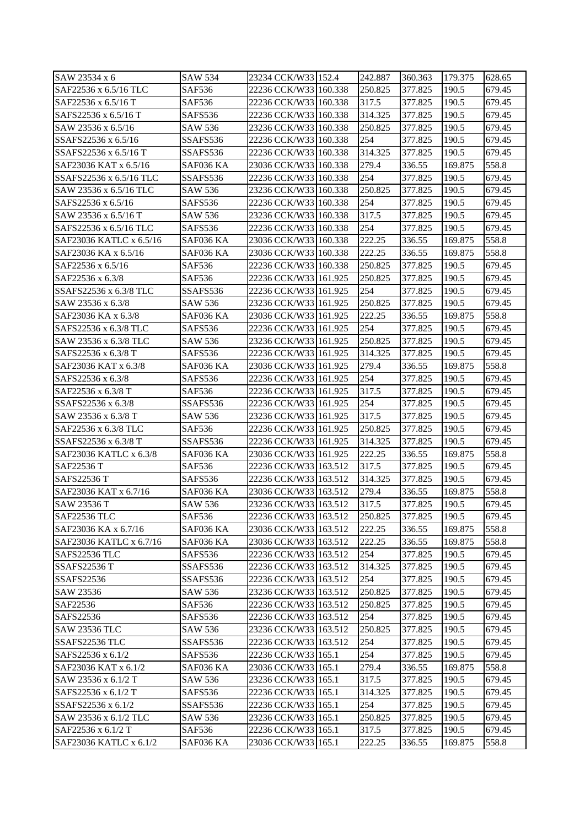| SAW 23534 x 6           | <b>SAW 534</b> | 23234 CCK/W33 152.4   | 242.887 | 360.363 | 179.375 | 628.65 |
|-------------------------|----------------|-----------------------|---------|---------|---------|--------|
| SAF22536 x 6.5/16 TLC   | SAF536         | 22236 CCK/W33 160.338 | 250.825 | 377.825 | 190.5   | 679.45 |
| SAF22536 x 6.5/16 T     | SAF536         | 22236 CCK/W33 160.338 | 317.5   | 377.825 | 190.5   | 679.45 |
| SAFS22536 x 6.5/16 T    | SAFS536        | 22236 CCK/W33 160.338 | 314.325 | 377.825 | 190.5   | 679.45 |
| SAW 23536 x 6.5/16      | SAW 536        | 23236 CCK/W33 160.338 | 250.825 | 377.825 | 190.5   | 679.45 |
| SSAFS22536 x 6.5/16     | SSAFS536       | 22236 CCK/W33 160.338 | 254     | 377.825 | 190.5   | 679.45 |
| SSAFS22536 x 6.5/16 T   | SSAFS536       | 22236 CCK/W33 160.338 | 314.325 | 377.825 | 190.5   | 679.45 |
| SAF23036 KAT x 6.5/16   | SAF036 KA      | 23036 CCK/W33 160.338 | 279.4   | 336.55  | 169.875 | 558.8  |
| SSAFS22536 x 6.5/16 TLC | SSAFS536       | 22236 CCK/W33 160.338 | 254     | 377.825 | 190.5   | 679.45 |
| SAW 23536 x 6.5/16 TLC  | SAW 536        | 23236 CCK/W33 160.338 | 250.825 | 377.825 | 190.5   | 679.45 |
| SAFS22536 x 6.5/16      | SAFS536        | 22236 CCK/W33 160.338 | 254     | 377.825 | 190.5   | 679.45 |
| SAW 23536 x 6.5/16 T    | SAW 536        | 23236 CCK/W33 160.338 | 317.5   | 377.825 | 190.5   | 679.45 |
| SAFS22536 x 6.5/16 TLC  | SAFS536        | 22236 CCK/W33 160.338 | 254     | 377.825 | 190.5   | 679.45 |
| SAF23036 KATLC x 6.5/16 | SAF036 KA      | 23036 CCK/W33 160.338 | 222.25  | 336.55  | 169.875 | 558.8  |
| SAF23036 KA x 6.5/16    | SAF036 KA      | 23036 CCK/W33 160.338 | 222.25  | 336.55  | 169.875 | 558.8  |
| SAF22536 x 6.5/16       | SAF536         | 22236 CCK/W33 160.338 | 250.825 | 377.825 | 190.5   | 679.45 |
| SAF22536 x 6.3/8        | SAF536         | 22236 CCK/W33 161.925 | 250.825 | 377.825 | 190.5   | 679.45 |
| SSAFS22536 x 6.3/8 TLC  | SSAFS536       | 22236 CCK/W33 161.925 | 254     | 377.825 | 190.5   | 679.45 |
| SAW 23536 x 6.3/8       | SAW 536        | 23236 CCK/W33 161.925 | 250.825 | 377.825 | 190.5   | 679.45 |
| SAF23036 KA x 6.3/8     | SAF036 KA      | 23036 CCK/W33 161.925 | 222.25  | 336.55  | 169.875 | 558.8  |
| SAFS22536 x 6.3/8 TLC   | SAFS536        | 22236 CCK/W33 161.925 | 254     | 377.825 | 190.5   | 679.45 |
| SAW 23536 x 6.3/8 TLC   | SAW 536        | 23236 CCK/W33 161.925 | 250.825 | 377.825 | 190.5   | 679.45 |
| SAFS22536 x 6.3/8 T     | SAFS536        | 22236 CCK/W33 161.925 | 314.325 | 377.825 | 190.5   | 679.45 |
| SAF23036 KAT x 6.3/8    | SAF036 KA      | 23036 CCK/W33 161.925 | 279.4   | 336.55  | 169.875 | 558.8  |
| SAFS22536 x 6.3/8       | SAFS536        | 22236 CCK/W33 161.925 | 254     | 377.825 | 190.5   | 679.45 |
| SAF22536 x 6.3/8 T      | <b>SAF536</b>  | 22236 CCK/W33 161.925 | 317.5   | 377.825 | 190.5   | 679.45 |
| SSAFS22536 x 6.3/8      | SSAFS536       | 22236 CCK/W33 161.925 | 254     | 377.825 | 190.5   | 679.45 |
| SAW 23536 x 6.3/8 T     | SAW 536        | 23236 CCK/W33 161.925 | 317.5   | 377.825 | 190.5   | 679.45 |
| SAF22536 x 6.3/8 TLC    | SAF536         | 22236 CCK/W33 161.925 | 250.825 | 377.825 | 190.5   | 679.45 |
| SSAFS22536 x 6.3/8 T    | SSAFS536       | 22236 CCK/W33 161.925 | 314.325 | 377.825 | 190.5   | 679.45 |
| SAF23036 KATLC x 6.3/8  | SAF036 KA      | 23036 CCK/W33 161.925 | 222.25  | 336.55  | 169.875 | 558.8  |
| SAF22536 T              | SAF536         | 22236 CCK/W33 163.512 | 317.5   | 377.825 | 190.5   | 679.45 |
| SAFS22536 T             | SAFS536        | 22236 CCK/W33 163.512 | 314.325 | 377.825 | 190.5   | 679.45 |
| SAF23036 KAT x 6.7/16   | SAF036 KA      | 23036 CCK/W33 163.512 | 279.4   | 336.55  | 169.875 | 558.8  |
| SAW 23536 T             | SAW 536        | 23236 CCK/W33 163.512 | 317.5   | 377.825 | 190.5   | 679.45 |
| SAF22536 TLC            | SAF536         | 22236 CCK/W33 163.512 | 250.825 | 377.825 | 190.5   | 679.45 |
| SAF23036 KA x 6.7/16    | SAF036 KA      | 23036 CCK/W33 163.512 | 222.25  | 336.55  | 169.875 | 558.8  |
| SAF23036 KATLC x 6.7/16 | SAF036 KA      | 23036 CCK/W33 163.512 | 222.25  | 336.55  | 169.875 | 558.8  |
| SAFS22536 TLC           | SAFS536        | 22236 CCK/W33 163.512 | 254     | 377.825 | 190.5   | 679.45 |
| SSAFS22536 T            | SSAFS536       | 22236 CCK/W33 163.512 | 314.325 | 377.825 | 190.5   | 679.45 |
| SSAFS22536              | SSAFS536       | 22236 CCK/W33 163.512 | 254     | 377.825 | 190.5   | 679.45 |
| SAW 23536               | SAW 536        | 23236 CCK/W33 163.512 | 250.825 | 377.825 | 190.5   | 679.45 |
| SAF22536                | SAF536         | 22236 CCK/W33 163.512 | 250.825 | 377.825 | 190.5   | 679.45 |
| SAFS22536               | SAFS536        | 22236 CCK/W33 163.512 | 254     | 377.825 | 190.5   | 679.45 |
| <b>SAW 23536 TLC</b>    | SAW 536        | 23236 CCK/W33 163.512 | 250.825 | 377.825 | 190.5   | 679.45 |
| SSAFS22536 TLC          | SSAFS536       | 22236 CCK/W33 163.512 | 254     | 377.825 | 190.5   | 679.45 |
| SAFS22536 x 6.1/2       | SAFS536        | 22236 CCK/W33 165.1   | 254     | 377.825 | 190.5   | 679.45 |
| SAF23036 KAT x 6.1/2    | SAF036 KA      | 23036 CCK/W33 165.1   | 279.4   | 336.55  | 169.875 | 558.8  |
| SAW 23536 x 6.1/2 T     | SAW 536        | 23236 CCK/W33 165.1   | 317.5   | 377.825 | 190.5   | 679.45 |
| SAFS22536 x 6.1/2 T     | SAFS536        | 22236 CCK/W33 165.1   | 314.325 | 377.825 | 190.5   | 679.45 |
| SSAFS22536 x 6.1/2      | SSAFS536       | 22236 CCK/W33 165.1   | 254     | 377.825 | 190.5   | 679.45 |
| SAW 23536 x 6.1/2 TLC   | SAW 536        | 23236 CCK/W33 165.1   | 250.825 | 377.825 | 190.5   | 679.45 |
| SAF22536 x 6.1/2 T      | SAF536         | 22236 CCK/W33 165.1   | 317.5   | 377.825 | 190.5   | 679.45 |
| SAF23036 KATLC x 6.1/2  | SAF036 KA      | 23036 CCK/W33 165.1   | 222.25  | 336.55  | 169.875 | 558.8  |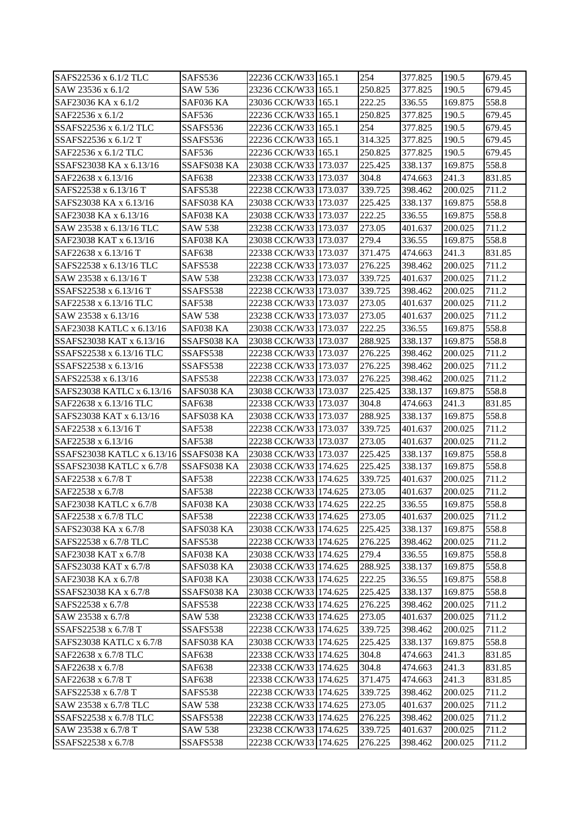| SAFS22536 x 6.1/2 TLC                  | SAFS536        | 22236 CCK/W33 165.1   | 254     | 377.825 | 190.5   | 679.45 |
|----------------------------------------|----------------|-----------------------|---------|---------|---------|--------|
| SAW 23536 x 6.1/2                      | SAW 536        | 23236 CCK/W33 165.1   | 250.825 | 377.825 | 190.5   | 679.45 |
| SAF23036 KA x 6.1/2                    | SAF036 KA      | 23036 CCK/W33 165.1   | 222.25  | 336.55  | 169.875 | 558.8  |
| SAF22536 x 6.1/2                       | SAF536         | 22236 CCK/W33 165.1   | 250.825 | 377.825 | 190.5   | 679.45 |
| SSAFS22536 x 6.1/2 TLC                 | SSAFS536       | 22236 CCK/W33 165.1   | 254     | 377.825 | 190.5   | 679.45 |
| SSAFS22536 x 6.1/2 T                   | SSAFS536       | 22236 CCK/W33 165.1   | 314.325 | 377.825 | 190.5   | 679.45 |
| SAF22536 x 6.1/2 TLC                   | SAF536         | 22236 CCK/W33 165.1   | 250.825 | 377.825 | 190.5   | 679.45 |
| SSAFS23038 KA x 6.13/16                | SSAFS038 KA    | 23038 CCK/W33 173.037 | 225.425 | 338.137 | 169.875 | 558.8  |
| SAF22638 x 6.13/16                     | <b>SAF638</b>  | 22338 CCK/W33 173.037 | 304.8   | 474.663 | 241.3   | 831.85 |
| SAFS22538 x 6.13/16 T                  | SAFS538        | 22238 CCK/W33 173.037 | 339.725 | 398.462 | 200.025 | 711.2  |
| SAFS23038 KA x 6.13/16                 | SAFS038 KA     | 23038 CCK/W33 173.037 | 225.425 | 338.137 | 169.875 | 558.8  |
| SAF23038 KA x 6.13/16                  | SAF038 KA      | 23038 CCK/W33 173.037 | 222.25  | 336.55  | 169.875 | 558.8  |
| SAW 23538 x 6.13/16 TLC                | <b>SAW 538</b> | 23238 CCK/W33 173.037 | 273.05  | 401.637 | 200.025 | 711.2  |
| SAF23038 KAT x 6.13/16                 | SAF038 KA      | 23038 CCK/W33 173.037 | 279.4   | 336.55  | 169.875 | 558.8  |
| SAF22638 x 6.13/16 T                   | <b>SAF638</b>  | 22338 CCK/W33 173.037 | 371.475 | 474.663 | 241.3   | 831.85 |
| SAFS22538 x 6.13/16 TLC                | SAFS538        | 22238 CCK/W33 173.037 | 276.225 | 398.462 | 200.025 | 711.2  |
| SAW 23538 x 6.13/16 T                  | SAW 538        | 23238 CCK/W33 173.037 | 339.725 | 401.637 | 200.025 | 711.2  |
| SSAFS22538 x 6.13/16 T                 | SSAFS538       | 22238 CCK/W33 173.037 | 339.725 | 398.462 | 200.025 | 711.2  |
| SAF22538 x 6.13/16 TLC                 | <b>SAF538</b>  | 22238 CCK/W33 173.037 | 273.05  | 401.637 | 200.025 | 711.2  |
| SAW 23538 x 6.13/16                    | <b>SAW 538</b> | 23238 CCK/W33 173.037 | 273.05  | 401.637 | 200.025 | 711.2  |
| SAF23038 KATLC x 6.13/16               | SAF038 KA      | 23038 CCK/W33 173.037 | 222.25  | 336.55  | 169.875 | 558.8  |
| SSAFS23038 KAT x 6.13/16               | SSAFS038 KA    | 23038 CCK/W33 173.037 | 288.925 | 338.137 | 169.875 | 558.8  |
| SSAFS22538 x 6.13/16 TLC               | SSAFS538       | 22238 CCK/W33 173.037 | 276.225 | 398.462 | 200.025 | 711.2  |
| SSAFS22538 x 6.13/16                   | SSAFS538       | 22238 CCK/W33 173.037 | 276.225 | 398.462 | 200.025 | 711.2  |
| SAFS22538 x 6.13/16                    | SAFS538        | 22238 CCK/W33 173.037 | 276.225 | 398.462 | 200.025 | 711.2  |
| SAFS23038 KATLC x 6.13/16              | SAFS038 KA     | 23038 CCK/W33 173.037 | 225.425 | 338.137 | 169.875 | 558.8  |
| SAF22638 x 6.13/16 TLC                 | <b>SAF638</b>  | 22338 CCK/W33 173.037 | 304.8   | 474.663 | 241.3   | 831.85 |
| SAFS23038 KAT x 6.13/16                | SAFS038 KA     | 23038 CCK/W33 173.037 | 288.925 | 338.137 | 169.875 | 558.8  |
| SAF22538 x 6.13/16 T                   | <b>SAF538</b>  | 22238 CCK/W33 173.037 | 339.725 | 401.637 | 200.025 | 711.2  |
| SAF22538 x 6.13/16                     | <b>SAF538</b>  | 22238 CCK/W33 173.037 | 273.05  | 401.637 | 200.025 | 711.2  |
| SSAFS23038 KATLC x 6.13/16 SSAFS038 KA |                | 23038 CCK/W33 173.037 | 225.425 | 338.137 | 169.875 | 558.8  |
| SSAFS23038 KATLC x 6.7/8               | SSAFS038 KA    | 23038 CCK/W33 174.625 | 225.425 | 338.137 | 169.875 | 558.8  |
| SAF22538 x 6.7/8 T                     | <b>SAF538</b>  | 22238 CCK/W33 174.625 | 339.725 | 401.637 | 200.025 | 711.2  |
| SAF22538 x 6.7/8                       | <b>SAF538</b>  | 22238 CCK/W33 174.625 | 273.05  | 401.637 | 200.025 | 711.2  |
| SAF23038 KATLC x 6.7/8                 | SAF038 KA      | 23038 CCK/W33 174.625 | 222.25  | 336.55  | 169.875 | 558.8  |
| SAF22538 x 6.7/8 TLC                   | <b>SAF538</b>  | 22238 CCK/W33 174.625 | 273.05  | 401.637 | 200.025 | 711.2  |
| SAFS23038 KA x 6.7/8                   | SAFS038 KA     | 23038 CCK/W33 174.625 | 225.425 | 338.137 | 169.875 | 558.8  |
| SAFS22538 x 6.7/8 TLC                  | SAFS538        | 22238 CCK/W33 174.625 | 276.225 | 398.462 | 200.025 | 711.2  |
| SAF23038 KAT x 6.7/8                   | SAF038 KA      | 23038 CCK/W33 174.625 | 279.4   | 336.55  | 169.875 | 558.8  |
| SAFS23038 KAT x 6.7/8                  | SAFS038 KA     | 23038 CCK/W33 174.625 | 288.925 | 338.137 | 169.875 | 558.8  |
| SAF23038 KA x 6.7/8                    | SAF038 KA      | 23038 CCK/W33 174.625 | 222.25  | 336.55  | 169.875 | 558.8  |
| SSAFS23038 KA x 6.7/8                  | SSAFS038 KA    | 23038 CCK/W33 174.625 | 225.425 | 338.137 | 169.875 | 558.8  |
| SAFS22538 x 6.7/8                      | SAFS538        | 22238 CCK/W33 174.625 | 276.225 | 398.462 | 200.025 | 711.2  |
| SAW 23538 x 6.7/8                      | SAW 538        | 23238 CCK/W33 174.625 | 273.05  | 401.637 | 200.025 | 711.2  |
| SSAFS22538 x 6.7/8 T                   | SSAFS538       | 22238 CCK/W33 174.625 | 339.725 | 398.462 | 200.025 | 711.2  |
| SAFS23038 KATLC x 6.7/8                | SAFS038 KA     | 23038 CCK/W33 174.625 | 225.425 | 338.137 | 169.875 | 558.8  |
| SAF22638 x 6.7/8 TLC                   | SAF638         | 22338 CCK/W33 174.625 | 304.8   | 474.663 | 241.3   | 831.85 |
| SAF22638 x 6.7/8                       | <b>SAF638</b>  | 22338 CCK/W33 174.625 | 304.8   | 474.663 | 241.3   | 831.85 |
| SAF22638 x 6.7/8 T                     | <b>SAF638</b>  | 22338 CCK/W33 174.625 | 371.475 | 474.663 | 241.3   | 831.85 |
| SAFS22538 x 6.7/8 T                    | SAFS538        | 22238 CCK/W33 174.625 | 339.725 | 398.462 | 200.025 | 711.2  |
| SAW 23538 x 6.7/8 TLC                  | <b>SAW 538</b> | 23238 CCK/W33 174.625 | 273.05  | 401.637 | 200.025 | 711.2  |
| SSAFS22538 x 6.7/8 TLC                 | SSAFS538       | 22238 CCK/W33 174.625 | 276.225 | 398.462 | 200.025 | 711.2  |
| SAW 23538 x 6.7/8 T                    | SAW 538        | 23238 CCK/W33 174.625 | 339.725 | 401.637 | 200.025 | 711.2  |
| SSAFS22538 x 6.7/8                     | SSAFS538       | 22238 CCK/W33 174.625 | 276.225 | 398.462 | 200.025 | 711.2  |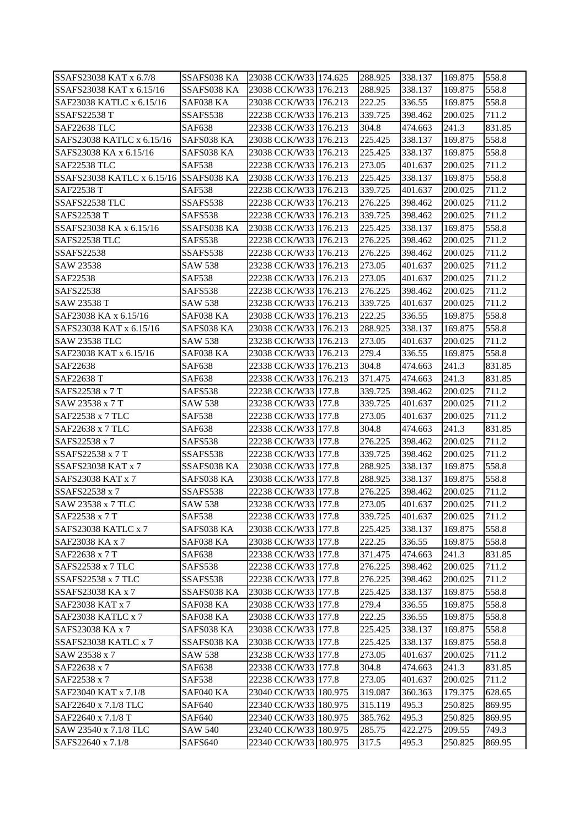| SSAFS23038 KAT x 6.7/8                  | SSAFS038 KA             | 23038 CCK/W33 174.625                      | 288.925            | 338.137            | 169.875            | 558.8          |
|-----------------------------------------|-------------------------|--------------------------------------------|--------------------|--------------------|--------------------|----------------|
| SSAFS23038 KAT x 6.15/16                | SSAFS038 KA             | 23038 CCK/W33 176.213                      | 288.925            | 338.137            | 169.875            | 558.8          |
| SAF23038 KATLC x 6.15/16                | SAF038 KA               | 23038 CCK/W33 176.213                      | 222.25             | 336.55             | 169.875            | 558.8          |
| <b>SSAFS22538 T</b>                     | SSAFS538                | 22238 CCK/W33 176.213                      | 339.725            | 398.462            | 200.025            | 711.2          |
| <b>SAF22638 TLC</b>                     | <b>SAF638</b>           | 22338 CCK/W33 176.213                      | 304.8              | 474.663            | 241.3              | 831.85         |
| SAFS23038 KATLC x 6.15/16               | SAFS038 KA              | 23038 CCK/W33 176.213                      | 225.425            | 338.137            | 169.875            | 558.8          |
| SAFS23038 KA x 6.15/16                  | SAFS038 KA              | 23038 CCK/W33 176.213                      | 225.425            | 338.137            | 169.875            | 558.8          |
| <b>SAF22538 TLC</b>                     | <b>SAF538</b>           | 22238 CCK/W33 176.213                      | 273.05             | 401.637            | 200.025            | 711.2          |
| SSAFS23038 KATLC x 6.15/16 SSAFS038 KA  |                         | 23038 CCK/W33 176.213                      | 225.425            | 338.137            | 169.875            | 558.8          |
| SAF22538 T                              | <b>SAF538</b>           | 22238 CCK/W33 176.213                      | 339.725            | 401.637            | 200.025            | 711.2          |
| SSAFS22538 TLC                          | SSAFS538                | 22238 CCK/W33 176.213                      | 276.225            | 398.462            | 200.025            | 711.2          |
| <b>SAFS22538 T</b>                      | SAFS538                 | 22238 CCK/W33 176.213                      | 339.725            | 398.462            | 200.025            | 711.2          |
| SSAFS23038 KA x 6.15/16                 | SSAFS038 KA             | 23038 CCK/W33 176.213                      | 225.425            | 338.137            | 169.875            | 558.8          |
| SAFS22538 TLC                           | SAFS538                 | 22238 CCK/W33 176.213                      | 276.225            | 398.462            | 200.025            | 711.2          |
| <b>SSAFS22538</b>                       | SSAFS538                | 22238 CCK/W33 176.213                      | 276.225            | 398.462            | 200.025            | 711.2          |
| SAW 23538                               | SAW 538                 | 23238 CCK/W33 176.213                      | 273.05             | 401.637            | 200.025            | 711.2          |
| SAF22538                                | <b>SAF538</b>           | 22238 CCK/W33 176.213                      | 273.05             | 401.637            | 200.025            | 711.2          |
| SAFS22538                               | SAFS538                 | 22238 CCK/W33 176.213                      | 276.225            | 398.462            | 200.025            | 711.2          |
| SAW 23538 T                             | <b>SAW 538</b>          | 23238 CCK/W33 176.213                      | 339.725            | 401.637            | 200.025            | 711.2          |
| SAF23038 KA x 6.15/16                   | SAF038 KA               | 23038 CCK/W33 176.213                      | 222.25             | 336.55             | 169.875            | 558.8          |
| SAFS23038 KAT x 6.15/16                 | SAFS038 KA              | 23038 CCK/W33 176.213                      | 288.925            | 338.137            | 169.875            | 558.8          |
| <b>SAW 23538 TLC</b>                    | <b>SAW 538</b>          | 23238 CCK/W33 176.213                      | 273.05             | 401.637            | 200.025            | 711.2          |
| SAF23038 KAT x 6.15/16                  | SAF038 KA               | 23038 CCK/W33 176.213                      | 279.4              | 336.55             | 169.875            | 558.8          |
| SAF22638                                | <b>SAF638</b>           | 22338 CCK/W33 176.213                      | 304.8              | 474.663            | 241.3              | 831.85         |
| SAF22638 T                              | <b>SAF638</b>           | 22338 CCK/W33 176.213                      | 371.475            | 474.663            | 241.3              | 831.85         |
| SAFS22538 x 7 T                         | SAFS538                 | 22238 CCK/W33 177.8                        | 339.725            | 398.462            | 200.025            | 711.2          |
| SAW 23538 x 7 T                         | SAW 538                 | 23238 CCK/W33 177.8                        | 339.725            | 401.637            | 200.025            | 711.2          |
| SAF22538 x 7 TLC                        | <b>SAF538</b>           | 22238 CCK/W33 177.8                        | 273.05             | 401.637            | 200.025            | 711.2          |
| SAF22638 x 7 TLC                        | SAF638                  | 22338 CCK/W33 177.8                        | 304.8              | 474.663            | 241.3              | 831.85         |
| SAFS22538 x 7                           | SAFS538                 | 22238 CCK/W33 177.8                        | 276.225            | 398.462            | 200.025            | 711.2          |
| SSAFS22538 x 7 T                        | SSAFS538                | 22238 CCK/W33 177.8                        | 339.725            | 398.462            | 200.025            | 711.2          |
| <b>SSAFS23038 KAT x 7</b>               | SSAFS038 KA             | 23038 CCK/W33 177.8                        | 288.925            | 338.137            | 169.875            | 558.8          |
| SAFS23038 KAT x 7                       | SAFS038 KA              | 23038 CCK/W33 177.8                        | 288.925            | 338.137            | 169.875            | 558.8          |
| SSAFS22538 x 7                          | SSAFS538                | 22238 CCK/W33 177.8                        | 276.225            | 398.462            | 200.025            | 711.2          |
| SAW 23538 x 7 TLC                       | SAW 538                 | 23238 CCK/W33 177.8                        | 273.05             | 401.637            | 200.025            | 711.2          |
| SAF22538 x 7 T                          | <b>SAF538</b>           | 22238 CCK/W33 177.8                        | 339.725            | 401.637            | 200.025            | 711.2          |
| SAFS23038 KATLC x 7                     | SAFS038 KA              | 23038 CCK/W33 177.8                        | 225.425            | 338.137            | 169.875            | 558.8          |
| SAF23038 KA x 7                         | SAF038 KA               | 23038 CCK/W33 177.8                        | 222.25             |                    |                    | 558.8          |
|                                         |                         |                                            |                    | 336.55             | 169.875            |                |
| SAF22638 x 7 T                          | <b>SAF638</b>           | 22338 CCK/W33 177.8                        | 371.475            | 474.663            | 241.3              | 831.85         |
| SAFS22538 x 7 TLC<br>SSAFS22538 x 7 TLC | SAFS538                 | 22238 CCK/W33 177.8<br>22238 CCK/W33 177.8 | 276.225<br>276.225 | 398.462<br>398.462 | 200.025<br>200.025 | 711.2          |
| SSAFS23038 KA x 7                       | SSAFS538<br>SSAFS038 KA |                                            | 225.425            |                    |                    | 711.2<br>558.8 |
|                                         |                         | 23038 CCK/W33 177.8                        |                    | 338.137            | 169.875            |                |
| SAF23038 KAT x 7                        | SAF038 KA               | 23038 CCK/W33 177.8<br>23038 CCK/W33 177.8 | 279.4<br>222.25    | 336.55             | 169.875            | 558.8          |
| SAF23038 KATLC x 7                      | SAF038 KA               |                                            |                    | 336.55             | 169.875            | 558.8          |
| SAFS23038 KA x 7                        | SAFS038 KA              | 23038 CCK/W33 177.8                        | 225.425            | 338.137            | 169.875            | 558.8          |
| SSAFS23038 KATLC x 7                    | SSAFS038 KA             | 23038 CCK/W33 177.8                        | 225.425            | 338.137            | 169.875            | 558.8          |
| SAW 23538 x 7                           | SAW 538                 | 23238 CCK/W33 177.8                        | 273.05             | 401.637            | 200.025            | 711.2          |
| SAF22638 x 7                            | <b>SAF638</b>           | 22338 CCK/W33 177.8                        | 304.8              | 474.663            | 241.3              | 831.85         |
| SAF22538 x 7                            | <b>SAF538</b>           | 22238 CCK/W33 177.8                        | 273.05             | 401.637            | 200.025            | 711.2          |
| SAF23040 KAT x 7.1/8                    | SAF040 KA               | 23040 CCK/W33 180.975                      | 319.087            | 360.363            | 179.375            | 628.65         |
| SAF22640 x 7.1/8 TLC                    | <b>SAF640</b>           | 22340 CCK/W33 180.975                      | 315.119            | 495.3              | 250.825            | 869.95         |
| SAF22640 x 7.1/8 T                      | <b>SAF640</b>           | 22340 CCK/W33 180.975                      | 385.762            | 495.3              | 250.825            | 869.95         |
| SAW 23540 x 7.1/8 TLC                   | <b>SAW 540</b>          | 23240 CCK/W33 180.975                      | 285.75             | 422.275            | 209.55             | 749.3          |
| SAFS22640 x 7.1/8                       | SAFS640                 | 22340 CCK/W33 180.975                      | 317.5              | 495.3              | 250.825            | 869.95         |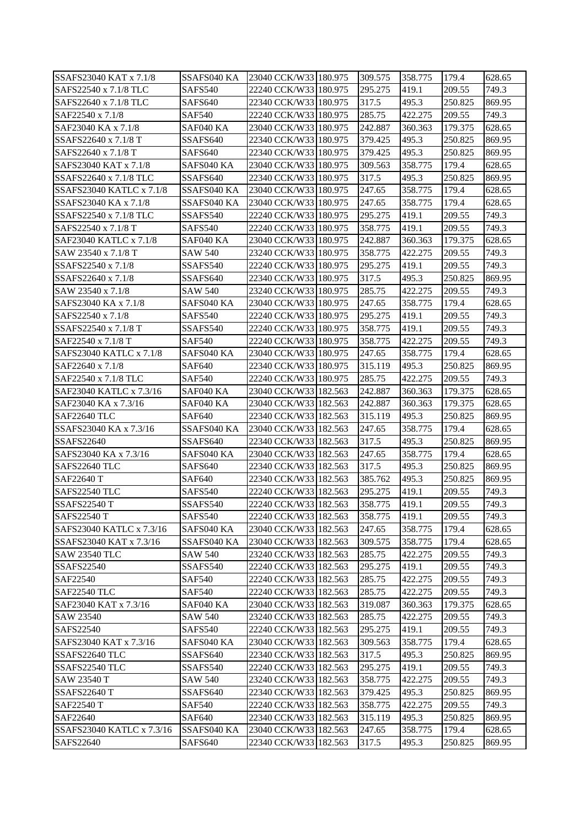| SSAFS23040 KAT x 7.1/8                          | SSAFS040 KA                | 23040 CCK/W33 180.975                          | 309.575          | 358.775        | 179.4             | 628.65           |
|-------------------------------------------------|----------------------------|------------------------------------------------|------------------|----------------|-------------------|------------------|
| SAFS22540 x 7.1/8 TLC                           | SAFS540                    | 22240 CCK/W33 180.975                          | 295.275          | 419.1          | 209.55            | 749.3            |
| SAFS22640 x 7.1/8 TLC                           | SAFS640                    | 22340 CCK/W33 180.975                          | 317.5            | 495.3          | 250.825           | 869.95           |
| SAF22540 x 7.1/8                                | <b>SAF540</b>              | 22240 CCK/W33 180.975                          | 285.75           | 422.275        | 209.55            | 749.3            |
| SAF23040 KA x 7.1/8                             | SAF040 KA                  | 23040 CCK/W33 180.975                          | 242.887          | 360.363        | 179.375           | 628.65           |
| SSAFS22640 x 7.1/8 T                            | SSAFS640                   | 22340 CCK/W33 180.975                          | 379.425          | 495.3          | 250.825           | 869.95           |
| SAFS22640 x 7.1/8 T                             | SAFS640                    | 22340 CCK/W33 180.975                          | 379.425          | 495.3          | 250.825           | 869.95           |
| SAFS23040 KAT x 7.1/8                           | SAFS040 KA                 | 23040 CCK/W33 180.975                          | 309.563          | 358.775        | 179.4             | 628.65           |
| SSAFS22640 x 7.1/8 TLC                          | SSAFS640                   | 22340 CCK/W33 180.975                          | 317.5            | 495.3          | 250.825           | 869.95           |
| SSAFS23040 KATLC x 7.1/8                        | SSAFS040 KA                | 23040 CCK/W33 180.975                          | 247.65           | 358.775        | 179.4             | 628.65           |
| SSAFS23040 KA x 7.1/8                           | SSAFS040 KA                | 23040 CCK/W33 180.975                          | 247.65           | 358.775        | 179.4             | 628.65           |
| SSAFS22540 x 7.1/8 TLC                          | SSAFS540                   | 22240 CCK/W33 180.975                          | 295.275          | 419.1          | 209.55            | 749.3            |
| SAFS22540 x 7.1/8 T                             | SAFS540                    | 22240 CCK/W33 180.975                          | 358.775          | 419.1          | 209.55            | 749.3            |
| SAF23040 KATLC x 7.1/8                          | SAF040 KA                  | 23040 CCK/W33 180.975                          | 242.887          | 360.363        | 179.375           | 628.65           |
| SAW 23540 x 7.1/8 T                             | <b>SAW 540</b>             | 23240 CCK/W33 180.975                          | 358.775          | 422.275        | 209.55            | 749.3            |
| SSAFS22540 x 7.1/8                              | SSAFS540                   | 22240 CCK/W33 180.975                          | 295.275          | 419.1          | 209.55            | 749.3            |
| SSAFS22640 x 7.1/8                              | SSAFS640                   | 22340 CCK/W33 180.975                          | 317.5            | 495.3          | 250.825           | 869.95           |
| SAW 23540 x 7.1/8                               | <b>SAW 540</b>             | 23240 CCK/W33 180.975                          | 285.75           | 422.275        | 209.55            | 749.3            |
| SAFS23040 KA x 7.1/8                            | SAFS040 KA                 | 23040 CCK/W33 180.975                          | 247.65           | 358.775        | 179.4             | 628.65           |
| SAFS22540 x 7.1/8                               | SAFS540                    | 22240 CCK/W33 180.975                          | 295.275          | 419.1          | 209.55            | 749.3            |
| SSAFS22540 x 7.1/8 T                            | SSAFS540                   | 22240 CCK/W33 180.975                          | 358.775          | 419.1          | 209.55            | 749.3            |
| SAF22540 x 7.1/8 T                              | <b>SAF540</b>              | 22240 CCK/W33 180.975                          | 358.775          | 422.275        | 209.55            | 749.3            |
| SAFS23040 KATLC x 7.1/8                         | SAFS040 KA                 | 23040 CCK/W33 180.975                          | 247.65           | 358.775        | 179.4             | 628.65           |
| SAF22640 x 7.1/8                                | <b>SAF640</b>              | 22340 CCK/W33 180.975                          | 315.119          | 495.3          | 250.825           | 869.95           |
| SAF22540 x 7.1/8 TLC                            | <b>SAF540</b>              | 22240 CCK/W33 180.975                          | 285.75           | 422.275        | 209.55            | 749.3            |
| SAF23040 KATLC x 7.3/16                         | SAF040 KA                  | 23040 CCK/W33 182.563                          | 242.887          | 360.363        | 179.375           | 628.65           |
| SAF23040 KA x 7.3/16                            | SAF040 KA                  | 23040 CCK/W33 182.563                          | 242.887          | 360.363        | 179.375           | 628.65           |
| SAF22640 TLC                                    | <b>SAF640</b>              | 22340 CCK/W33 182.563                          | 315.119          | 495.3          | 250.825           | 869.95           |
| SSAFS23040 KA x 7.3/16                          |                            |                                                |                  |                | 179.4             | 628.65           |
| <b>SSAFS22640</b>                               | SSAFS040 KA                | 23040 CCK/W33 182.563                          | 247.65<br>317.5  | 358.775        | 250.825           |                  |
| SAFS23040 KA x 7.3/16                           | SSAFS640<br>SAFS040 KA     | 22340 CCK/W33 182.563<br>23040 CCK/W33 182.563 |                  | 495.3          |                   | 869.95           |
| SAFS22640 TLC                                   |                            | 22340 CCK/W33 182.563                          | 247.65           | 358.775        | 179.4<br>250.825  | 628.65           |
|                                                 | SAFS640                    |                                                | 317.5<br>385.762 | 495.3<br>495.3 |                   | 869.95           |
| SAF22640 T<br>SAFS22540 TLC                     | <b>SAF640</b><br>SAFS540   | 22340 CCK/W33 182.563                          | 295.275          |                | 250.825<br>209.55 | 869.95<br>749.3  |
| <b>SSAFS22540 T</b>                             | SSAFS540                   | 22240 CCK/W33 182.563<br>22240 CCK/W33 182.563 | 358.775          | 419.1<br>419.1 | 209.55            | 749.3            |
|                                                 |                            | 22240 CCK/W33 182.563                          |                  |                |                   |                  |
| <b>SAFS22540 T</b>                              | SAFS540<br>SAFS040 KA      | 23040 CCK/W33 182.563                          | 358.775          | 419.1          | 209.55            | 749.3            |
| SAFS23040 KATLC x 7.3/16                        |                            |                                                | 247.65           | 358.775        | 179.4             | 628.65<br>628.65 |
| SSAFS23040 KAT x 7.3/16<br><b>SAW 23540 TLC</b> | SSAFS040 KA                | 23040 CCK/W33 182.563                          | 309.575          | 358.775        | 179.4             |                  |
| <b>SSAFS22540</b>                               | <b>SAW 540</b><br>SSAFS540 | 23240 CCK/W33 182.563<br>22240 CCK/W33 182.563 | 285.75           | 422.275        | 209.55            | 749.3            |
| SAF22540                                        |                            |                                                | 295.275          | 419.1          | 209.55            | 749.3            |
| SAF22540 TLC                                    | <b>SAF540</b>              | 22240 CCK/W33 182.563                          | 285.75           | 422.275        | 209.55            | 749.3            |
|                                                 | <b>SAF540</b>              | 22240 CCK/W33 182.563                          | 285.75           | 422.275        | 209.55            | 749.3            |
| SAF23040 KAT x 7.3/16                           | SAF040 KA                  | 23040 CCK/W33 182.563                          | 319.087          | 360.363        | 179.375           | 628.65           |
| SAW 23540                                       | <b>SAW 540</b>             | 23240 CCK/W33 182.563                          | 285.75           | 422.275        | 209.55            | 749.3            |
| SAFS22540                                       | SAFS540                    | 22240 CCK/W33 182.563                          | 295.275          | 419.1          | 209.55            | 749.3            |
| SAFS23040 KAT x 7.3/16                          | SAFS040 KA                 | 23040 CCK/W33 182.563                          | 309.563          | 358.775        | 179.4             | 628.65           |
| SSAFS22640 TLC                                  | SSAFS640                   | 22340 CCK/W33 182.563                          | 317.5            | 495.3          | 250.825           | 869.95           |
| SSAFS22540 TLC                                  | SSAFS540                   | 22240 CCK/W33 182.563                          | 295.275          | 419.1          | 209.55            | 749.3            |
| SAW 23540 T                                     | <b>SAW 540</b>             | 23240 CCK/W33 182.563                          | 358.775          | 422.275        | 209.55            | 749.3            |
| <b>SSAFS22640 T</b>                             | SSAFS640                   | 22340 CCK/W33 182.563                          | 379.425          | 495.3          | 250.825           | 869.95           |
| SAF22540 T                                      | <b>SAF540</b>              | 22240 CCK/W33 182.563                          | 358.775          | 422.275        | 209.55            | 749.3            |
| SAF22640                                        | SAF640                     | 22340 CCK/W33 182.563                          | 315.119          | 495.3          | 250.825           | 869.95           |
| SSAFS23040 KATLC x 7.3/16                       | SSAFS040 KA                | 23040 CCK/W33 182.563                          | 247.65           | 358.775        | 179.4             | 628.65           |
| SAFS22640                                       | SAFS640                    | 22340 CCK/W33 182.563                          | 317.5            | 495.3          | 250.825           | 869.95           |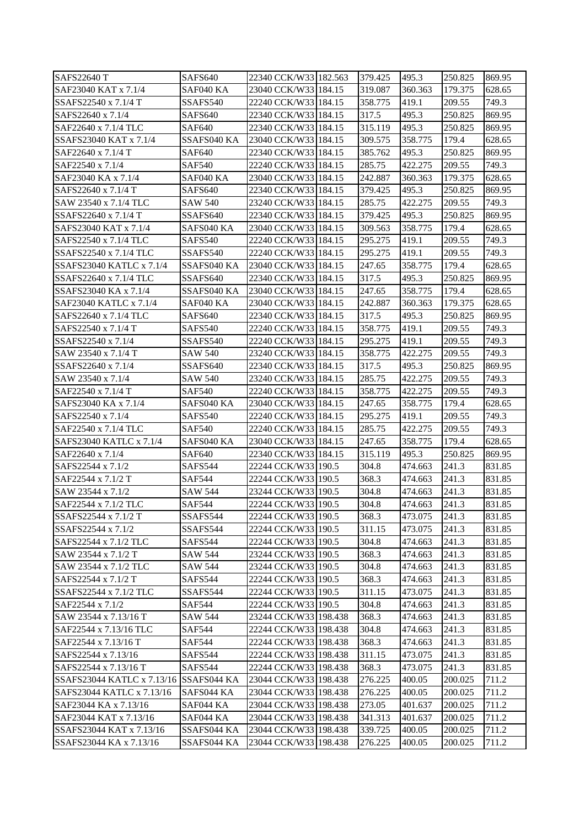| SAFS22640 T                            | SAFS640        | 22340 CCK/W331182.563 | 379.425 | 495.3   | 250.825 | 869.95 |
|----------------------------------------|----------------|-----------------------|---------|---------|---------|--------|
| SAF23040 KAT x 7.1/4                   | SAF040 KA      | 23040 CCK/W33 184.15  | 319.087 | 360.363 | 179.375 | 628.65 |
| SSAFS22540 x 7.1/4 T                   | SSAFS540       | 22240 CCK/W33 184.15  | 358.775 | 419.1   | 209.55  | 749.3  |
| SAFS22640 x 7.1/4                      | SAFS640        | 22340 CCK/W33 184.15  | 317.5   | 495.3   | 250.825 | 869.95 |
| SAF22640 x 7.1/4 TLC                   | <b>SAF640</b>  | 22340 CCK/W33 184.15  | 315.119 | 495.3   | 250.825 | 869.95 |
| SSAFS23040 KAT x 7.1/4                 | SSAFS040 KA    | 23040 CCK/W33 184.15  | 309.575 | 358.775 | 179.4   | 628.65 |
| SAF22640 x 7.1/4 T                     | <b>SAF640</b>  | 22340 CCK/W33 184.15  | 385.762 | 495.3   | 250.825 | 869.95 |
| SAF22540 x 7.1/4                       | <b>SAF540</b>  | 22240 CCK/W33 184.15  | 285.75  | 422.275 | 209.55  | 749.3  |
| SAF23040 KA x 7.1/4                    | SAF040 KA      | 23040 CCK/W33 184.15  | 242.887 | 360.363 | 179.375 | 628.65 |
| SAFS22640 x 7.1/4 T                    | <b>SAFS640</b> | 22340 CCK/W33 184.15  | 379.425 | 495.3   | 250.825 | 869.95 |
| SAW 23540 x 7.1/4 TLC                  | <b>SAW 540</b> | 23240 CCK/W33 184.15  | 285.75  | 422.275 | 209.55  | 749.3  |
| SSAFS22640 x 7.1/4 T                   | SSAFS640       | 22340 CCK/W33 184.15  | 379.425 | 495.3   | 250.825 | 869.95 |
| SAFS23040 KAT x 7.1/4                  | SAFS040 KA     | 23040 CCK/W33 184.15  | 309.563 | 358.775 | 179.4   | 628.65 |
| SAFS22540 x 7.1/4 TLC                  | SAFS540        | 22240 CCK/W33 184.15  | 295.275 | 419.1   | 209.55  | 749.3  |
| SSAFS22540 x 7.1/4 TLC                 | SSAFS540       | 22240 CCK/W33 184.15  | 295.275 | 419.1   | 209.55  | 749.3  |
| SSAFS23040 KATLC x 7.1/4               | SSAFS040 KA    | 23040 CCK/W33 184.15  | 247.65  | 358.775 | 179.4   | 628.65 |
| SSAFS22640 x 7.1/4 TLC                 | SSAFS640       | 22340 CCK/W33 184.15  | 317.5   | 495.3   | 250.825 | 869.95 |
| SSAFS23040 KA x 7.1/4                  | SSAFS040 KA    | 23040 CCK/W33 184.15  | 247.65  | 358.775 | 179.4   | 628.65 |
| SAF23040 KATLC x 7.1/4                 | SAF040 KA      | 23040 CCK/W33 184.15  | 242.887 | 360.363 | 179.375 | 628.65 |
| SAFS22640 x 7.1/4 TLC                  | SAFS640        | 22340 CCK/W33 184.15  | 317.5   | 495.3   | 250.825 | 869.95 |
| SAFS22540 x 7.1/4 T                    | SAFS540        | 22240 CCK/W33 184.15  | 358.775 | 419.1   | 209.55  | 749.3  |
| SSAFS22540 x 7.1/4                     | SSAFS540       | 22240 CCK/W33 184.15  | 295.275 | 419.1   | 209.55  | 749.3  |
| SAW 23540 x 7.1/4 T                    | <b>SAW 540</b> | 23240 CCK/W33 184.15  | 358.775 | 422.275 | 209.55  | 749.3  |
| SSAFS22640 x 7.1/4                     | SSAFS640       | 22340 CCK/W33 184.15  | 317.5   | 495.3   | 250.825 | 869.95 |
| SAW 23540 x 7.1/4                      | <b>SAW 540</b> | 23240 CCK/W33 184.15  | 285.75  | 422.275 | 209.55  | 749.3  |
| SAF22540 x 7.1/4 T                     | <b>SAF540</b>  | 22240 CCK/W33 184.15  | 358.775 | 422.275 | 209.55  | 749.3  |
| SAFS23040 KA x 7.1/4                   | SAFS040 KA     | 23040 CCK/W33 184.15  | 247.65  | 358.775 | 179.4   | 628.65 |
| SAFS22540 x 7.1/4                      | SAFS540        | 22240 CCK/W33 184.15  | 295.275 | 419.1   | 209.55  | 749.3  |
| SAF22540 x 7.1/4 TLC                   | <b>SAF540</b>  | 22240 CCK/W33 184.15  | 285.75  | 422.275 | 209.55  | 749.3  |
| SAFS23040 KATLC x 7.1/4                | SAFS040 KA     | 23040 CCK/W33 184.15  | 247.65  | 358.775 | 179.4   | 628.65 |
| SAF22640 x 7.1/4                       | SAF640         | 22340 CCK/W33 184.15  | 315.119 | 495.3   | 250.825 | 869.95 |
| SAFS22544 x 7.1/2                      | SAFS544        | 22244 CCK/W33 190.5   | 304.8   | 474.663 | 241.3   | 831.85 |
| SAF22544 x 7.1/2 T                     | <b>SAF544</b>  | 22244 CCK/W33 190.5   | 368.3   | 474.663 | 241.3   | 831.85 |
| SAW 23544 x 7.1/2                      | <b>SAW 544</b> | 23244 CCK/W33 190.5   | 304.8   | 474.663 | 241.3   | 831.85 |
| SAF22544 x 7.1/2 TLC                   | <b>SAF544</b>  | 22244 CCK/W33 190.5   | 304.8   | 474.663 | 241.3   | 831.85 |
| SSAFS22544 x 7.1/2 T                   | SSAFS544       | 22244 CCK/W33 190.5   | 368.3   | 473.075 | 241.3   | 831.85 |
| SSAFS22544 x 7.1/2                     | SSAFS544       | 22244 CCK/W33 190.5   | 311.15  | 473.075 | 241.3   | 831.85 |
| SAFS22544 x 7.1/2 TLC                  | SAFS544        | 22244 CCK/W33 190.5   | 304.8   | 474.663 | 241.3   | 831.85 |
| SAW 23544 x 7.1/2 T                    | SAW 544        | 23244 CCK/W33 190.5   | 368.3   | 474.663 | 241.3   | 831.85 |
| SAW 23544 x 7.1/2 TLC                  | SAW 544        | 23244 CCK/W33 190.5   | 304.8   | 474.663 | 241.3   | 831.85 |
| SAFS22544 x 7.1/2 T                    | SAFS544        | 22244 CCK/W33 190.5   | 368.3   | 474.663 | 241.3   | 831.85 |
| SSAFS22544 x 7.1/2 TLC                 | SSAFS544       | 22244 CCK/W33 190.5   | 311.15  | 473.075 | 241.3   | 831.85 |
| SAF22544 x 7.1/2                       | <b>SAF544</b>  | 22244 CCK/W33 190.5   | 304.8   | 474.663 | 241.3   | 831.85 |
| SAW 23544 x 7.13/16 T                  | <b>SAW 544</b> | 23244 CCK/W33 198.438 | 368.3   | 474.663 | 241.3   | 831.85 |
| SAF22544 x 7.13/16 TLC                 | SAF544         | 22244 CCK/W33 198.438 | 304.8   | 474.663 | 241.3   | 831.85 |
| SAF22544 x 7.13/16 T                   | SAF544         | 22244 CCK/W33 198.438 | 368.3   | 474.663 | 241.3   | 831.85 |
| SAFS22544 x 7.13/16                    | SAFS544        | 22244 CCK/W33 198.438 | 311.15  | 473.075 | 241.3   | 831.85 |
| SAFS22544 x 7.13/16 T                  | SAFS544        | 22244 CCK/W33 198.438 | 368.3   | 473.075 | 241.3   | 831.85 |
| SSAFS23044 KATLC x 7.13/16 SSAFS044 KA |                | 23044 CCK/W33 198.438 | 276.225 | 400.05  | 200.025 | 711.2  |
| SAFS23044 KATLC x 7.13/16              | SAFS044 KA     | 23044 CCK/W33 198.438 | 276.225 | 400.05  | 200.025 | 711.2  |
| SAF23044 KA x 7.13/16                  | SAF044 KA      | 23044 CCK/W33 198.438 | 273.05  | 401.637 | 200.025 | 711.2  |
| SAF23044 KAT x 7.13/16                 | SAF044 KA      | 23044 CCK/W33 198.438 | 341.313 | 401.637 | 200.025 | 711.2  |
| SSAFS23044 KAT x 7.13/16               | SSAFS044 KA    | 23044 CCK/W33 198.438 | 339.725 | 400.05  | 200.025 | 711.2  |
| SSAFS23044 KA x 7.13/16                | SSAFS044 KA    | 23044 CCK/W33 198.438 | 276.225 | 400.05  | 200.025 | 711.2  |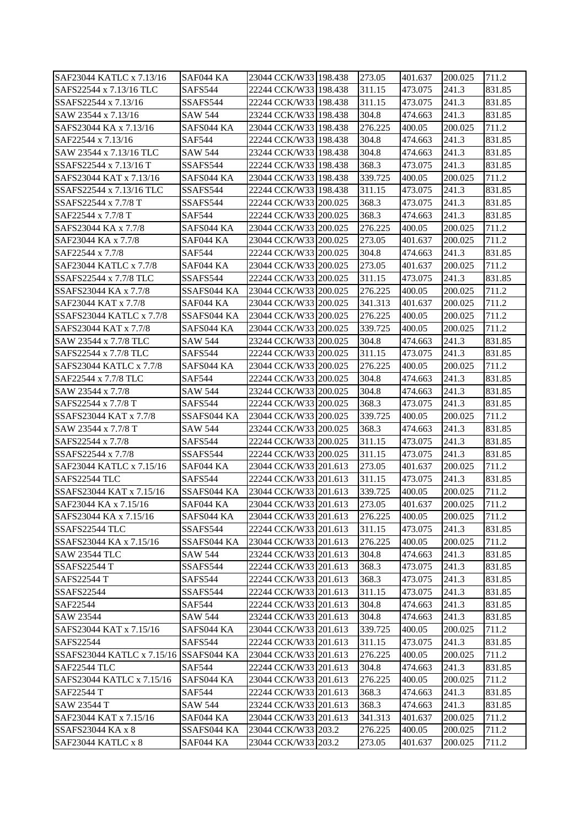| SAF23044 KATLC x 7.13/16                    | SAF044 KA      | 23044 CCK/W33 198.438 | 273.05             | 401.637 | 200.025 | 711.2           |
|---------------------------------------------|----------------|-----------------------|--------------------|---------|---------|-----------------|
| SAFS22544 x 7.13/16 TLC                     | SAFS544        | 22244 CCK/W33 198.438 | 311.15             | 473.075 | 241.3   | 831.85          |
| SSAFS22544 x 7.13/16                        | SSAFS544       | 22244 CCK/W33 198.438 | 311.15             | 473.075 | 241.3   | 831.85          |
| SAW 23544 x 7.13/16                         | SAW 544        | 23244 CCK/W33 198.438 | 304.8              | 474.663 | 241.3   | 831.85          |
| SAFS23044 KA x 7.13/16                      | SAFS044 KA     | 23044 CCK/W33 198.438 | 276.225            | 400.05  | 200.025 | 711.2           |
| SAF22544 x 7.13/16                          | <b>SAF544</b>  | 22244 CCK/W33 198.438 | 304.8              | 474.663 | 241.3   | 831.85          |
| SAW 23544 x 7.13/16 TLC                     | <b>SAW 544</b> | 23244 CCK/W33 198.438 | 304.8              | 474.663 | 241.3   | 831.85          |
| SSAFS22544 x 7.13/16 T                      | SSAFS544       | 22244 CCK/W33 198.438 | 368.3              | 473.075 | 241.3   | 831.85          |
| SAFS23044 KAT x 7.13/16                     | SAFS044 KA     | 23044 CCK/W33 198.438 | 339.725            | 400.05  | 200.025 | 711.2           |
| SSAFS22544 x 7.13/16 TLC                    | SSAFS544       | 22244 CCK/W33 198.438 | 311.15             | 473.075 | 241.3   | 831.85          |
| SSAFS22544 x 7.7/8 T                        | SSAFS544       | 22244 CCK/W33 200.025 | 368.3              | 473.075 | 241.3   | 831.85          |
| SAF22544 x 7.7/8 T                          | <b>SAF544</b>  | 22244 CCK/W33 200.025 | 368.3              | 474.663 | 241.3   | 831.85          |
| SAFS23044 KA x 7.7/8                        | SAFS044 KA     | 23044 CCK/W33 200.025 | 276.225            | 400.05  | 200.025 | 711.2           |
| SAF23044 KA x 7.7/8                         | SAF044 KA      | 23044 CCK/W33 200.025 | 273.05             | 401.637 | 200.025 | 711.2           |
| SAF22544 x 7.7/8                            | <b>SAF544</b>  | 22244 CCK/W33 200.025 | 304.8              | 474.663 | 241.3   | 831.85          |
| SAF23044 KATLC x 7.7/8                      | SAF044 KA      | 23044 CCK/W33 200.025 | 273.05             | 401.637 | 200.025 | 711.2           |
| SSAFS22544 x 7.7/8 TLC                      | SSAFS544       | 22244 CCK/W33 200.025 | 311.15             | 473.075 | 241.3   | 831.85          |
| SSAFS23044 KA x 7.7/8                       | SSAFS044 KA    | 23044 CCK/W33 200.025 | 276.225            | 400.05  | 200.025 | 711.2           |
| SAF23044 KAT x 7.7/8                        | SAF044 KA      | 23044 CCK/W33 200.025 |                    | 401.637 | 200.025 | 711.2           |
| SSAFS23044 KATLC x 7.7/8                    | SSAFS044 KA    |                       | 341.313<br>276.225 | 400.05  | 200.025 | 711.2           |
|                                             |                | 23044 CCK/W33 200.025 |                    |         |         |                 |
| SAFS23044 KAT x 7.7/8                       | SAFS044 KA     | 23044 CCK/W33 200.025 | 339.725            | 400.05  | 200.025 | 711.2           |
| SAW 23544 x 7.7/8 TLC                       | <b>SAW 544</b> | 23244 CCK/W33 200.025 | 304.8              | 474.663 | 241.3   | 831.85          |
| SAFS22544 x 7.7/8 TLC                       | SAFS544        | 22244 CCK/W33 200.025 | 311.15             | 473.075 | 241.3   | 831.85          |
| SAFS23044 KATLC x 7.7/8                     | SAFS044 KA     | 23044 CCK/W33 200.025 | 276.225            | 400.05  | 200.025 | 711.2           |
| SAF22544 x 7.7/8 TLC<br>SAW 23544 x 7.7/8   | <b>SAF544</b>  | 22244 CCK/W33 200.025 | 304.8              | 474.663 | 241.3   | 831.85          |
|                                             | SAW 544        | 23244 CCK/W33 200.025 | 304.8              | 474.663 | 241.3   | 831.85          |
| SAFS22544 x 7.7/8 T                         | SAFS544        | 22244 CCK/W33 200.025 | 368.3              | 473.075 | 241.3   | 831.85          |
| SSAFS23044 KAT x 7.7/8                      | SSAFS044 KA    | 23044 CCK/W33 200.025 | 339.725            | 400.05  | 200.025 | 711.2           |
| SAW 23544 x 7.7/8 T                         | SAW 544        | 23244 CCK/W33 200.025 | 368.3              | 474.663 | 241.3   | 831.85          |
| SAFS22544 x 7.7/8                           | SAFS544        | 22244 CCK/W33 200.025 | 311.15             | 473.075 | 241.3   | 831.85          |
| SSAFS22544 x 7.7/8                          | SSAFS544       | 22244 CCK/W33 200.025 | 311.15             | 473.075 | 241.3   | 831.85<br>711.2 |
| SAF23044 KATLC x 7.15/16                    | SAF044 KA      | 23044 CCK/W33 201.613 | 273.05             | 401.637 | 200.025 |                 |
| SAFS22544 TLC                               | SAFS544        | 22244 CCK/W33 201.613 | 311.15             | 473.075 | 241.3   | 831.85          |
| SSAFS23044 KAT x 7.15/16                    | SSAFS044 KA    | 23044 CCK/W33 201.613 | 339.725            | 400.05  | 200.025 | 711.2           |
| SAF23044 KA x 7.15/16                       | SAF044 KA      | 23044 CCK/W33 201.613 | 273.05             | 401.637 | 200.025 | 711.2           |
| SAFS23044 KA x 7.15/16                      | SAFS044 KA     | 23044 CCK/W33 201.613 | 276.225            | 400.05  | 200.025 | 711.2           |
| SSAFS22544 TLC                              | SSAFS544       | 22244 CCK/W33 201.613 | 311.15             | 473.075 | 241.3   | 831.85          |
| SSAFS23044 KA x 7.15/16                     | SSAFS044 KA    | 23044 CCK/W33 201.613 | 276.225            | 400.05  | 200.025 | 711.2           |
| <b>SAW 23544 TLC</b><br><b>SSAFS22544 T</b> | SAW 544        | 23244 CCK/W33 201.613 | 304.8              | 474.663 | 241.3   | 831.85          |
|                                             | SSAFS544       | 22244 CCK/W33 201.613 | 368.3              | 473.075 | 241.3   | 831.85          |
| <b>SAFS22544 T</b>                          | SAFS544        | 22244 CCK/W33 201.613 | 368.3              | 473.075 | 241.3   | 831.85          |
| <b>SSAFS22544</b>                           | SSAFS544       | 22244 CCK/W33 201.613 | 311.15             | 473.075 | 241.3   | 831.85          |
| SAF22544                                    | SAF544         | 22244 CCK/W33 201.613 | 304.8              | 474.663 | 241.3   | 831.85          |
| SAW 23544                                   | SAW 544        | 23244 CCK/W33 201.613 | 304.8              | 474.663 | 241.3   | 831.85          |
| SAFS23044 KAT x 7.15/16                     | SAFS044 KA     | 23044 CCK/W33 201.613 | 339.725            | 400.05  | 200.025 | 711.2           |
| SAFS22544                                   | SAFS544        | 22244 CCK/W33 201.613 | 311.15             | 473.075 | 241.3   | 831.85          |
| SSAFS23044 KATLC x 7.15/16 SSAFS044 KA      |                | 23044 CCK/W33 201.613 | 276.225            | 400.05  | 200.025 | 711.2           |
| SAF22544 TLC                                | <b>SAF544</b>  | 22244 CCK/W33 201.613 | 304.8              | 474.663 | 241.3   | 831.85          |
| SAFS23044 KATLC x 7.15/16                   | SAFS044 KA     | 23044 CCK/W33 201.613 | 276.225            | 400.05  | 200.025 | 711.2           |
| SAF22544 T                                  | SAF544         | 22244 CCK/W33 201.613 | 368.3              | 474.663 | 241.3   | 831.85          |
| SAW 23544 T                                 | SAW 544        | 23244 CCK/W33 201.613 | 368.3              | 474.663 | 241.3   | 831.85          |
| SAF23044 KAT x 7.15/16                      | SAF044 KA      | 23044 CCK/W33 201.613 | 341.313            | 401.637 | 200.025 | 711.2           |
| SSAFS23044 KA x 8                           | SSAFS044 KA    | 23044 CCK/W33 203.2   | 276.225            | 400.05  | 200.025 | 711.2           |
| SAF23044 KATLC x 8                          | SAF044 KA      | 23044 CCK/W33 203.2   | 273.05             | 401.637 | 200.025 | 711.2           |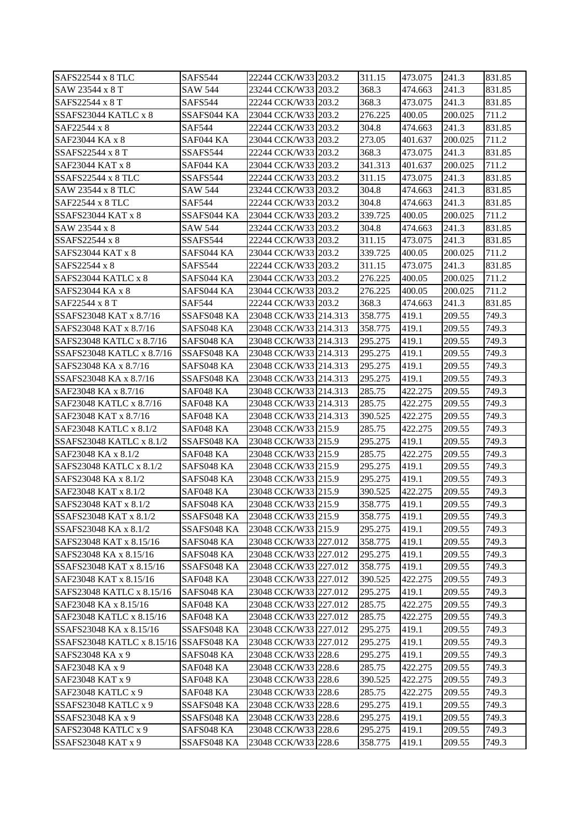| SAFS22544 x 8 TLC                                  | SAFS544                  | 22244 CCK/W33 203.2   | 311.15             | 473.075          | 241.3   | 831.85         |
|----------------------------------------------------|--------------------------|-----------------------|--------------------|------------------|---------|----------------|
| SAW 23544 x 8 T                                    | SAW 544                  | 23244 CCK/W33 203.2   | 368.3              | 474.663          | 241.3   | 831.85         |
| SAFS22544 x 8 T                                    | <b>SAFS544</b>           | 22244 CCK/W33 203.2   | 368.3              | 473.075          | 241.3   | 831.85         |
| SSAFS23044 KATLC x 8                               | SSAFS044 KA              | 23044 CCK/W33 203.2   | 276.225            | 400.05           | 200.025 | 711.2          |
| SAF22544 x 8                                       | <b>SAF544</b>            | 22244 CCK/W33 203.2   | 304.8              | 474.663          | 241.3   | 831.85         |
| SAF23044 KA x 8                                    | SAF044 KA                | 23044 CCK/W33 203.2   | 273.05             | 401.637          | 200.025 | 711.2          |
| SSAFS22544 x 8 T                                   | SSAFS544                 | 22244 CCK/W33 203.2   | 368.3              | 473.075          | 241.3   | 831.85         |
| SAF23044 KAT x 8                                   | SAF044 KA                | 23044 CCK/W33 203.2   | 341.313            | 401.637          | 200.025 | 711.2          |
| SSAFS22544 x 8 TLC                                 | SSAFS544                 | 22244 CCK/W33 203.2   | 311.15             | 473.075          | 241.3   | 831.85         |
| SAW 23544 x 8 TLC                                  | SAW 544                  | 23244 CCK/W33 203.2   | 304.8              | 474.663          | 241.3   | 831.85         |
| SAF22544 x 8 TLC                                   | <b>SAF544</b>            | 22244 CCK/W33 203.2   | 304.8              | 474.663          | 241.3   | 831.85         |
| <b>SSAFS23044 KAT x 8</b>                          | SSAFS044 KA              | 23044 CCK/W33 203.2   | 339.725            | 400.05           | 200.025 | 711.2          |
| SAW 23544 x 8                                      | SAW 544                  | 23244 CCK/W33 203.2   | 304.8              | 474.663          | 241.3   | 831.85         |
| SSAFS22544 x 8                                     | SSAFS544                 | 22244 CCK/W33 203.2   | 311.15             | 473.075          | 241.3   | 831.85         |
| <b>SAFS23044 KAT x 8</b>                           | SAFS044 KA               | 23044 CCK/W33 203.2   | 339.725            | 400.05           | 200.025 | 711.2          |
| SAFS22544 x 8                                      | SAFS544                  | 22244 CCK/W33 203.2   | 311.15             | 473.075          | 241.3   | 831.85         |
| SAFS23044 KATLC x 8                                | SAFS044 KA               | 23044 CCK/W33 203.2   | 276.225            | 400.05           | 200.025 | 711.2          |
| SAFS23044 KA x 8                                   | SAFS044 KA               | 23044 CCK/W33 203.2   | 276.225            | 400.05           | 200.025 | 711.2          |
| SAF22544 x 8 T                                     | <b>SAF544</b>            | 22244 CCK/W33 203.2   | 368.3              | 474.663          | 241.3   | 831.85         |
| SSAFS23048 KAT x 8.7/16                            | SSAFS048 KA              | 23048 CCK/W33 214.313 | 358.775            | 419.1            | 209.55  | 749.3          |
| SAFS23048 KAT x 8.7/16                             | SAFS048 KA               | 23048 CCK/W33 214.313 | 358.775            | 419.1            | 209.55  | 749.3          |
| SAFS23048 KATLC x 8.7/16                           | SAFS048 KA               | 23048 CCK/W33 214.313 | 295.275            | 419.1            | 209.55  | 749.3          |
| SSAFS23048 KATLC x 8.7/16                          | SSAFS048 KA              | 23048 CCK/W33 214.313 | 295.275            | 419.1            | 209.55  | 749.3          |
| SAFS23048 KA x 8.7/16                              | SAFS048 KA               | 23048 CCK/W33 214.313 | 295.275            | 419.1            | 209.55  | 749.3          |
| SSAFS23048 KA x 8.7/16                             | SSAFS048 KA              | 23048 CCK/W33 214.313 | 295.275            | 419.1            | 209.55  | 749.3          |
| SAF23048 KA x 8.7/16                               | SAF048 KA                | 23048 CCK/W33 214.313 | 285.75             | 422.275          | 209.55  | 749.3          |
| SAF23048 KATLC x 8.7/16                            | SAF048 KA                | 23048 CCK/W33 214.313 | 285.75             | 422.275          | 209.55  | 749.3          |
| SAF23048 KAT x 8.7/16                              | SAF048 KA                | 23048 CCK/W33 214.313 | 390.525            | 422.275          | 209.55  | 749.3          |
| SAF23048 KATLC x 8.1/2                             | SAF048 KA                | 23048 CCK/W33 215.9   | 285.75             | 422.275          | 209.55  | 749.3          |
| <b>SSAFS23048 KATLC x 8.1/2</b>                    |                          |                       |                    |                  |         | 749.3          |
| SAF23048 KA x 8.1/2                                | SSAFS048 KA<br>SAF048 KA | 23048 CCK/W33 215.9   | 295.275            | 419.1<br>422.275 | 209.55  | 749.3          |
| SAFS23048 KATLC x 8.1/2                            |                          | 23048 CCK/W33 215.9   | 285.75             | 419.1            | 209.55  |                |
| SAFS23048 KA x 8.1/2                               | SAFS048 KA               | 23048 CCK/W33 215.9   | 295.275<br>295.275 | 419.1            | 209.55  | 749.3<br>749.3 |
| SAF23048 KAT x 8.1/2                               | SAFS048 KA<br>SAF048 KA  | 23048 CCK/W33 215.9   |                    |                  | 209.55  | 749.3          |
| SAFS23048 KAT x 8.1/2                              | SAFS048 KA               | 23048 CCK/W33 215.9   | 390.525            | 422.275<br>419.1 | 209.55  |                |
|                                                    |                          | 23048 CCK/W33 215.9   | 358.775<br>358.775 |                  | 209.55  | 749.3          |
| SSAFS23048 KAT x 8.1/2                             | SSAFS048 KA              | 23048 CCK/W33 215.9   |                    | 419.1            | 209.55  | 749.3          |
| SSAFS23048 KA x 8.1/2                              | SSAFS048 KA              | 23048 CCK/W33 215.9   | 295.275            | 419.1            | 209.55  | 749.3          |
| SAFS23048 KAT x 8.15/16                            | SAFS048 KA               | 23048 CCK/W33 227.012 | 358.775            | 419.1            | 209.55  | 749.3          |
| SAFS23048 KA x 8.15/16                             | SAFS048 KA               | 23048 CCK/W33 227.012 | 295.275            | 419.1            | 209.55  | 749.3          |
| SSAFS23048 KAT x 8.15/16<br>SAF23048 KAT x 8.15/16 | SSAFS048 KA              | 23048 CCK/W33 227.012 | 358.775            | 419.1            | 209.55  | 749.3          |
|                                                    | SAF048 KA                | 23048 CCK/W33 227.012 | 390.525            | 422.275          | 209.55  | 749.3          |
| SAFS23048 KATLC x 8.15/16                          | SAFS048 KA               | 23048 CCK/W33 227.012 | 295.275            | 419.1            | 209.55  | 749.3          |
| SAF23048 KA x 8.15/16                              | SAF048 KA                | 23048 CCK/W33 227.012 | 285.75             | 422.275          | 209.55  | 749.3          |
| SAF23048 KATLC x 8.15/16                           | SAF048 KA                | 23048 CCK/W33 227.012 | 285.75             | 422.275          | 209.55  | 749.3          |
| SSAFS23048 KA x 8.15/16                            | SSAFS048 KA              | 23048 CCK/W33 227.012 | 295.275            | 419.1            | 209.55  | 749.3          |
| SSAFS23048 KATLC x 8.15/16                         | SSAFS048 KA              | 23048 CCK/W33 227.012 | 295.275            | 419.1            | 209.55  | 749.3          |
| SAFS23048 KA x 9                                   | SAFS048 KA               | 23048 CCK/W33 228.6   | 295.275            | 419.1            | 209.55  | 749.3          |
| SAF23048 KA x 9                                    | SAF048 KA                | 23048 CCK/W33 228.6   | 285.75             | 422.275          | 209.55  | 749.3          |
| SAF23048 KAT x 9                                   | SAF048 KA                | 23048 CCK/W33 228.6   | 390.525            | 422.275          | 209.55  | 749.3          |
| SAF23048 KATLC x 9                                 | SAF048 KA                | 23048 CCK/W33 228.6   | 285.75             | 422.275          | 209.55  | 749.3          |
| SSAFS23048 KATLC x 9                               | SSAFS048 KA              | 23048 CCK/W33 228.6   | 295.275            | 419.1            | 209.55  | 749.3          |
| SSAFS23048 KA x 9                                  | SSAFS048 KA              | 23048 CCK/W33 228.6   | 295.275            | 419.1            | 209.55  | 749.3          |
| SAFS23048 KATLC x 9                                | SAFS048 KA               | 23048 CCK/W33 228.6   | 295.275            | 419.1            | 209.55  | 749.3          |
| SSAFS23048 KAT x 9                                 | SSAFS048 KA              | 23048 CCK/W33 228.6   | 358.775            | 419.1            | 209.55  | 749.3          |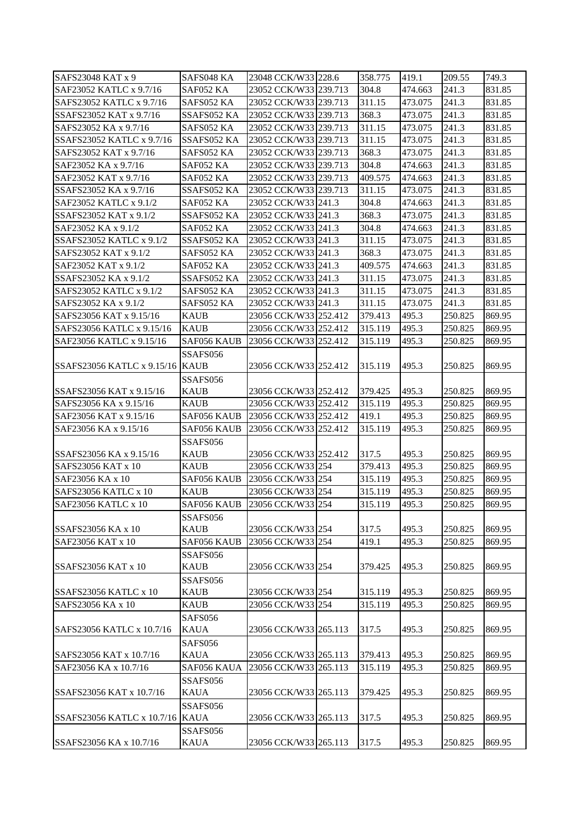| SAFS23048 KAT x 9               | SAFS048 KA  | 23048 CCK/W33 228.6   | 358.775 | 419.1   | 209.55  | 749.3  |
|---------------------------------|-------------|-----------------------|---------|---------|---------|--------|
| SAF23052 KATLC x 9.7/16         | SAF052 KA   | 23052 CCK/W33 239.713 | 304.8   | 474.663 | 241.3   | 831.85 |
| SAFS23052 KATLC x 9.7/16        | SAFS052 KA  | 23052 CCK/W33 239.713 | 311.15  | 473.075 | 241.3   | 831.85 |
| SSAFS23052 KAT x 9.7/16         | SSAFS052 KA | 23052 CCK/W33 239.713 | 368.3   | 473.075 | 241.3   | 831.85 |
| SAFS23052 KA x 9.7/16           | SAFS052 KA  | 23052 CCK/W33 239.713 | 311.15  | 473.075 | 241.3   | 831.85 |
| SSAFS23052 KATLC x 9.7/16       | SSAFS052 KA | 23052 CCK/W33 239.713 | 311.15  | 473.075 | 241.3   | 831.85 |
| SAFS23052 KAT x 9.7/16          | SAFS052 KA  | 23052 CCK/W33 239.713 | 368.3   | 473.075 | 241.3   | 831.85 |
| SAF23052 KA x 9.7/16            | SAF052 KA   | 23052 CCK/W33 239.713 | 304.8   | 474.663 | 241.3   | 831.85 |
| SAF23052 KAT x 9.7/16           | SAF052 KA   | 23052 CCK/W33 239.713 | 409.575 | 474.663 | 241.3   | 831.85 |
| SSAFS23052 KA x 9.7/16          | SSAFS052 KA | 23052 CCK/W33 239.713 | 311.15  | 473.075 | 241.3   | 831.85 |
| SAF23052 KATLC x 9.1/2          | SAF052 KA   | 23052 CCK/W33 241.3   | 304.8   | 474.663 | 241.3   | 831.85 |
| SSAFS23052 KAT x 9.1/2          | SSAFS052 KA | 23052 CCK/W33 241.3   | 368.3   | 473.075 | 241.3   | 831.85 |
| SAF23052 KA x 9.1/2             | SAF052 KA   | 23052 CCK/W33 241.3   | 304.8   | 474.663 | 241.3   | 831.85 |
| SSAFS23052 KATLC x 9.1/2        | SSAFS052 KA | 23052 CCK/W33 241.3   | 311.15  | 473.075 | 241.3   | 831.85 |
| SAFS23052 KAT x 9.1/2           | SAFS052 KA  | 23052 CCK/W33 241.3   | 368.3   | 473.075 | 241.3   | 831.85 |
| SAF23052 KAT x 9.1/2            | SAF052 KA   | 23052 CCK/W33 241.3   | 409.575 | 474.663 | 241.3   | 831.85 |
| SSAFS23052 KA x 9.1/2           | SSAFS052 KA | 23052 CCK/W33 241.3   | 311.15  | 473.075 | 241.3   | 831.85 |
| SAFS23052 KATLC x 9.1/2         | SAFS052 KA  | 23052 CCK/W33 241.3   | 311.15  | 473.075 | 241.3   | 831.85 |
| SAFS23052 KA x 9.1/2            | SAFS052 KA  | 23052 CCK/W33 241.3   | 311.15  | 473.075 | 241.3   | 831.85 |
| SAFS23056 KAT x 9.15/16         | <b>KAUB</b> | 23056 CCK/W33 252.412 | 379.413 | 495.3   | 250.825 | 869.95 |
| SAFS23056 KATLC x 9.15/16       | <b>KAUB</b> | 23056 CCK/W33 252.412 | 315.119 | 495.3   | 250.825 | 869.95 |
| SAF23056 KATLC x 9.15/16        | SAF056 KAUB | 23056 CCK/W33 252.412 | 315.119 | 495.3   |         | 869.95 |
|                                 |             |                       |         |         | 250.825 |        |
|                                 | SSAFS056    |                       |         |         |         |        |
| SSAFS23056 KATLC x 9.15/16 KAUB |             | 23056 CCK/W33 252.412 | 315.119 | 495.3   | 250.825 | 869.95 |
|                                 | SSAFS056    |                       |         |         |         |        |
| SSAFS23056 KAT x 9.15/16        | <b>KAUB</b> | 23056 CCK/W33 252.412 | 379.425 | 495.3   | 250.825 | 869.95 |
| SAFS23056 KA x 9.15/16          | <b>KAUB</b> | 23056 CCK/W33 252.412 | 315.119 | 495.3   | 250.825 | 869.95 |
| SAF23056 KAT x 9.15/16          | SAF056 KAUB | 23056 CCK/W33 252.412 | 419.1   | 495.3   | 250.825 | 869.95 |
| SAF23056 KA x 9.15/16           | SAF056 KAUB | 23056 CCK/W33 252.412 | 315.119 | 495.3   | 250.825 | 869.95 |
|                                 | SSAFS056    |                       |         |         |         |        |
| SSAFS23056 KA x 9.15/16         | KAUB        | 23056 CCK/W33 252.412 | 317.5   | 495.3   | 250.825 | 869.95 |
| SAFS23056 KAT x 10              | <b>KAUB</b> | 23056 CCK/W33 254     | 379.413 | 495.3   | 250.825 | 869.95 |
| SAF23056 KA x 10                | SAF056 KAUB | 23056 CCK/W33 254     | 315.119 | 495.3   | 250.825 | 869.95 |
| SAFS23056 KATLC x 10            | <b>KAUB</b> | 23056 CCK/W33 254     | 315.119 | 495.3   | 250.825 | 869.95 |
| <b>SAF23056 KATLC x 10</b>      | SAF056 KAUB | 23056 CCK/W33 254     | 315.119 | 495.3   | 250.825 | 869.95 |
|                                 | SSAFS056    |                       |         |         |         |        |
| SSAFS23056 KA x 10              | <b>KAUB</b> | 23056 CCK/W33 254     | 317.5   | 495.3   | 250.825 | 869.95 |
| SAF23056 KAT x 10               | SAF056 KAUB | 23056 CCK/W33 254     | 419.1   | 495.3   | 250.825 | 869.95 |
|                                 | SSAFS056    |                       |         |         |         |        |
| <b>SSAFS23056 KAT x 10</b>      | <b>KAUB</b> | 23056 CCK/W33 254     | 379.425 | 495.3   | 250.825 | 869.95 |
|                                 | SSAFS056    |                       |         |         |         |        |
| SSAFS23056 KATLC x 10           | <b>KAUB</b> | 23056 CCK/W33 254     | 315.119 | 495.3   | 250.825 | 869.95 |
| SAFS23056 KA x 10               | <b>KAUB</b> | 23056 CCK/W33 254     | 315.119 | 495.3   | 250.825 | 869.95 |
|                                 | SAFS056     |                       |         |         |         |        |
| SAFS23056 KATLC x 10.7/16       | <b>KAUA</b> | 23056 CCK/W33 265.113 | 317.5   | 495.3   | 250.825 | 869.95 |
|                                 | SAFS056     |                       |         |         |         |        |
| SAFS23056 KAT x 10.7/16         | KAUA        | 23056 CCK/W33 265.113 | 379.413 | 495.3   | 250.825 | 869.95 |
| SAF23056 KA x 10.7/16           | SAF056 KAUA | 23056 CCK/W33 265.113 | 315.119 | 495.3   | 250.825 | 869.95 |
|                                 | SSAFS056    |                       |         |         |         |        |
| SSAFS23056 KAT x 10.7/16        | <b>KAUA</b> | 23056 CCK/W33 265.113 | 379.425 | 495.3   | 250.825 | 869.95 |
|                                 | SSAFS056    |                       |         |         |         |        |
| SSAFS23056 KATLC x 10.7/16      | <b>KAUA</b> | 23056 CCK/W33 265.113 | 317.5   | 495.3   | 250.825 | 869.95 |
|                                 | SSAFS056    |                       |         |         |         |        |
| SSAFS23056 KA x 10.7/16         | KAUA        | 23056 CCK/W33 265.113 | 317.5   | 495.3   | 250.825 | 869.95 |
|                                 |             |                       |         |         |         |        |